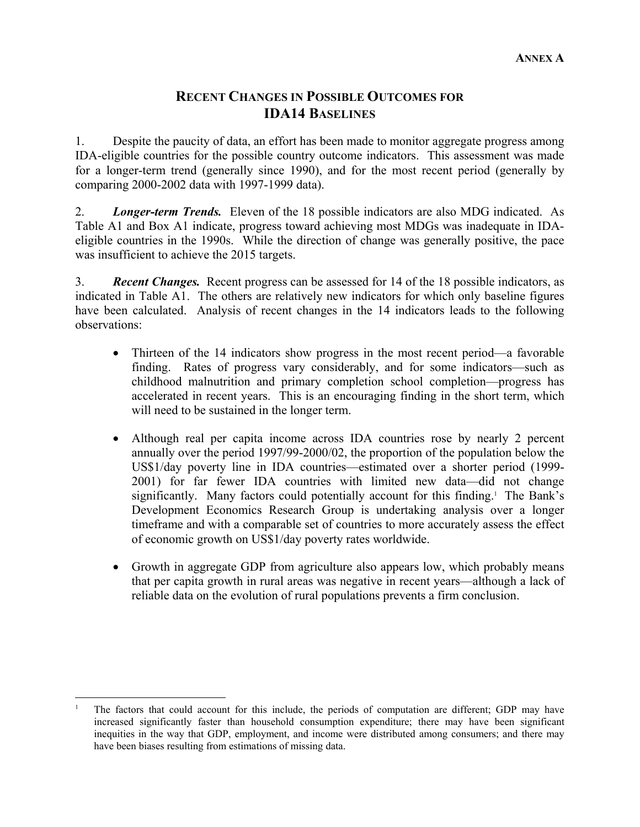# **RECENT CHANGES IN POSSIBLE OUTCOMES FOR IDA14 BASELINES**

1. Despite the paucity of data, an effort has been made to monitor aggregate progress among IDA-eligible countries for the possible country outcome indicators. This assessment was made for a longer-term trend (generally since 1990), and for the most recent period (generally by comparing 2000-2002 data with 1997-1999 data).

2. *Longer-term Trends.* Eleven of the 18 possible indicators are also MDG indicated. As Table A1 and Box A1 indicate, progress toward achieving most MDGs was inadequate in IDAeligible countries in the 1990s. While the direction of change was generally positive, the pace was insufficient to achieve the 2015 targets.

3. *Recent Changes.* Recent progress can be assessed for 14 of the 18 possible indicators, as indicated in Table A1. The others are relatively new indicators for which only baseline figures have been calculated. Analysis of recent changes in the 14 indicators leads to the following observations:

- Thirteen of the 14 indicators show progress in the most recent period—a favorable finding. Rates of progress vary considerably, and for some indicators—such as childhood malnutrition and primary completion school completion—progress has accelerated in recent years. This is an encouraging finding in the short term, which will need to be sustained in the longer term.
- Although real per capita income across IDA countries rose by nearly 2 percent annually over the period 1997/99-2000/02, the proportion of the population below the US\$1/day poverty line in IDA countries—estimated over a shorter period (1999- 2001) for far fewer IDA countries with limited new data—did not change significantly. Many factors could potentially account for this finding.<sup>1</sup> The Bank's Development Economics Research Group is undertaking analysis over a longer timeframe and with a comparable set of countries to more accurately assess the effect of economic growth on US\$1/day poverty rates worldwide.
- Growth in aggregate GDP from agriculture also appears low, which probably means that per capita growth in rural areas was negative in recent years—although a lack of reliable data on the evolution of rural populations prevents a firm conclusion.

 $\overline{a}$ 1 The factors that could account for this include, the periods of computation are different; GDP may have increased significantly faster than household consumption expenditure; there may have been significant inequities in the way that GDP, employment, and income were distributed among consumers; and there may have been biases resulting from estimations of missing data.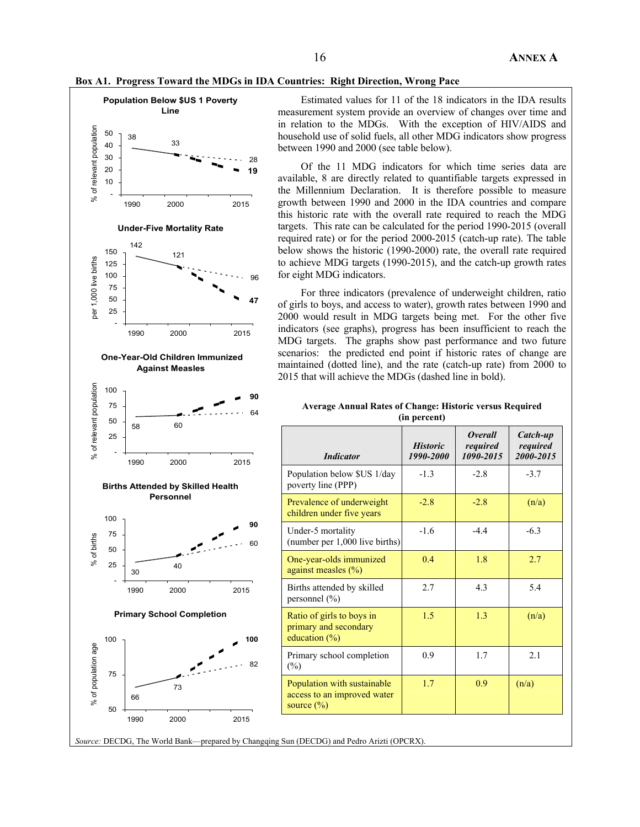



Estimated values for 11 of the 18 indicators in the IDA results measurement system provide an overview of changes over time and in relation to the MDGs. With the exception of HIV/AIDS and household use of solid fuels, all other MDG indicators show progress between 1990 and 2000 (see table below).

Of the 11 MDG indicators for which time series data are available, 8 are directly related to quantifiable targets expressed in the Millennium Declaration. It is therefore possible to measure growth between 1990 and 2000 in the IDA countries and compare this historic rate with the overall rate required to reach the MDG targets. This rate can be calculated for the period 1990-2015 (overall required rate) or for the period 2000-2015 (catch-up rate). The table below shows the historic (1990-2000) rate, the overall rate required to achieve MDG targets (1990-2015), and the catch-up growth rates for eight MDG indicators.

For three indicators (prevalence of underweight children, ratio of girls to boys, and access to water), growth rates between 1990 and 2000 would result in MDG targets being met. For the other five indicators (see graphs), progress has been insufficient to reach the MDG targets. The graphs show past performance and two future scenarios: the predicted end point if historic rates of change are maintained (dotted line), and the rate (catch-up rate) from 2000 to 2015 that will achieve the MDGs (dashed line in bold).

#### **Average Annual Rates of Change: Historic versus Required (in percent)**

| 58   | 60   |                   | <b>Indicator</b>                                                                           | <b>Historic</b><br>1990-2000 | <i><b>Overall</b></i><br>required<br>1090-2015 | Catch-up<br>required<br>2000-2015 |
|------|------|-------------------|--------------------------------------------------------------------------------------------|------------------------------|------------------------------------------------|-----------------------------------|
|      |      |                   | Population below \$US 1/day<br>poverty line (PPP)                                          | $-1.3$                       | $-2.8$                                         | $-3.7$                            |
|      |      |                   | Prevalence of underweight<br>children under five years                                     | $-2.8$                       | $-2.8$                                         | (n/a)                             |
|      |      | 60                | Under-5 mortality                                                                          | $-1.6$                       | $-4.4$                                         | $-6.3$                            |
| 30   | 40   |                   | One-year-olds immunized<br>against measles $(\% )$                                         | 0.4                          | 1.8                                            | 2.7                               |
| 1990 | 2000 | 2015              | Births attended by skilled<br>personnel $(\% )$                                            | 2.7                          | 4.3                                            | 5.4                               |
|      |      | 100               | Ratio of girls to boys in<br>primary and secondary<br>education $(\%)$                     | 1.5                          | 1.3                                            | (n/a)                             |
|      |      | 82                | Primary school completion<br>$(\%)$                                                        | 0.9                          | 1.7                                            | 2.1                               |
| 66   | 73   |                   | Population with sustainable<br>access to an improved water<br>source $(\% )$               | 1.7                          | 0.9                                            | (n/a)                             |
|      | 1990 | 2000<br>Personnel | 2015<br><b>Births Attended by Skilled Health</b><br>90<br><b>Primary School Completion</b> |                              | (number per 1,000 live births)                 |                                   |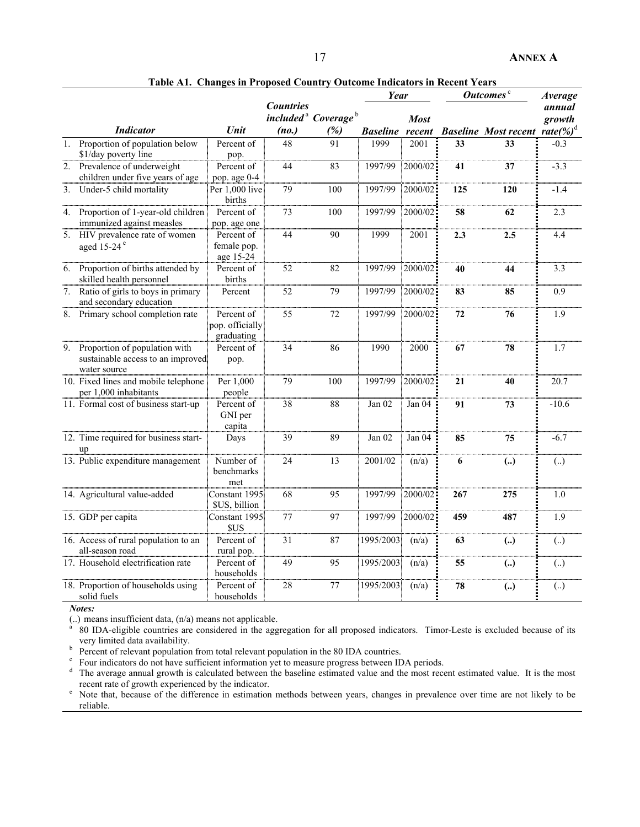|                  |                                                                                       |                                             |                           |                                                    | Year            |                       | Outcomes <sup>c</sup> |                             | <b>Average</b>                    |
|------------------|---------------------------------------------------------------------------------------|---------------------------------------------|---------------------------|----------------------------------------------------|-----------------|-----------------------|-----------------------|-----------------------------|-----------------------------------|
|                  | <i>Indicator</i>                                                                      | Unit                                        | <b>Countries</b><br>(no.) | included <sup>a</sup> Coverage <sup>b</sup><br>(%) | <b>Baseline</b> | <b>Most</b><br>recent |                       | <b>Baseline Most recent</b> | annual<br>growth<br>rate $(\%)^d$ |
| 1.               | Proportion of population below<br>\$1/day poverty line                                | Percent of<br>pop.                          | 48                        | 91                                                 | 1999            | 2001                  | 33                    | 33                          | $-0.3$                            |
| $\overline{2}$ . | Prevalence of underweight<br>children under five years of age                         | Percent of<br>pop. age 0-4                  | 44                        | 83                                                 | 1997/99         | 2000/02               | 41                    | 37                          | $-3.3$                            |
| 3.               | Under-5 child mortality                                                               | Per 1,000 live<br>births                    | 79                        | 100                                                | 1997/99         | 2000/02               | 125                   | 120                         | $-1.4$                            |
| 4.               | Proportion of 1-year-old children<br>immunized against measles                        | Percent of<br>pop. age one                  | 73                        | 100                                                | 1997/99         | 2000/02               | 58                    | 62                          | 2.3                               |
| $\overline{5}$ . | HIV prevalence rate of women<br>aged 15-24 <sup>e</sup>                               | Percent of<br>female pop.<br>age 15-24      | 44                        | 90                                                 | 1999            | 2001                  | 2.3                   | 2.5                         | 4.4                               |
| 6.               | Proportion of births attended by<br>skilled health personnel                          | Percent of<br>births                        | 52                        | 82                                                 | 1997/99         | 2000/02               | 40                    | 44                          | 3.3                               |
| $\frac{1}{7}$    | Ratio of girls to boys in primary<br>and secondary education                          | Percent                                     | 52                        | 79                                                 | 1997/99         | 2000/02               | 83                    | 85                          | 0.9                               |
| 8.               | Primary school completion rate                                                        | Percent of<br>pop. officially<br>graduating | 55                        | 72                                                 | 1997/99         | 2000/02               | 72                    | 76                          | 1.9                               |
|                  | 9. Proportion of population with<br>sustainable access to an improved<br>water source | Percent of<br>pop.                          | 34                        | 86                                                 | 1990            | 2000                  | 67                    | 78                          | 1.7                               |
|                  | 10. Fixed lines and mobile telephone<br>per 1,000 inhabitants                         | Per 1,000<br>people                         | 79                        | 100                                                | 1997/99         | 2000/02               | 21                    | 40                          | 20.7                              |
|                  | 11. Formal cost of business start-up                                                  | Percent of<br>GNI per<br>capita             | 38                        | 88                                                 | Jan 02          | Jan 04                | 91                    | 73                          | $-10.6$                           |
|                  | 12. Time required for business start-<br>up                                           | Days                                        | 39                        | 89                                                 | Jan $02$        | Jan 04                | 85                    | 75                          | $-6.7$                            |
|                  | 13. Public expenditure management                                                     | Number of<br>benchmarks<br>met              | 24                        | 13                                                 | 2001/02         | (n/a)                 | 6                     | $\left( \ldots \right)$     | (.)                               |
|                  | 14. Agricultural value-added                                                          | Constant 1995<br>\$US, billion              | 68                        | 95                                                 | 1997/99         | 2000/02               | 267                   | 275                         | 1.0                               |
|                  | 15. GDP per capita                                                                    | Constant 1995<br>\$US                       | 77                        | 97                                                 | 1997/99         | 2000/02               | 459                   | 487                         | 1.9                               |
|                  | 16. Access of rural population to an<br>all-season road                               | Percent of<br>rural pop.                    | 31                        | 87                                                 | 1995/2003       | (n/a)                 | 63                    | $\left( \ldots \right)$     | (.)                               |
|                  | 17. Household electrification rate                                                    | Percent of<br>households                    | 49                        | 95                                                 | 1995/2003       | (n/a)                 | 55                    | $\left( \ldots \right)$     | (.)                               |
|                  | 18. Proportion of households using<br>solid fuels                                     | Percent of<br>households                    | 28                        | 77                                                 | 1995/2003       | (n/a)                 | 78                    | $\left( \ldots \right)$     | (.)                               |

**Table A1. Changes in Proposed Country Outcome Indicators in Recent Years** 

*Notes:* 

 $\ldots$ ) means insufficient data,  $\left(\frac{n}{a}\right)$  means not applicable.

 80 IDA-eligible countries are considered in the aggregation for all proposed indicators. Timor-Leste is excluded because of its very limited data availability.

Percent of relevant population from total relevant population in the 80 IDA countries.

For Four indicators do not have sufficient information yet to measure progress between IDA periods.

The average annual growth is calculated between the baseline estimated value and the most recent estimated value. It is the most recent rate of growth experienced by the indicator.<br><sup>e</sup> Note that because of the difference in estimation

 Note that, because of the difference in estimation methods between years, changes in prevalence over time are not likely to be reliable.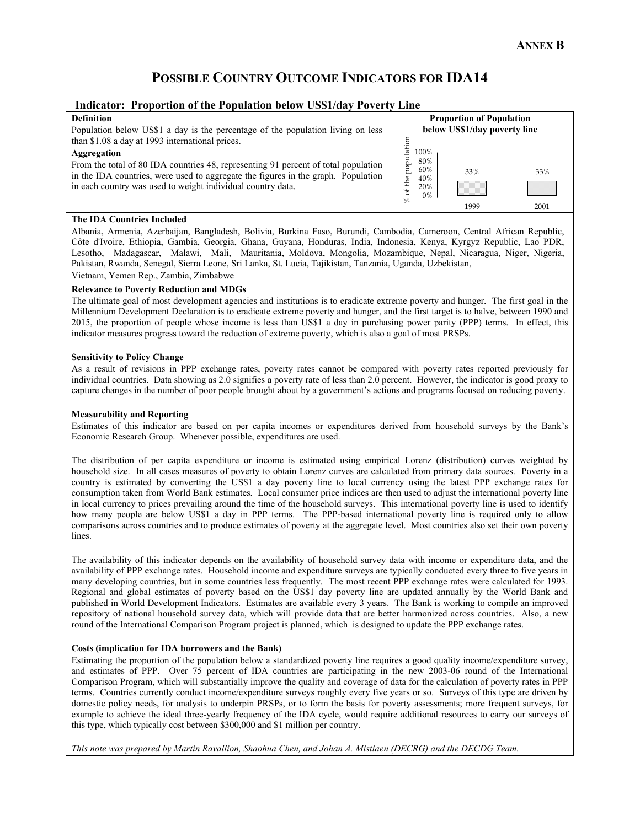# **POSSIBLE COUNTRY OUTCOME INDICATORS FOR IDA14**

#### **Indicator: Proportion of the Population below US\$1/day Poverty Line**

#### **Definition**

Population below US\$1 a day is the percentage of the population living on less than \$1.08 a day at 1993 international prices.

## **Aggregation**

From the total of 80 IDA countries 48, representing 91 percent of total population in the IDA countries, were used to aggregate the figures in the graph. Population in each country was used to weight individual country data.

|                                                  | <b>Proportion of Population</b><br>below US\$1/day poverty line |      |
|--------------------------------------------------|-----------------------------------------------------------------|------|
| % of the population<br>100%<br>80%<br>60%<br>40% | 33%                                                             | 33%  |
| 20%<br>0%                                        | 1999                                                            | 2001 |

#### **The IDA Countries Included**

Albania, Armenia, Azerbaijan, Bangladesh, Bolivia, Burkina Faso, Burundi, Cambodia, Cameroon, Central African Republic, Côte d'Ivoire, Ethiopia, Gambia, Georgia, Ghana, Guyana, Honduras, India, Indonesia, Kenya, Kyrgyz Republic, Lao PDR, Lesotho, Madagascar, Malawi, Mali, Mauritania, Moldova, Mongolia, Mozambique, Nepal, Nicaragua, Niger, Nigeria, Pakistan, Rwanda, Senegal, Sierra Leone, Sri Lanka, St. Lucia, Tajikistan, Tanzania, Uganda, Uzbekistan, Vietnam, Yemen Rep., Zambia, Zimbabwe

## **Relevance to Poverty Reduction and MDGs**

The ultimate goal of most development agencies and institutions is to eradicate extreme poverty and hunger. The first goal in the Millennium Development Declaration is to eradicate extreme poverty and hunger, and the first target is to halve, between 1990 and 2015, the proportion of people whose income is less than US\$1 a day in purchasing power parity (PPP) terms. In effect, this indicator measures progress toward the reduction of extreme poverty, which is also a goal of most PRSPs.

#### **Sensitivity to Policy Change**

As a result of revisions in PPP exchange rates, poverty rates cannot be compared with poverty rates reported previously for individual countries. Data showing as 2.0 signifies a poverty rate of less than 2.0 percent. However, the indicator is good proxy to capture changes in the number of poor people brought about by a government's actions and programs focused on reducing poverty.

#### **Measurability and Reporting**

Estimates of this indicator are based on per capita incomes or expenditures derived from household surveys by the Bank's Economic Research Group. Whenever possible, expenditures are used.

The distribution of per capita expenditure or income is estimated using empirical Lorenz (distribution) curves weighted by household size. In all cases measures of poverty to obtain Lorenz curves are calculated from primary data sources. Poverty in a country is estimated by converting the US\$1 a day poverty line to local currency using the latest PPP exchange rates for consumption taken from World Bank estimates. Local consumer price indices are then used to adjust the international poverty line in local currency to prices prevailing around the time of the household surveys. This international poverty line is used to identify how many people are below US\$1 a day in PPP terms. The PPP-based international poverty line is required only to allow comparisons across countries and to produce estimates of poverty at the aggregate level. Most countries also set their own poverty lines.

The availability of this indicator depends on the availability of household survey data with income or expenditure data, and the availability of PPP exchange rates. Household income and expenditure surveys are typically conducted every three to five years in many developing countries, but in some countries less frequently. The most recent PPP exchange rates were calculated for 1993. Regional and global estimates of poverty based on the US\$1 day poverty line are updated annually by the World Bank and published in World Development Indicators. Estimates are available every 3 years. The Bank is working to compile an improved repository of national household survey data, which will provide data that are better harmonized across countries. Also, a new round of the International Comparison Program project is planned, which is designed to update the PPP exchange rates.

#### **Costs (implication for IDA borrowers and the Bank)**

Estimating the proportion of the population below a standardized poverty line requires a good quality income/expenditure survey, and estimates of PPP. Over 75 percent of IDA countries are participating in the new 2003-06 round of the International Comparison Program, which will substantially improve the quality and coverage of data for the calculation of poverty rates in PPP terms. Countries currently conduct income/expenditure surveys roughly every five years or so. Surveys of this type are driven by domestic policy needs, for analysis to underpin PRSPs, or to form the basis for poverty assessments; more frequent surveys, for example to achieve the ideal three-yearly frequency of the IDA cycle, would require additional resources to carry our surveys of this type, which typically cost between \$300,000 and \$1 million per country.

*This note was prepared by Martin Ravallion, Shaohua Chen, and Johan A. Mistiaen (DECRG) and the DECDG Team.*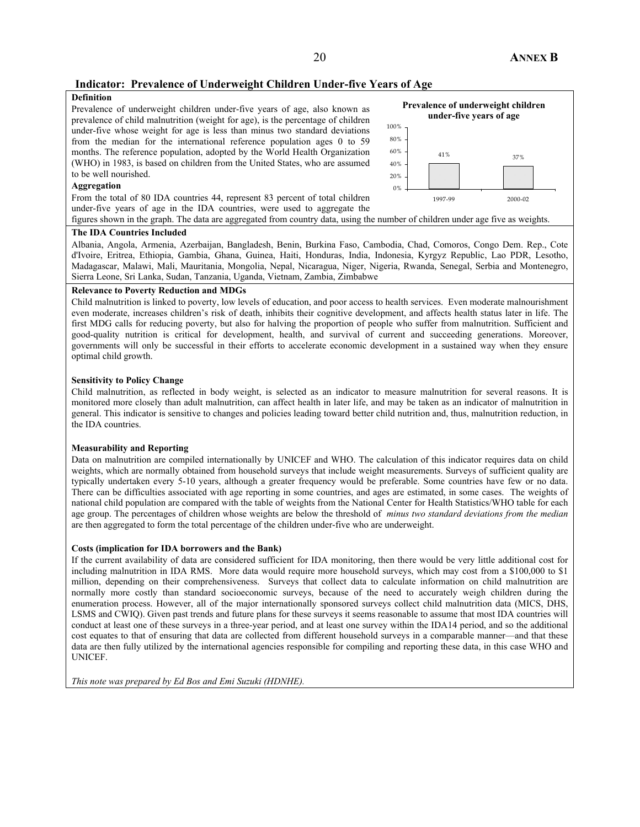## **Indicator: Prevalence of Underweight Children Under-five Years of Age**

## **Definition**

Prevalence of underweight children under-five years of age, also known as prevalence of child malnutrition (weight for age), is the percentage of children under-five whose weight for age is less than minus two standard deviations from the median for the international reference population ages 0 to 59 months. The reference population, adopted by the World Health Organization (WHO) in 1983, is based on children from the United States, who are assumed to be well nourished.

#### **Aggregation**

From the total of 80 IDA countries 44, represent 83 percent of total children under-five years of age in the IDA countries, were used to aggregate the



figures shown in the graph. The data are aggregated from country data, using the number of children under age five as weights.

#### **The IDA Countries Included**

Albania, Angola, Armenia, Azerbaijan, Bangladesh, Benin, Burkina Faso, Cambodia, Chad, Comoros, Congo Dem. Rep., Cote d'Ivoire, Eritrea, Ethiopia, Gambia, Ghana, Guinea, Haiti, Honduras, India, Indonesia, Kyrgyz Republic, Lao PDR, Lesotho, Madagascar, Malawi, Mali, Mauritania, Mongolia, Nepal, Nicaragua, Niger, Nigeria, Rwanda, Senegal, Serbia and Montenegro, Sierra Leone, Sri Lanka, Sudan, Tanzania, Uganda, Vietnam, Zambia, Zimbabwe

#### **Relevance to Poverty Reduction and MDGs**

Child malnutrition is linked to poverty, low levels of education, and poor access to health services. Even moderate malnourishment even moderate, increases children's risk of death, inhibits their cognitive development, and affects health status later in life. The first MDG calls for reducing poverty, but also for halving the proportion of people who suffer from malnutrition. Sufficient and good-quality nutrition is critical for development, health, and survival of current and succeeding generations. Moreover, governments will only be successful in their efforts to accelerate economic development in a sustained way when they ensure optimal child growth.

#### **Sensitivity to Policy Change**

Child malnutrition, as reflected in body weight, is selected as an indicator to measure malnutrition for several reasons. It is monitored more closely than adult malnutrition, can affect health in later life, and may be taken as an indicator of malnutrition in general. This indicator is sensitive to changes and policies leading toward better child nutrition and, thus, malnutrition reduction, in the IDA countries.

#### **Measurability and Reporting**

Data on malnutrition are compiled internationally by UNICEF and WHO. The calculation of this indicator requires data on child weights, which are normally obtained from household surveys that include weight measurements. Surveys of sufficient quality are typically undertaken every 5-10 years, although a greater frequency would be preferable. Some countries have few or no data. There can be difficulties associated with age reporting in some countries, and ages are estimated, in some cases. The weights of national child population are compared with the table of weights from the National Center for Health Statistics/WHO table for each age group. The percentages of children whose weights are below the threshold of *minus two standard deviations from the median* are then aggregated to form the total percentage of the children under-five who are underweight.

#### **Costs (implication for IDA borrowers and the Bank)**

If the current availability of data are considered sufficient for IDA monitoring, then there would be very little additional cost for including malnutrition in IDA RMS. More data would require more household surveys, which may cost from a \$100,000 to \$1 million, depending on their comprehensiveness. Surveys that collect data to calculate information on child malnutrition are normally more costly than standard socioeconomic surveys, because of the need to accurately weigh children during the enumeration process. However, all of the major internationally sponsored surveys collect child malnutrition data (MICS, DHS, LSMS and CWIQ). Given past trends and future plans for these surveys it seems reasonable to assume that most IDA countries will conduct at least one of these surveys in a three-year period, and at least one survey within the IDA14 period, and so the additional cost equates to that of ensuring that data are collected from different household surveys in a comparable manner—and that these data are then fully utilized by the international agencies responsible for compiling and reporting these data, in this case WHO and UNICEF.

*This note was prepared by Ed Bos and Emi Suzuki (HDNHE).*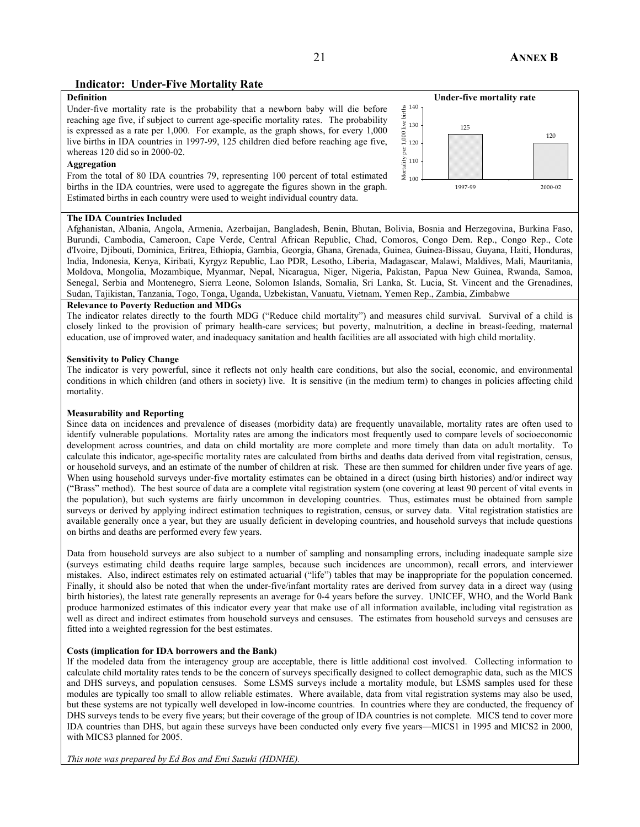## **Indicator: Under-Five Mortality Rate**

## **Definition**

Under-five mortality rate is the probability that a newborn baby will die before reaching age five, if subject to current age-specific mortality rates. The probability is expressed as a rate per 1,000. For example, as the graph shows, for every 1,000 live births in IDA countries in 1997-99, 125 children died before reaching age five, whereas 120 did so in 2000-02.

#### **Aggregation**

From the total of 80 IDA countries 79, representing 100 percent of total estimated births in the IDA countries, were used to aggregate the figures shown in the graph. Estimated births in each country were used to weight individual country data.

#### **Under-five mortality rate**   $\underset{1}{\overset{\circ}{\mathbb{H}}}$   $^{140}$ Mortality per 1,000 live births $\frac{9}{14}$  130 125  $\begin{bmatrix} 1 & 0 \\ 0 & 0 \\ 0 & 1 \end{bmatrix}$ 120  $_{\rm per}$ 110 100 1997-99 2000-02

#### **The IDA Countries Included**

Afghanistan, Albania, Angola, Armenia, Azerbaijan, Bangladesh, Benin, Bhutan, Bolivia, Bosnia and Herzegovina, Burkina Faso, Burundi, Cambodia, Cameroon, Cape Verde, Central African Republic, Chad, Comoros, Congo Dem. Rep., Congo Rep., Cote d'Ivoire, Djibouti, Dominica, Eritrea, Ethiopia, Gambia, Georgia, Ghana, Grenada, Guinea, Guinea-Bissau, Guyana, Haiti, Honduras, India, Indonesia, Kenya, Kiribati, Kyrgyz Republic, Lao PDR, Lesotho, Liberia, Madagascar, Malawi, Maldives, Mali, Mauritania, Moldova, Mongolia, Mozambique, Myanmar, Nepal, Nicaragua, Niger, Nigeria, Pakistan, Papua New Guinea, Rwanda, Samoa, Senegal, Serbia and Montenegro, Sierra Leone, Solomon Islands, Somalia, Sri Lanka, St. Lucia, St. Vincent and the Grenadines, Sudan, Tajikistan, Tanzania, Togo, Tonga, Uganda, Uzbekistan, Vanuatu, Vietnam, Yemen Rep., Zambia, Zimbabwe

### **Relevance to Poverty Reduction and MDGs**

The indicator relates directly to the fourth MDG ("Reduce child mortality") and measures child survival. Survival of a child is closely linked to the provision of primary health-care services; but poverty, malnutrition, a decline in breast-feeding, maternal education, use of improved water, and inadequacy sanitation and health facilities are all associated with high child mortality.

#### **Sensitivity to Policy Change**

The indicator is very powerful, since it reflects not only health care conditions, but also the social, economic, and environmental conditions in which children (and others in society) live. It is sensitive (in the medium term) to changes in policies affecting child mortality.

#### **Measurability and Reporting**

Since data on incidences and prevalence of diseases (morbidity data) are frequently unavailable, mortality rates are often used to identify vulnerable populations. Mortality rates are among the indicators most frequently used to compare levels of socioeconomic development across countries, and data on child mortality are more complete and more timely than data on adult mortality. To calculate this indicator, age-specific mortality rates are calculated from births and deaths data derived from vital registration, census, or household surveys, and an estimate of the number of children at risk. These are then summed for children under five years of age. When using household surveys under-five mortality estimates can be obtained in a direct (using birth histories) and/or indirect way ("Brass" method). The best source of data are a complete vital registration system (one covering at least 90 percent of vital events in the population), but such systems are fairly uncommon in developing countries. Thus, estimates must be obtained from sample surveys or derived by applying indirect estimation techniques to registration, census, or survey data. Vital registration statistics are available generally once a year, but they are usually deficient in developing countries, and household surveys that include questions on births and deaths are performed every few years.

Data from household surveys are also subject to a number of sampling and nonsampling errors, including inadequate sample size (surveys estimating child deaths require large samples, because such incidences are uncommon), recall errors, and interviewer mistakes. Also, indirect estimates rely on estimated actuarial ("life") tables that may be inappropriate for the population concerned. Finally, it should also be noted that when the under-five/infant mortality rates are derived from survey data in a direct way (using birth histories), the latest rate generally represents an average for 0-4 years before the survey. UNICEF, WHO, and the World Bank produce harmonized estimates of this indicator every year that make use of all information available, including vital registration as well as direct and indirect estimates from household surveys and censuses. The estimates from household surveys and censuses are fitted into a weighted regression for the best estimates.

#### **Costs (implication for IDA borrowers and the Bank)**

If the modeled data from the interagency group are acceptable, there is little additional cost involved. Collecting information to calculate child mortality rates tends to be the concern of surveys specifically designed to collect demographic data, such as the MICS and DHS surveys, and population censuses. Some LSMS surveys include a mortality module, but LSMS samples used for these modules are typically too small to allow reliable estimates. Where available, data from vital registration systems may also be used, but these systems are not typically well developed in low-income countries. In countries where they are conducted, the frequency of DHS surveys tends to be every five years; but their coverage of the group of IDA countries is not complete. MICS tend to cover more IDA countries than DHS, but again these surveys have been conducted only every five years—MICS1 in 1995 and MICS2 in 2000, with MICS3 planned for 2005.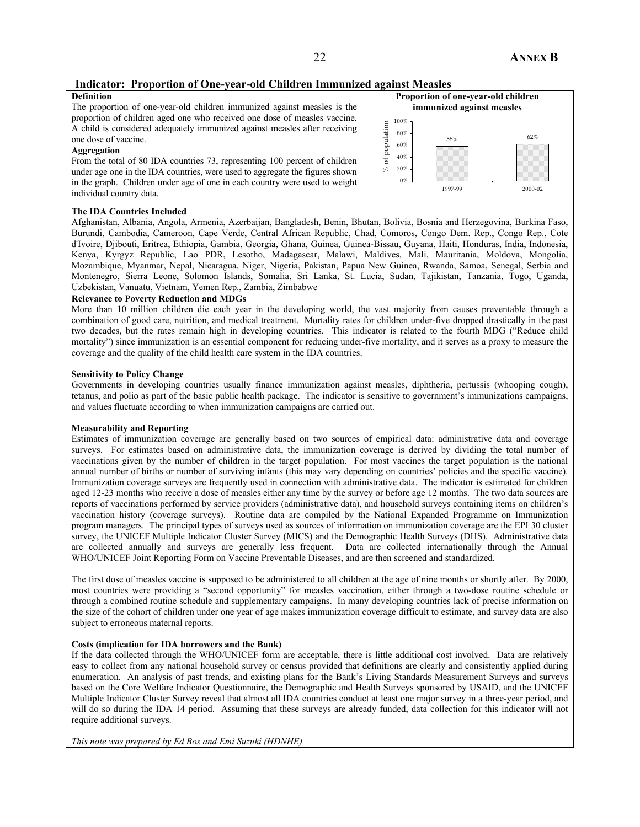## **Indicator: Proportion of One-year-old Children Immunized against Measles**

#### **Definition**

The proportion of one-year-old children immunized against measles is the proportion of children aged one who received one dose of measles vaccine. A child is considered adequately immunized against measles after receiving one dose of vaccine.

#### **Aggregation**

From the total of 80 IDA countries 73, representing 100 percent of children under age one in the IDA countries, were used to aggregate the figures shown in the graph. Children under age of one in each country were used to weight individual country data.



#### **The IDA Countries Included**

Afghanistan, Albania, Angola, Armenia, Azerbaijan, Bangladesh, Benin, Bhutan, Bolivia, Bosnia and Herzegovina, Burkina Faso, Burundi, Cambodia, Cameroon, Cape Verde, Central African Republic, Chad, Comoros, Congo Dem. Rep., Congo Rep., Cote d'Ivoire, Djibouti, Eritrea, Ethiopia, Gambia, Georgia, Ghana, Guinea, Guinea-Bissau, Guyana, Haiti, Honduras, India, Indonesia, Kenya, Kyrgyz Republic, Lao PDR, Lesotho, Madagascar, Malawi, Maldives, Mali, Mauritania, Moldova, Mongolia, Mozambique, Myanmar, Nepal, Nicaragua, Niger, Nigeria, Pakistan, Papua New Guinea, Rwanda, Samoa, Senegal, Serbia and Montenegro, Sierra Leone, Solomon Islands, Somalia, Sri Lanka, St. Lucia, Sudan, Tajikistan, Tanzania, Togo, Uganda, Uzbekistan, Vanuatu, Vietnam, Yemen Rep., Zambia, Zimbabwe

#### **Relevance to Poverty Reduction and MDGs**

More than 10 million children die each year in the developing world, the vast majority from causes preventable through a combination of good care, nutrition, and medical treatment. Mortality rates for children under-five dropped drastically in the past two decades, but the rates remain high in developing countries. This indicator is related to the fourth MDG ("Reduce child mortality") since immunization is an essential component for reducing under-five mortality, and it serves as a proxy to measure the coverage and the quality of the child health care system in the IDA countries.

#### **Sensitivity to Policy Change**

Governments in developing countries usually finance immunization against measles, diphtheria, pertussis (whooping cough), tetanus, and polio as part of the basic public health package. The indicator is sensitive to government's immunizations campaigns, and values fluctuate according to when immunization campaigns are carried out.

#### **Measurability and Reporting**

Estimates of immunization coverage are generally based on two sources of empirical data: administrative data and coverage surveys. For estimates based on administrative data, the immunization coverage is derived by dividing the total number of vaccinations given by the number of children in the target population. For most vaccines the target population is the national annual number of births or number of surviving infants (this may vary depending on countries' policies and the specific vaccine). Immunization coverage surveys are frequently used in connection with administrative data. The indicator is estimated for children aged 12-23 months who receive a dose of measles either any time by the survey or before age 12 months. The two data sources are reports of vaccinations performed by service providers (administrative data), and household surveys containing items on children's vaccination history (coverage surveys). Routine data are compiled by the National Expanded Programme on Immunization program managers. The principal types of surveys used as sources of information on immunization coverage are the EPI 30 cluster survey, the UNICEF Multiple Indicator Cluster Survey (MICS) and the Demographic Health Surveys (DHS). Administrative data are collected annually and surveys are generally less frequent. Data are collected internationally through the Annual WHO/UNICEF Joint Reporting Form on Vaccine Preventable Diseases, and are then screened and standardized.

The first dose of measles vaccine is supposed to be administered to all children at the age of nine months or shortly after. By 2000, most countries were providing a "second opportunity" for measles vaccination, either through a two-dose routine schedule or through a combined routine schedule and supplementary campaigns. In many developing countries lack of precise information on the size of the cohort of children under one year of age makes immunization coverage difficult to estimate, and survey data are also subject to erroneous maternal reports.

#### **Costs (implication for IDA borrowers and the Bank)**

If the data collected through the WHO/UNICEF form are acceptable, there is little additional cost involved. Data are relatively easy to collect from any national household survey or census provided that definitions are clearly and consistently applied during enumeration. An analysis of past trends, and existing plans for the Bank's Living Standards Measurement Surveys and surveys based on the Core Welfare Indicator Questionnaire, the Demographic and Health Surveys sponsored by USAID, and the UNICEF Multiple Indicator Cluster Survey reveal that almost all IDA countries conduct at least one major survey in a three-year period, and will do so during the IDA 14 period. Assuming that these surveys are already funded, data collection for this indicator will not require additional surveys.

*This note was prepared by Ed Bos and Emi Suzuki (HDNHE).*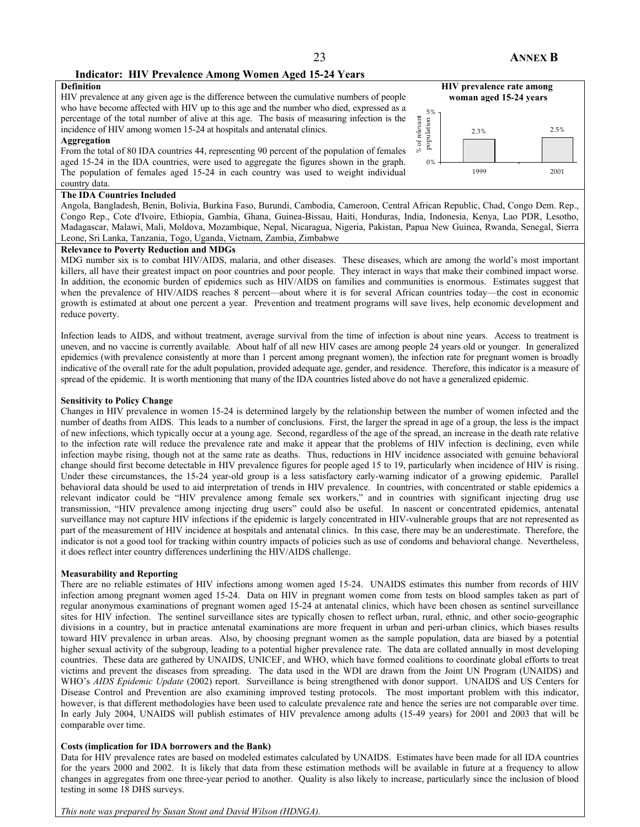#### **Indicator: HIV Prevalence Among Women Aged 15-24 Years**

## **Definition**

HIV prevalence at any given age is the difference between the cumulative numbers of people who have become affected with HIV up to this age and the number who died, expressed as a percentage of the total number of alive at this age. The basis of measuring infection is the incidence of HIV among women 15-24 at hospitals and antenatal clinics.

#### **Aggregation**

From the total of 80 IDA countries 44, representing 90 percent of the population of females aged 15-24 in the IDA countries, were used to aggregate the figures shown in the graph. The population of females aged 15-24 in each country was used to weight individual country data.



#### **The IDA Countries Included**

Angola, Bangladesh, Benin, Bolivia, Burkina Faso, Burundi, Cambodia, Cameroon, Central African Republic, Chad, Congo Dem. Rep., Congo Rep., Cote d'Ivoire, Ethiopia, Gambia, Ghana, Guinea-Bissau, Haiti, Honduras, India, Indonesia, Kenya, Lao PDR, Lesotho, Madagascar, Malawi, Mali, Moldova, Mozambique, Nepal, Nicaragua, Nigeria, Pakistan, Papua New Guinea, Rwanda, Senegal, Sierra Leone, Sri Lanka, Tanzania, Togo, Uganda, Vietnam, Zambia, Zimbabwe

#### **Relevance to Poverty Reduction and MDGs**

MDG number six is to combat HIV/AIDS, malaria, and other diseases. These diseases, which are among the world's most important killers, all have their greatest impact on poor countries and poor people. They interact in ways that make their combined impact worse. In addition, the economic burden of epidemics such as HIV/AIDS on families and communities is enormous. Estimates suggest that when the prevalence of HIV/AIDS reaches 8 percent—about where it is for several African countries today—the cost in economic growth is estimated at about one percent a year. Prevention and treatment programs will save lives, help economic development and reduce poverty.

Infection leads to AIDS, and without treatment, average survival from the time of infection is about nine years. Access to treatment is uneven, and no vaccine is currently available. About half of all new HIV cases are among people 24 years old or younger. In generalized epidemics (with prevalence consistently at more than 1 percent among pregnant women), the infection rate for pregnant women is broadly indicative of the overall rate for the adult population, provided adequate age, gender, and residence. Therefore, this indicator is a measure of spread of the epidemic. It is worth mentioning that many of the IDA countries listed above do not have a generalized epidemic.

#### **Sensitivity to Policy Change**

Changes in HIV prevalence in women 15-24 is determined largely by the relationship between the number of women infected and the number of deaths from AIDS. This leads to a number of conclusions. First, the larger the spread in age of a group, the less is the impact of new infections, which typically occur at a young age. Second, regardless of the age of the spread, an increase in the death rate relative to the infection rate will reduce the prevalence rate and make it appear that the problems of HIV infection is declining, even while infection maybe rising, though not at the same rate as deaths. Thus, reductions in HIV incidence associated with genuine behavioral change should first become detectable in HIV prevalence figures for people aged 15 to 19, particularly when incidence of HIV is rising. Under these circumstances, the 15-24 year-old group is a less satisfactory early-warning indicator of a growing epidemic. Parallel behavioral data should be used to aid interpretation of trends in HIV prevalence. In countries, with concentrated or stable epidemics a relevant indicator could be "HIV prevalence among female sex workers," and in countries with significant injecting drug use transmission, "HIV prevalence among injecting drug users" could also be useful. In nascent or concentrated epidemics, antenatal surveillance may not capture HIV infections if the epidemic is largely concentrated in HIV-vulnerable groups that are not represented as part of the measurement of HIV incidence at hospitals and antenatal clinics. In this case, there may be an underestimate. Therefore, the indicator is not a good tool for tracking within country impacts of policies such as use of condoms and behavioral change. Nevertheless, it does reflect inter country differences underlining the HIV/AIDS challenge.

#### **Measurability and Reporting**

There are no reliable estimates of HIV infections among women aged 15-24. UNAIDS estimates this number from records of HIV infection among pregnant women aged 15-24. Data on HIV in pregnant women come from tests on blood samples taken as part of regular anonymous examinations of pregnant women aged 15-24 at antenatal clinics, which have been chosen as sentinel surveillance sites for HIV infection. The sentinel surveillance sites are typically chosen to reflect urban, rural, ethnic, and other socio-geographic divisions in a country, but in practice antenatal examinations are more frequent in urban and peri-urban clinics, which biases results toward HIV prevalence in urban areas. Also, by choosing pregnant women as the sample population, data are biased by a potential higher sexual activity of the subgroup, leading to a potential higher prevalence rate. The data are collated annually in most developing countries. These data are gathered by UNAIDS, UNICEF, and WHO, which have formed coalitions to coordinate global efforts to treat victims and prevent the diseases from spreading. The data used in the WDI are drawn from the Joint UN Program (UNAIDS) and WHO's *AIDS Epidemic Update* (2002) report. Surveillance is being strengthened with donor support. UNAIDS and US Centers for Disease Control and Prevention are also examining improved testing protocols.The most important problem with this indicator, however, is that different methodologies have been used to calculate prevalence rate and hence the series are not comparable over time. In early July 2004, UNAIDS will publish estimates of HIV prevalence among adults (15-49 years) for 2001 and 2003 that will be comparable over time.

#### **Costs (implication for IDA borrowers and the Bank)**

Data for HIV prevalence rates are based on modeled estimates calculated by UNAIDS. Estimates have been made for all IDA countries for the years 2000 and 2002. It is likely that data from these estimation methods will be available in future at a frequency to allow changes in aggregates from one three-year period to another. Quality is also likely to increase, particularly since the inclusion of blood testing in some 18 DHS surveys.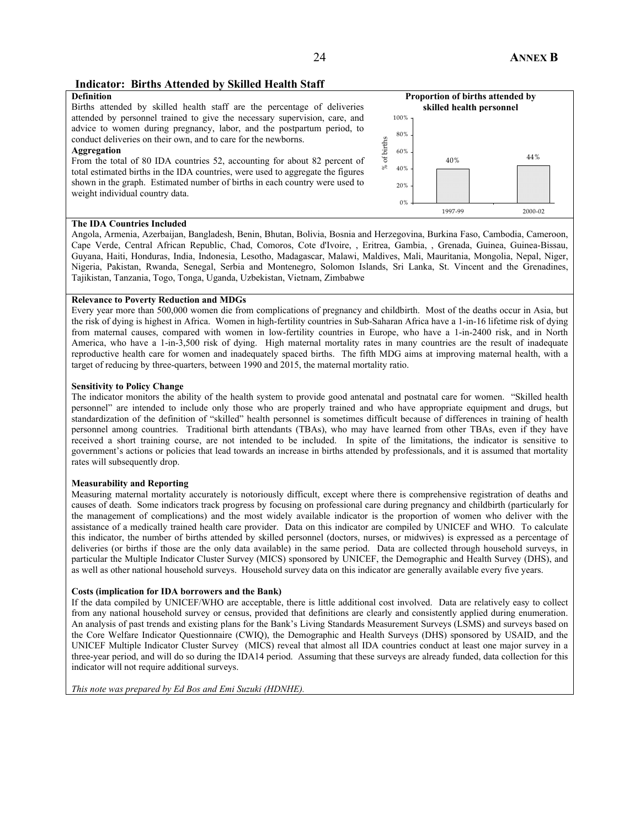### **Indicator: Births Attended by Skilled Health Staff**

#### **Definition**

Births attended by skilled health staff are the percentage of deliveries attended by personnel trained to give the necessary supervision, care, and advice to women during pregnancy, labor, and the postpartum period, to conduct deliveries on their own, and to care for the newborns.

#### **Aggregation**

From the total of 80 IDA countries 52, accounting for about 82 percent of total estimated births in the IDA countries, were used to aggregate the figures shown in the graph. Estimated number of births in each country were used to weight individual country data.



#### **The IDA Countries Included**

Angola, Armenia, Azerbaijan, Bangladesh, Benin, Bhutan, Bolivia, Bosnia and Herzegovina, Burkina Faso, Cambodia, Cameroon, Cape Verde, Central African Republic, Chad, Comoros, Cote d'Ivoire, , Eritrea, Gambia, , Grenada, Guinea, Guinea-Bissau, Guyana, Haiti, Honduras, India, Indonesia, Lesotho, Madagascar, Malawi, Maldives, Mali, Mauritania, Mongolia, Nepal, Niger, Nigeria, Pakistan, Rwanda, Senegal, Serbia and Montenegro, Solomon Islands, Sri Lanka, St. Vincent and the Grenadines, Tajikistan, Tanzania, Togo, Tonga, Uganda, Uzbekistan, Vietnam, Zimbabwe

#### **Relevance to Poverty Reduction and MDGs**

Every year more than 500,000 women die from complications of pregnancy and childbirth. Most of the deaths occur in Asia, but the risk of dying is highest in Africa. Women in high-fertility countries in Sub-Saharan Africa have a 1-in-16 lifetime risk of dying from maternal causes, compared with women in low-fertility countries in Europe, who have a 1-in-2400 risk, and in North America, who have a 1-in-3,500 risk of dying. High maternal mortality rates in many countries are the result of inadequate reproductive health care for women and inadequately spaced births. The fifth MDG aims at improving maternal health, with a target of reducing by three-quarters, between 1990 and 2015, the maternal mortality ratio.

#### **Sensitivity to Policy Change**

The indicator monitors the ability of the health system to provide good antenatal and postnatal care for women. "Skilled health personnel" are intended to include only those who are properly trained and who have appropriate equipment and drugs, but standardization of the definition of "skilled" health personnel is sometimes difficult because of differences in training of health personnel among countries. Traditional birth attendants (TBAs), who may have learned from other TBAs, even if they have received a short training course, are not intended to be included. In spite of the limitations, the indicator is sensitive to government's actions or policies that lead towards an increase in births attended by professionals, and it is assumed that mortality rates will subsequently drop.

#### **Measurability and Reporting**

Measuring maternal mortality accurately is notoriously difficult, except where there is comprehensive registration of deaths and causes of death. Some indicators track progress by focusing on professional care during pregnancy and childbirth (particularly for the management of complications) and the most widely available indicator is the proportion of women who deliver with the assistance of a medically trained health care provider. Data on this indicator are compiled by UNICEF and WHO. To calculate this indicator, the number of births attended by skilled personnel (doctors, nurses, or midwives) is expressed as a percentage of deliveries (or births if those are the only data available) in the same period. Data are collected through household surveys, in particular the Multiple Indicator Cluster Survey (MICS) sponsored by UNICEF, the Demographic and Health Survey (DHS), and as well as other national household surveys. Household survey data on this indicator are generally available every five years.

#### **Costs (implication for IDA borrowers and the Bank)**

If the data compiled by UNICEF/WHO are acceptable, there is little additional cost involved. Data are relatively easy to collect from any national household survey or census, provided that definitions are clearly and consistently applied during enumeration. An analysis of past trends and existing plans for the Bank's Living Standards Measurement Surveys (LSMS) and surveys based on the Core Welfare Indicator Questionnaire (CWIQ), the Demographic and Health Surveys (DHS) sponsored by USAID, and the UNICEF Multiple Indicator Cluster Survey (MICS) reveal that almost all IDA countries conduct at least one major survey in a three-year period, and will do so during the IDA14 period. Assuming that these surveys are already funded, data collection for this indicator will not require additional surveys.

*This note was prepared by Ed Bos and Emi Suzuki (HDNHE).*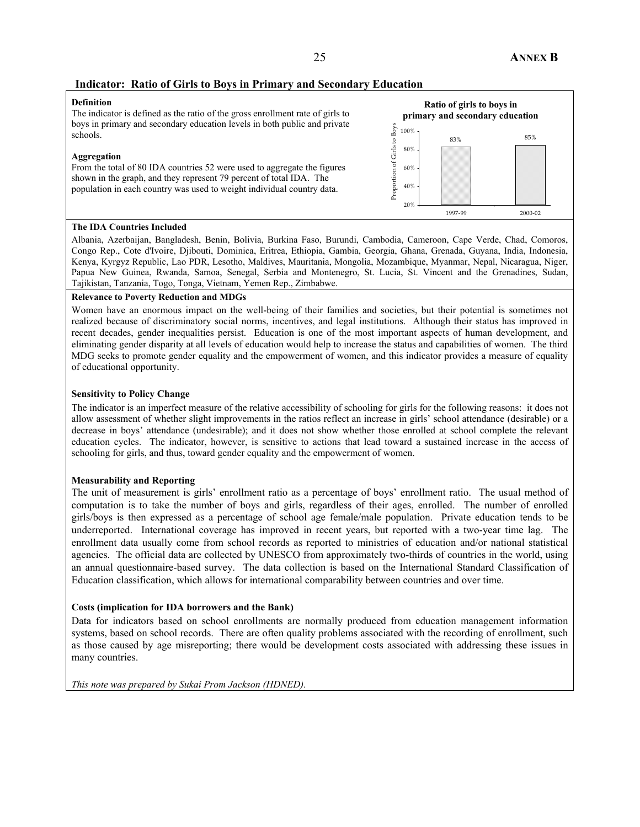## **Indicator: Ratio of Girls to Boys in Primary and Secondary Education**

#### **Definition**

The indicator is defined as the ratio of the gross enrollment rate of girls to boys in primary and secondary education levels in both public and private schools.

#### **Aggregation**

From the total of 80 IDA countries 52 were used to aggregate the figures shown in the graph, and they represent 79 percent of total IDA. The population in each country was used to weight individual country data.



#### **The IDA Countries Included**

Albania, Azerbaijan, Bangladesh, Benin, Bolivia, Burkina Faso, Burundi, Cambodia, Cameroon, Cape Verde, Chad, Comoros, Congo Rep., Cote d'Ivoire, Djibouti, Dominica, Eritrea, Ethiopia, Gambia, Georgia, Ghana, Grenada, Guyana, India, Indonesia, Kenya, Kyrgyz Republic, Lao PDR, Lesotho, Maldives, Mauritania, Mongolia, Mozambique, Myanmar, Nepal, Nicaragua, Niger, Papua New Guinea, Rwanda, Samoa, Senegal, Serbia and Montenegro, St. Lucia, St. Vincent and the Grenadines, Sudan, Tajikistan, Tanzania, Togo, Tonga, Vietnam, Yemen Rep., Zimbabwe.

#### **Relevance to Poverty Reduction and MDGs**

Women have an enormous impact on the well-being of their families and societies, but their potential is sometimes not realized because of discriminatory social norms, incentives, and legal institutions. Although their status has improved in recent decades, gender inequalities persist. Education is one of the most important aspects of human development, and eliminating gender disparity at all levels of education would help to increase the status and capabilities of women. The third MDG seeks to promote gender equality and the empowerment of women, and this indicator provides a measure of equality of educational opportunity.

#### **Sensitivity to Policy Change**

The indicator is an imperfect measure of the relative accessibility of schooling for girls for the following reasons: it does not allow assessment of whether slight improvements in the ratios reflect an increase in girls' school attendance (desirable) or a decrease in boys' attendance (undesirable); and it does not show whether those enrolled at school complete the relevant education cycles. The indicator, however, is sensitive to actions that lead toward a sustained increase in the access of schooling for girls, and thus, toward gender equality and the empowerment of women.

#### **Measurability and Reporting**

The unit of measurement is girls' enrollment ratio as a percentage of boys' enrollment ratio. The usual method of computation is to take the number of boys and girls, regardless of their ages, enrolled. The number of enrolled girls/boys is then expressed as a percentage of school age female/male population. Private education tends to be underreported. International coverage has improved in recent years, but reported with a two-year time lag. The enrollment data usually come from school records as reported to ministries of education and/or national statistical agencies. The official data are collected by UNESCO from approximately two-thirds of countries in the world, using an annual questionnaire-based survey. The data collection is based on the International Standard Classification of Education classification, which allows for international comparability between countries and over time.

#### **Costs (implication for IDA borrowers and the Bank)**

Data for indicators based on school enrollments are normally produced from education management information systems, based on school records. There are often quality problems associated with the recording of enrollment, such as those caused by age misreporting; there would be development costs associated with addressing these issues in many countries.

*This note was prepared by Sukai Prom Jackson (HDNED).*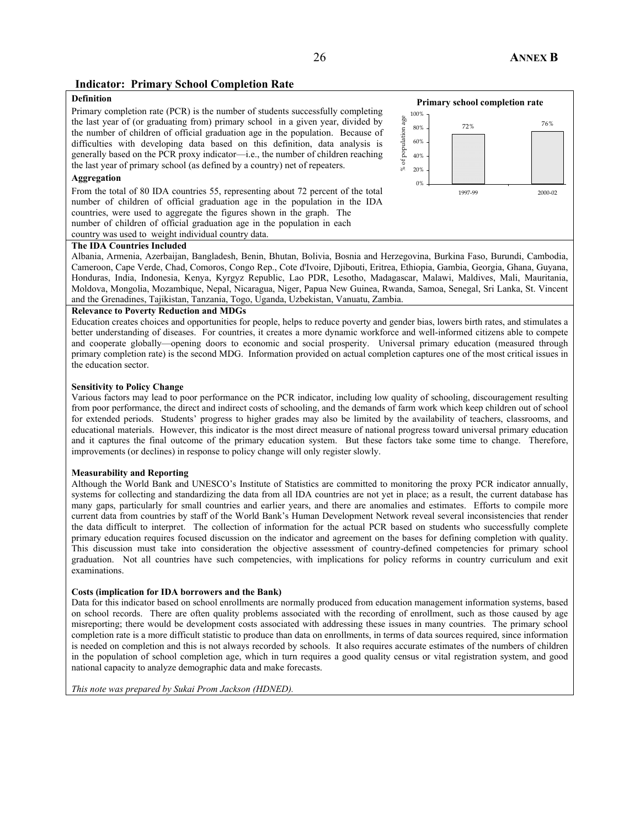## **Indicator: Primary School Completion Rate**

## **Definition**

Primary completion rate (PCR) is the number of students successfully completing the last year of (or graduating from) primary school in a given year, divided by the number of children of official graduation age in the population. Because of difficulties with developing data based on this definition, data analysis is generally based on the PCR proxy indicator—i.e., the number of children reaching the last year of primary school (as defined by a country) net of repeaters.

### **Aggregation**

From the total of 80 IDA countries 55, representing about 72 percent of the total number of children of official graduation age in the population in the IDA countries, were used to aggregate the figures shown in the graph. The number of children of official graduation age in the population in each



#### **The IDA Countries Included**

Albania, Armenia, Azerbaijan, Bangladesh, Benin, Bhutan, Bolivia, Bosnia and Herzegovina, Burkina Faso, Burundi, Cambodia, Cameroon, Cape Verde, Chad, Comoros, Congo Rep., Cote d'Ivoire, Djibouti, Eritrea, Ethiopia, Gambia, Georgia, Ghana, Guyana, Honduras, India, Indonesia, Kenya, Kyrgyz Republic, Lao PDR, Lesotho, Madagascar, Malawi, Maldives, Mali, Mauritania, Moldova, Mongolia, Mozambique, Nepal, Nicaragua, Niger, Papua New Guinea, Rwanda, Samoa, Senegal, Sri Lanka, St. Vincent and the Grenadines, Tajikistan, Tanzania, Togo, Uganda, Uzbekistan, Vanuatu, Zambia.

#### **Relevance to Poverty Reduction and MDGs**

Education creates choices and opportunities for people, helps to reduce poverty and gender bias, lowers birth rates, and stimulates a better understanding of diseases. For countries, it creates a more dynamic workforce and well-informed citizens able to compete and cooperate globally—opening doors to economic and social prosperity. Universal primary education (measured through primary completion rate) is the second MDG. Information provided on actual completion captures one of the most critical issues in the education sector.

#### **Sensitivity to Policy Change**

Various factors may lead to poor performance on the PCR indicator, including low quality of schooling, discouragement resulting from poor performance, the direct and indirect costs of schooling, and the demands of farm work which keep children out of school for extended periods. Students' progress to higher grades may also be limited by the availability of teachers, classrooms, and educational materials. However, this indicator is the most direct measure of national progress toward universal primary education and it captures the final outcome of the primary education system. But these factors take some time to change. Therefore, improvements (or declines) in response to policy change will only register slowly.

#### **Measurability and Reporting**

Although the World Bank and UNESCO's Institute of Statistics are committed to monitoring the proxy PCR indicator annually, systems for collecting and standardizing the data from all IDA countries are not yet in place; as a result, the current database has many gaps, particularly for small countries and earlier years, and there are anomalies and estimates. Efforts to compile more current data from countries by staff of the World Bank's Human Development Network reveal several inconsistencies that render the data difficult to interpret. The collection of information for the actual PCR based on students who successfully complete primary education requires focused discussion on the indicator and agreement on the bases for defining completion with quality. This discussion must take into consideration the objective assessment of country-defined competencies for primary school graduation. Not all countries have such competencies, with implications for policy reforms in country curriculum and exit examinations.

#### **Costs (implication for IDA borrowers and the Bank)**

Data for this indicator based on school enrollments are normally produced from education management information systems, based on school records. There are often quality problems associated with the recording of enrollment, such as those caused by age misreporting; there would be development costs associated with addressing these issues in many countries. The primary school completion rate is a more difficult statistic to produce than data on enrollments, in terms of data sources required, since information is needed on completion and this is not always recorded by schools. It also requires accurate estimates of the numbers of children in the population of school completion age, which in turn requires a good quality census or vital registration system, and good national capacity to analyze demographic data and make forecasts.

*This note was prepared by Sukai Prom Jackson (HDNED).*

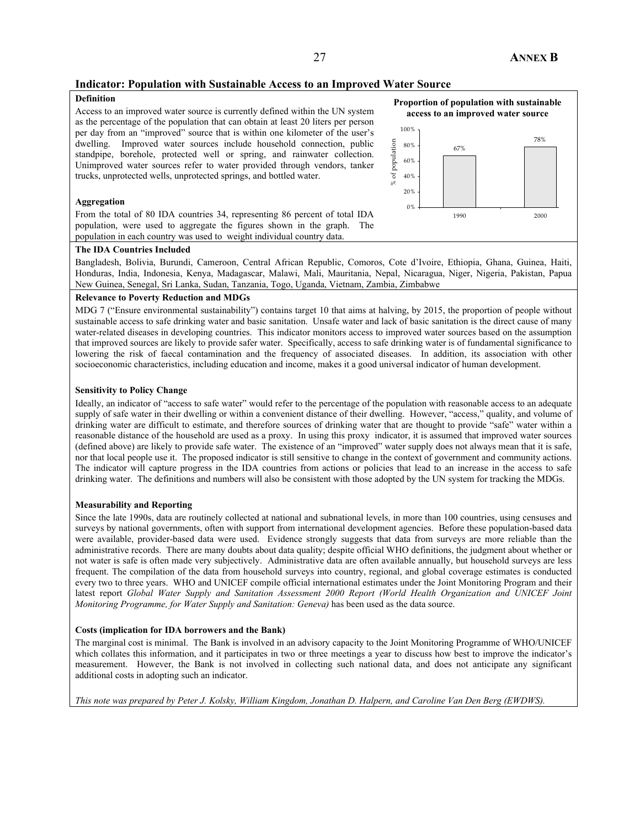## **Indicator: Population with Sustainable Access to an Improved Water Source**

### **Definition**

Access to an improved water source is currently defined within the UN system as the percentage of the population that can obtain at least 20 liters per person per day from an "improved" source that is within one kilometer of the user's dwelling. Improved water sources include household connection, public standpipe, borehole, protected well or spring, and rainwater collection. Unimproved water sources refer to water provided through vendors, tanker trucks, unprotected wells, unprotected springs, and bottled water.

#### **Aggregation**

From the total of 80 IDA countries 34, representing 86 percent of total IDA population, were used to aggregate the figures shown in the graph. The population in each country was used to weight individual country data.





#### **The IDA Countries Included**

Bangladesh, Bolivia, Burundi, Cameroon, Central African Republic, Comoros, Cote d'Ivoire, Ethiopia, Ghana, Guinea, Haiti, Honduras, India, Indonesia, Kenya, Madagascar, Malawi, Mali, Mauritania, Nepal, Nicaragua, Niger, Nigeria, Pakistan, Papua New Guinea, Senegal, Sri Lanka, Sudan, Tanzania, Togo, Uganda, Vietnam, Zambia, Zimbabwe

#### **Relevance to Poverty Reduction and MDGs**

MDG 7 ("Ensure environmental sustainability") contains target 10 that aims at halving, by 2015, the proportion of people without sustainable access to safe drinking water and basic sanitation. Unsafe water and lack of basic sanitation is the direct cause of many water-related diseases in developing countries. This indicator monitors access to improved water sources based on the assumption that improved sources are likely to provide safer water. Specifically, access to safe drinking water is of fundamental significance to lowering the risk of faecal contamination and the frequency of associated diseases. In addition, its association with other socioeconomic characteristics, including education and income, makes it a good universal indicator of human development.

#### **Sensitivity to Policy Change**

Ideally, an indicator of "access to safe water" would refer to the percentage of the population with reasonable access to an adequate supply of safe water in their dwelling or within a convenient distance of their dwelling. However, "access," quality, and volume of drinking water are difficult to estimate, and therefore sources of drinking water that are thought to provide "safe" water within a reasonable distance of the household are used as a proxy. In using this proxy indicator, it is assumed that improved water sources (defined above) are likely to provide safe water. The existence of an "improved" water supply does not always mean that it is safe, nor that local people use it. The proposed indicator is still sensitive to change in the context of government and community actions. The indicator will capture progress in the IDA countries from actions or policies that lead to an increase in the access to safe drinking water. The definitions and numbers will also be consistent with those adopted by the UN system for tracking the MDGs.

#### **Measurability and Reporting**

Since the late 1990s, data are routinely collected at national and subnational levels, in more than 100 countries, using censuses and surveys by national governments, often with support from international development agencies. Before these population-based data were available, provider-based data were used. Evidence strongly suggests that data from surveys are more reliable than the administrative records. There are many doubts about data quality; despite official WHO definitions, the judgment about whether or not water is safe is often made very subjectively. Administrative data are often available annually, but household surveys are less frequent. The compilation of the data from household surveys into country, regional, and global coverage estimates is conducted every two to three years. WHO and UNICEF compile official international estimates under the Joint Monitoring Program and their latest report *Global Water Supply and Sanitation Assessment 2000 Report (World Health Organization and UNICEF Joint Monitoring Programme, for Water Supply and Sanitation: Geneva)* has been used as the data source.

#### **Costs (implication for IDA borrowers and the Bank)**

The marginal cost is minimal. The Bank is involved in an advisory capacity to the Joint Monitoring Programme of WHO/UNICEF which collates this information, and it participates in two or three meetings a year to discuss how best to improve the indicator's measurement. However, the Bank is not involved in collecting such national data, and does not anticipate any significant additional costs in adopting such an indicator.

*This note was prepared by Peter J. Kolsky, William Kingdom, Jonathan D. Halpern, and Caroline Van Den Berg (EWDWS).*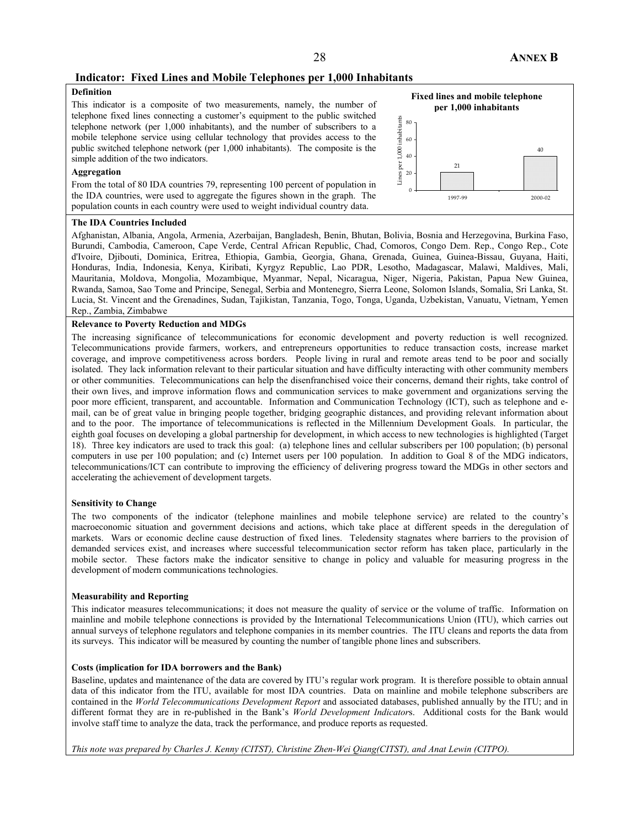### **Indicator: Fixed Lines and Mobile Telephones per 1,000 Inhabitants**

## **Definition**

This indicator is a composite of two measurements, namely, the number of telephone fixed lines connecting a customer's equipment to the public switched telephone network (per 1,000 inhabitants), and the number of subscribers to a mobile telephone service using cellular technology that provides access to the public switched telephone network (per 1,000 inhabitants). The composite is the simple addition of the two indicators.

#### **Aggregation**

From the total of 80 IDA countries 79, representing 100 percent of population in the IDA countries, were used to aggregate the figures shown in the graph. The population counts in each country were used to weight individual country data.



#### **The IDA Countries Included**

Afghanistan, Albania, Angola, Armenia, Azerbaijan, Bangladesh, Benin, Bhutan, Bolivia, Bosnia and Herzegovina, Burkina Faso, Burundi, Cambodia, Cameroon, Cape Verde, Central African Republic, Chad, Comoros, Congo Dem. Rep., Congo Rep., Cote d'Ivoire, Djibouti, Dominica, Eritrea, Ethiopia, Gambia, Georgia, Ghana, Grenada, Guinea, Guinea-Bissau, Guyana, Haiti, Honduras, India, Indonesia, Kenya, Kiribati, Kyrgyz Republic, Lao PDR, Lesotho, Madagascar, Malawi, Maldives, Mali, Mauritania, Moldova, Mongolia, Mozambique, Myanmar, Nepal, Nicaragua, Niger, Nigeria, Pakistan, Papua New Guinea, Rwanda, Samoa, Sao Tome and Principe, Senegal, Serbia and Montenegro, Sierra Leone, Solomon Islands, Somalia, Sri Lanka, St. Lucia, St. Vincent and the Grenadines, Sudan, Tajikistan, Tanzania, Togo, Tonga, Uganda, Uzbekistan, Vanuatu, Vietnam, Yemen Rep., Zambia, Zimbabwe

#### **Relevance to Poverty Reduction and MDGs**

The increasing significance of telecommunications for economic development and poverty reduction is well recognized. Telecommunications provide farmers, workers, and entrepreneurs opportunities to reduce transaction costs, increase market coverage, and improve competitiveness across borders. People living in rural and remote areas tend to be poor and socially isolated. They lack information relevant to their particular situation and have difficulty interacting with other community members or other communities. Telecommunications can help the disenfranchised voice their concerns, demand their rights, take control of their own lives, and improve information flows and communication services to make government and organizations serving the poor more efficient, transparent, and accountable. Information and Communication Technology (ICT), such as telephone and email, can be of great value in bringing people together, bridging geographic distances, and providing relevant information about and to the poor. The importance of telecommunications is reflected in the Millennium Development Goals. In particular, the eighth goal focuses on developing a global partnership for development, in which access to new technologies is highlighted (Target 18). Three key indicators are used to track this goal: (a) telephone lines and cellular subscribers per 100 population; (b) personal computers in use per 100 population; and (c) Internet users per 100 population. In addition to Goal 8 of the MDG indicators, telecommunications/ICT can contribute to improving the efficiency of delivering progress toward the MDGs in other sectors and accelerating the achievement of development targets.

#### **Sensitivity to Change**

The two components of the indicator (telephone mainlines and mobile telephone service) are related to the country's macroeconomic situation and government decisions and actions, which take place at different speeds in the deregulation of markets. Wars or economic decline cause destruction of fixed lines. Teledensity stagnates where barriers to the provision of demanded services exist, and increases where successful telecommunication sector reform has taken place, particularly in the mobile sector. These factors make the indicator sensitive to change in policy and valuable for measuring progress in the development of modern communications technologies.

#### **Measurability and Reporting**

This indicator measures telecommunications; it does not measure the quality of service or the volume of traffic. Information on mainline and mobile telephone connections is provided by the International Telecommunications Union (ITU), which carries out annual surveys of telephone regulators and telephone companies in its member countries. The ITU cleans and reports the data from its surveys. This indicator will be measured by counting the number of tangible phone lines and subscribers.

#### **Costs (implication for IDA borrowers and the Bank)**

Baseline, updates and maintenance of the data are covered by ITU's regular work program. It is therefore possible to obtain annual data of this indicator from the ITU, available for most IDA countries. Data on mainline and mobile telephone subscribers are contained in the *World Telecommunications Development Report* and associated databases, published annually by the ITU; and in different format they are in re-published in the Bank's *World Development Indicator*s. Additional costs for the Bank would involve staff time to analyze the data, track the performance, and produce reports as requested.

*This note was prepared by Charles J. Kenny (CITST), Christine Zhen-Wei Qiang(CITST), and Anat Lewin (CITPO).*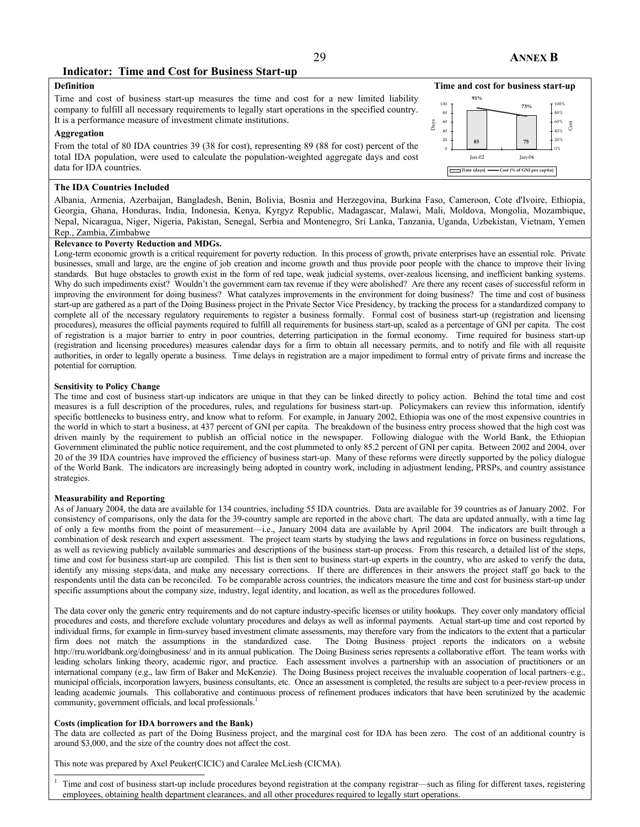### **Indicator: Time and Cost for Business Start-up**

## **Definition**

Time and cost of business start-up measures the time and cost for a new limited liability company to fulfill all necessary requirements to legally start operations in the specified country. It is a performance measure of investment climate institutions.

#### **Aggregation**

From the total of 80 IDA countries 39 (38 for cost), representing 89 (88 for cost) percent of the total IDA population, were used to calculate the population-weighted aggregate days and cost data for IDA countries.

#### **The IDA Countries Included**

**Time and cost for business start-up 85 75 91% 73%** 0 20 40 60 80 100 Jan-02 Jan-04 Days 0% 20% 40% 60% 80% 100% Cost **Time (days) Cost (% of GNI per capita)**

Albania, Armenia, Azerbaijan, Bangladesh, Benin, Bolivia, Bosnia and Herzegovina, Burkina Faso, Cameroon, Cote d'Ivoire, Ethiopia, Georgia, Ghana, Honduras, India, Indonesia, Kenya, Kyrgyz Republic, Madagascar, Malawi, Mali, Moldova, Mongolia, Mozambique, Nepal, Nicaragua, Niger, Nigeria, Pakistan, Senegal, Serbia and Montenegro, Sri Lanka, Tanzania, Uganda, Uzbekistan, Vietnam, Yemen Rep., Zambia, Zimbabwe

#### **Relevance to Poverty Reduction and MDGs.**

Long-term economic growth is a critical requirement for poverty reduction. In this process of growth, private enterprises have an essential role. Private businesses, small and large, are the engine of job creation and income growth and thus provide poor people with the chance to improve their living standards. But huge obstacles to growth exist in the form of red tape, weak judicial systems, over-zealous licensing, and inefficient banking systems. Why do such impediments exist? Wouldn't the government earn tax revenue if they were abolished? Are there any recent cases of successful reform in improving the environment for doing business? What catalyzes improvements in the environment for doing business? The time and cost of business start-up are gathered as a part of the Doing Business project in the Private Sector Vice Presidency, by tracking the process for a standardized company to complete all of the necessary regulatory requirements to register a business formally. Formal cost of business start-up (registration and licensing procedures), measures the official payments required to fulfill all requirements for business start-up, scaled as a percentage of GNI per capita. The cost of registration is a major barrier to entry in poor countries, deterring participation in the formal economy. Time required for business start-up (registration and licensing procedures) measures calendar days for a firm to obtain all necessary permits, and to notify and file with all requisite authorities, in order to legally operate a business. Time delays in registration are a major impediment to formal entry of private firms and increase the potential for corruption.

#### **Sensitivity to Policy Change**

The time and cost of business start-up indicators are unique in that they can be linked directly to policy action. Behind the total time and cost measures is a full description of the procedures, rules, and regulations for business start-up. Policymakers can review this information, identify specific bottlenecks to business entry, and know what to reform. For example, in January 2002, Ethiopia was one of the most expensive countries in the world in which to start a business, at 437 percent of GNI per capita. The breakdown of the business entry process showed that the high cost was driven mainly by the requirement to publish an official notice in the newspaper. Following dialogue with the World Bank, the Ethiopian Government eliminated the public notice requirement, and the cost plummeted to only 85.2 percent of GNI per capita. Between 2002 and 2004, over 20 of the 39 IDA countries have improved the efficiency of business start-up. Many of these reforms were directly supported by the policy dialogue of the World Bank. The indicators are increasingly being adopted in country work, including in adjustment lending, PRSPs, and country assistance strategies.

#### **Measurability and Reporting**

As of January 2004, the data are available for 134 countries, including 55 IDA countries. Data are available for 39 countries as of January 2002. For consistency of comparisons, only the data for the 39-country sample are reported in the above chart. The data are updated annually, with a time lag of only a few months from the point of measurement—i.e., January 2004 data are available by April 2004. The indicators are built through a combination of desk research and expert assessment. The project team starts by studying the laws and regulations in force on business regulations, as well as reviewing publicly available summaries and descriptions of the business start-up process. From this research, a detailed list of the steps, time and cost for business start-up are compiled. This list is then sent to business start-up experts in the country, who are asked to verify the data, identify any missing steps/data, and make any necessary corrections. If there are differences in their answers the project staff go back to the respondents until the data can be reconciled. To be comparable across countries, the indicators measure the time and cost for business start-up under specific assumptions about the company size, industry, legal identity, and location, as well as the procedures followed.

The data cover only the generic entry requirements and do not capture industry-specific licenses or utility hookups. They cover only mandatory official procedures and costs, and therefore exclude voluntary procedures and delays as well as informal payments. Actual start-up time and cost reported by individual firms, for example in firm-survey based investment climate assessments, may therefore vary from the indicators to the extent that a particular firm does not match the assumptions in the standardized case. The Doing Business project reports the indicators on a website http://rru.worldbank.org/doingbusiness/ and in its annual publication. The Doing Business series represents a collaborative effort. The team works with leading scholars linking theory, academic rigor, and practice. Each assessment involves a partnership with an association of practitioners or an international company (e.g., law firm of Baker and McKenzie). The Doing Business project receives the invaluable cooperation of local partners–e.g., municipal officials, incorporation lawyers, business consultants, etc. Once an assessment is completed, the results are subject to a peer-review process in leading academic journals. This collaborative and continuous process of refinement produces indicators that have been scrutinized by the academic community, government officials, and local professionals.<sup>1</sup>

#### **Costs (implication for IDA borrowers and the Bank)**

 $\overline{a}$ 

The data are collected as part of the Doing Business project, and the marginal cost for IDA has been zero. The cost of an additional country is around \$3,000, and the size of the country does not affect the cost.

This note was prepared by Axel Peuker(CICIC) and Caralee McLiesh (CICMA).

1 Time and cost of business start-up include procedures beyond registration at the company registrar—such as filing for different taxes, registering employees, obtaining health department clearances, and all other procedures required to legally start operations.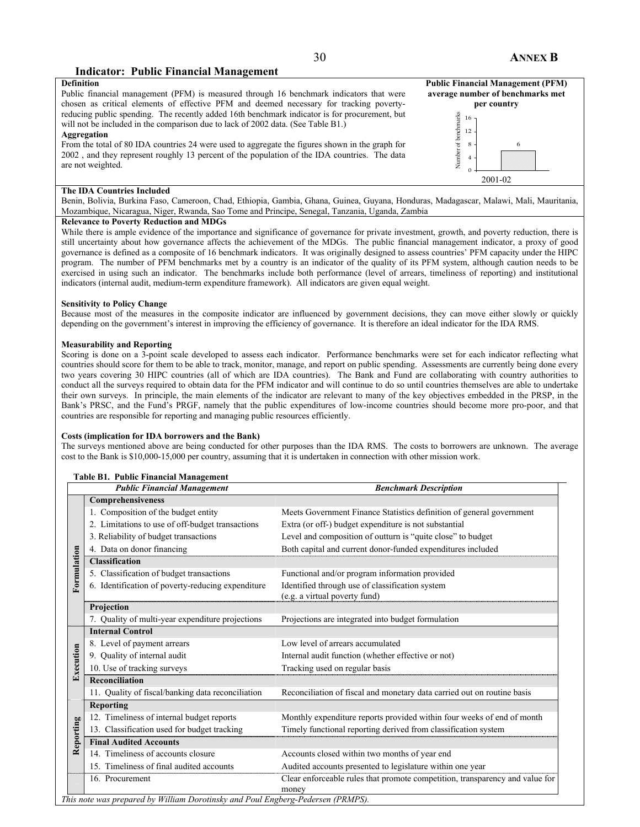## **Indicator: Public Financial Management**

# **Definition**

Public financial management (PFM) is measured through 16 benchmark indicators that were chosen as critical elements of effective PFM and deemed necessary for tracking povertyreducing public spending. The recently added 16th benchmark indicator is for procurement, but will not be included in the comparison due to lack of 2002 data. (See Table B1.)

#### **Aggregation**

From the total of 80 IDA countries 24 were used to aggregate the figures shown in the graph for 2002 , and they represent roughly 13 percent of the population of the IDA countries. The data are not weighted.

#### **The IDA Countries Included**

Benin, Bolivia, Burkina Faso, Cameroon, Chad, Ethiopia, Gambia, Ghana, Guinea, Guyana, Honduras, Madagascar, Malawi, Mali, Mauritania, Mozambique, Nicaragua, Niger, Rwanda, Sao Tome and Principe, Senegal, Tanzania, Uganda, Zambia

## **Relevance to Poverty Reduction and MDGs**

While there is ample evidence of the importance and significance of governance for private investment, growth, and poverty reduction, there is still uncertainty about how governance affects the achievement of the MDGs. The public financial management indicator, a proxy of good governance is defined as a composite of 16 benchmark indicators. It was originally designed to assess countries' PFM capacity under the HIPC program. The number of PFM benchmarks met by a country is an indicator of the quality of its PFM system, although caution needs to be exercised in using such an indicator. The benchmarks include both performance (level of arrears, timeliness of reporting) and institutional indicators (internal audit, medium-term expenditure framework). All indicators are given equal weight.

#### **Sensitivity to Policy Change**

Because most of the measures in the composite indicator are influenced by government decisions, they can move either slowly or quickly depending on the government's interest in improving the efficiency of governance. It is therefore an ideal indicator for the IDA RMS.

#### **Measurability and Reporting**

Scoring is done on a 3-point scale developed to assess each indicator. Performance benchmarks were set for each indicator reflecting what countries should score for them to be able to track, monitor, manage, and report on public spending. Assessments are currently being done every two years covering 30 HIPC countries (all of which are IDA countries). The Bank and Fund are collaborating with country authorities to conduct all the surveys required to obtain data for the PFM indicator and will continue to do so until countries themselves are able to undertake their own surveys. In principle, the main elements of the indicator are relevant to many of the key objectives embedded in the PRSP, in the Bank's PRSC, and the Fund's PRGF, namely that the public expenditures of low-income countries should become more pro-poor, and that countries are responsible for reporting and managing public resources efficiently.

#### **Costs (implication for IDA borrowers and the Bank)**

**Table B1. Public Financial Management** 

The surveys mentioned above are being conducted for other purposes than the IDA RMS. The costs to borrowers are unknown. The average cost to the Bank is \$10,000-15,000 per country, assuming that it is undertaken in connection with other mission work.

|             | <b>Public Financial Management</b>                | <b>Benchmark Description</b>                                                          |
|-------------|---------------------------------------------------|---------------------------------------------------------------------------------------|
|             | Comprehensiveness                                 |                                                                                       |
|             | 1. Composition of the budget entity               | Meets Government Finance Statistics definition of general government                  |
|             | 2. Limitations to use of off-budget transactions  | Extra (or off-) budget expenditure is not substantial                                 |
|             | 3. Reliability of budget transactions             | Level and composition of outturn is "quite close" to budget                           |
|             | 4. Data on donor financing                        | Both capital and current donor-funded expenditures included                           |
|             | <b>Classification</b>                             |                                                                                       |
|             | 5. Classification of budget transactions          | Functional and/or program information provided                                        |
| Formulation | 6. Identification of poverty-reducing expenditure | Identified through use of classification system<br>(e.g. a virtual poverty fund)      |
|             | Projection                                        |                                                                                       |
|             | 7. Quality of multi-year expenditure projections  | Projections are integrated into budget formulation                                    |
|             | <b>Internal Control</b>                           |                                                                                       |
|             | 8. Level of payment arrears                       | Low level of arrears accumulated                                                      |
|             | 9. Quality of internal audit                      | Internal audit function (whether effective or not)                                    |
| Execution   | 10. Use of tracking surveys                       | Tracking used on regular basis                                                        |
|             | <b>Reconciliation</b>                             |                                                                                       |
|             | 11. Quality of fiscal/banking data reconciliation | Reconciliation of fiscal and monetary data carried out on routine basis               |
|             | Reporting                                         |                                                                                       |
|             | 12. Timeliness of internal budget reports         | Monthly expenditure reports provided within four weeks of end of month                |
| Reporting   | 13. Classification used for budget tracking       | Timely functional reporting derived from classification system                        |
|             | <b>Final Audited Accounts</b>                     |                                                                                       |
|             | 14. Timeliness of accounts closure                | Accounts closed within two months of year end                                         |
|             | 15. Timeliness of final audited accounts          | Audited accounts presented to legislature within one year                             |
|             | 16. Procurement                                   | Clear enforceable rules that promote competition, transparency and value for<br>money |

#### **Public Financial Management (PFM) average number of benchmarks met per country**  Number of benchmarks Number of benchmarks 16 12 8 6

 $\Omega$ 4 2001-02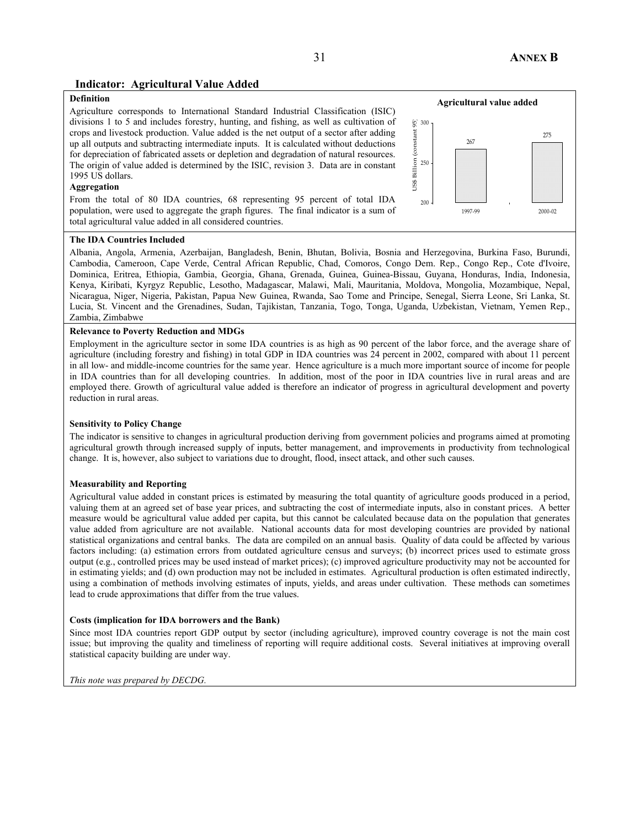## **Indicator: Agricultural Value Added**

## **Definition**

Agriculture corresponds to International Standard Industrial Classification (ISIC) divisions 1 to 5 and includes forestry, hunting, and fishing, as well as cultivation of crops and livestock production. Value added is the net output of a sector after adding up all outputs and subtracting intermediate inputs. It is calculated without deductions for depreciation of fabricated assets or depletion and degradation of natural resources. The origin of value added is determined by the ISIC, revision 3. Data are in constant 1995 US dollars.

#### **Aggregation**

From the total of 80 IDA countries, 68 representing 95 percent of total IDA population, were used to aggregate the graph figures. The final indicator is a sum of total agricultural value added in all considered countries.



#### **The IDA Countries Included**

Albania, Angola, Armenia, Azerbaijan, Bangladesh, Benin, Bhutan, Bolivia, Bosnia and Herzegovina, Burkina Faso, Burundi, Cambodia, Cameroon, Cape Verde, Central African Republic, Chad, Comoros, Congo Dem. Rep., Congo Rep., Cote d'Ivoire, Dominica, Eritrea, Ethiopia, Gambia, Georgia, Ghana, Grenada, Guinea, Guinea-Bissau, Guyana, Honduras, India, Indonesia, Kenya, Kiribati, Kyrgyz Republic, Lesotho, Madagascar, Malawi, Mali, Mauritania, Moldova, Mongolia, Mozambique, Nepal, Nicaragua, Niger, Nigeria, Pakistan, Papua New Guinea, Rwanda, Sao Tome and Principe, Senegal, Sierra Leone, Sri Lanka, St. Lucia, St. Vincent and the Grenadines, Sudan, Tajikistan, Tanzania, Togo, Tonga, Uganda, Uzbekistan, Vietnam, Yemen Rep., Zambia, Zimbabwe

#### **Relevance to Poverty Reduction and MDGs**

Employment in the agriculture sector in some IDA countries is as high as 90 percent of the labor force, and the average share of agriculture (including forestry and fishing) in total GDP in IDA countries was 24 percent in 2002, compared with about 11 percent in all low- and middle-income countries for the same year. Hence agriculture is a much more important source of income for people in IDA countries than for all developing countries. In addition, most of the poor in IDA countries live in rural areas and are employed there. Growth of agricultural value added is therefore an indicator of progress in agricultural development and poverty reduction in rural areas.

#### **Sensitivity to Policy Change**

The indicator is sensitive to changes in agricultural production deriving from government policies and programs aimed at promoting agricultural growth through increased supply of inputs, better management, and improvements in productivity from technological change. It is, however, also subject to variations due to drought, flood, insect attack, and other such causes.

#### **Measurability and Reporting**

Agricultural value added in constant prices is estimated by measuring the total quantity of agriculture goods produced in a period, valuing them at an agreed set of base year prices, and subtracting the cost of intermediate inputs, also in constant prices. A better measure would be agricultural value added per capita, but this cannot be calculated because data on the population that generates value added from agriculture are not available. National accounts data for most developing countries are provided by national statistical organizations and central banks. The data are compiled on an annual basis. Quality of data could be affected by various factors including: (a) estimation errors from outdated agriculture census and surveys; (b) incorrect prices used to estimate gross output (e.g., controlled prices may be used instead of market prices); (c) improved agriculture productivity may not be accounted for in estimating yields; and (d) own production may not be included in estimates. Agricultural production is often estimated indirectly, using a combination of methods involving estimates of inputs, yields, and areas under cultivation. These methods can sometimes lead to crude approximations that differ from the true values.

#### **Costs (implication for IDA borrowers and the Bank)**

Since most IDA countries report GDP output by sector (including agriculture), improved country coverage is not the main cost issue; but improving the quality and timeliness of reporting will require additional costs. Several initiatives at improving overall statistical capacity building are under way.

*This note was prepared by DECDG.*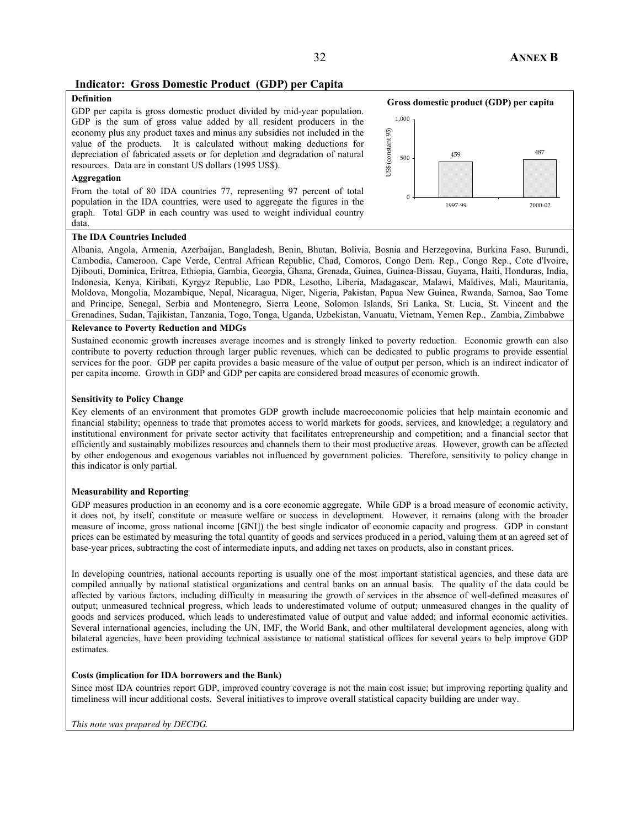## **Indicator: Gross Domestic Product (GDP) per Capita**

## **Definition**

GDP per capita is gross domestic product divided by mid-year population. GDP is the sum of gross value added by all resident producers in the economy plus any product taxes and minus any subsidies not included in the value of the products. It is calculated without making deductions for depreciation of fabricated assets or for depletion and degradation of natural resources. Data are in constant US dollars (1995 US\$).

#### **Aggregation**

From the total of 80 IDA countries 77, representing 97 percent of total population in the IDA countries, were used to aggregate the figures in the graph. Total GDP in each country was used to weight individual country data.



#### **The IDA Countries Included**

Albania, Angola, Armenia, Azerbaijan, Bangladesh, Benin, Bhutan, Bolivia, Bosnia and Herzegovina, Burkina Faso, Burundi, Cambodia, Cameroon, Cape Verde, Central African Republic, Chad, Comoros, Congo Dem. Rep., Congo Rep., Cote d'Ivoire, Djibouti, Dominica, Eritrea, Ethiopia, Gambia, Georgia, Ghana, Grenada, Guinea, Guinea-Bissau, Guyana, Haiti, Honduras, India, Indonesia, Kenya, Kiribati, Kyrgyz Republic, Lao PDR, Lesotho, Liberia, Madagascar, Malawi, Maldives, Mali, Mauritania, Moldova, Mongolia, Mozambique, Nepal, Nicaragua, Niger, Nigeria, Pakistan, Papua New Guinea, Rwanda, Samoa, Sao Tome and Principe, Senegal, Serbia and Montenegro, Sierra Leone, Solomon Islands, Sri Lanka, St. Lucia, St. Vincent and the Grenadines, Sudan, Tajikistan, Tanzania, Togo, Tonga, Uganda, Uzbekistan, Vanuatu, Vietnam, Yemen Rep., Zambia, Zimbabwe

#### **Relevance to Poverty Reduction and MDGs**

Sustained economic growth increases average incomes and is strongly linked to poverty reduction. Economic growth can also contribute to poverty reduction through larger public revenues, which can be dedicated to public programs to provide essential services for the poor. GDP per capita provides a basic measure of the value of output per person, which is an indirect indicator of per capita income. Growth in GDP and GDP per capita are considered broad measures of economic growth.

#### **Sensitivity to Policy Change**

Key elements of an environment that promotes GDP growth include macroeconomic policies that help maintain economic and financial stability; openness to trade that promotes access to world markets for goods, services, and knowledge; a regulatory and institutional environment for private sector activity that facilitates entrepreneurship and competition; and a financial sector that efficiently and sustainably mobilizes resources and channels them to their most productive areas. However, growth can be affected by other endogenous and exogenous variables not influenced by government policies. Therefore, sensitivity to policy change in this indicator is only partial.

#### **Measurability and Reporting**

GDP measures production in an economy and is a core economic aggregate. While GDP is a broad measure of economic activity, it does not, by itself, constitute or measure welfare or success in development. However, it remains (along with the broader measure of income, gross national income [GNI]) the best single indicator of economic capacity and progress. GDP in constant prices can be estimated by measuring the total quantity of goods and services produced in a period, valuing them at an agreed set of base-year prices, subtracting the cost of intermediate inputs, and adding net taxes on products, also in constant prices.

In developing countries, national accounts reporting is usually one of the most important statistical agencies, and these data are compiled annually by national statistical organizations and central banks on an annual basis. The quality of the data could be affected by various factors, including difficulty in measuring the growth of services in the absence of well-defined measures of output; unmeasured technical progress, which leads to underestimated volume of output; unmeasured changes in the quality of goods and services produced, which leads to underestimated value of output and value added; and informal economic activities. Several international agencies, including the UN, IMF, the World Bank, and other multilateral development agencies, along with bilateral agencies, have been providing technical assistance to national statistical offices for several years to help improve GDP estimates.

#### **Costs (implication for IDA borrowers and the Bank)**

Since most IDA countries report GDP, improved country coverage is not the main cost issue; but improving reporting quality and timeliness will incur additional costs. Several initiatives to improve overall statistical capacity building are under way.

#### *This note was prepared by DECDG.*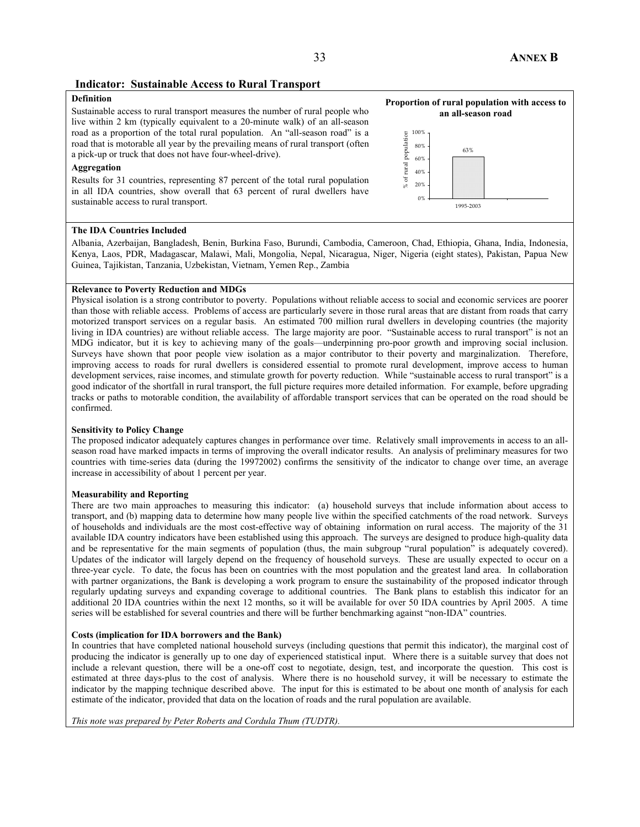### **Indicator: Sustainable Access to Rural Transport**

## **Definition**

Sustainable access to rural transport measures the number of rural people who live within 2 km (typically equivalent to a 20-minute walk) of an all-season road as a proportion of the total rural population. An "all-season road" is a road that is motorable all year by the prevailing means of rural transport (often a pick-up or truck that does not have four-wheel-drive).

#### **Aggregation**

Results for 31 countries, representing 87 percent of the total rural population in all IDA countries, show overall that 63 percent of rural dwellers have sustainable access to rural transport.



1995-2003

0% 20%

**Proportion of rural population with access to** 

#### **The IDA Countries Included**

Albania, Azerbaijan, Bangladesh, Benin, Burkina Faso, Burundi, Cambodia, Cameroon, Chad, Ethiopia, Ghana, India, Indonesia, Kenya, Laos, PDR, Madagascar, Malawi, Mali, Mongolia, Nepal, Nicaragua, Niger, Nigeria (eight states), Pakistan, Papua New Guinea, Tajikistan, Tanzania, Uzbekistan, Vietnam, Yemen Rep., Zambia

#### **Relevance to Poverty Reduction and MDGs**

Physical isolation is a strong contributor to poverty. Populations without reliable access to social and economic services are poorer than those with reliable access. Problems of access are particularly severe in those rural areas that are distant from roads that carry motorized transport services on a regular basis. An estimated 700 million rural dwellers in developing countries (the majority living in IDA countries) are without reliable access. The large majority are poor. "Sustainable access to rural transport" is not an MDG indicator, but it is key to achieving many of the goals—underpinning pro-poor growth and improving social inclusion. Surveys have shown that poor people view isolation as a major contributor to their poverty and marginalization. Therefore, improving access to roads for rural dwellers is considered essential to promote rural development, improve access to human development services, raise incomes, and stimulate growth for poverty reduction. While "sustainable access to rural transport" is a good indicator of the shortfall in rural transport, the full picture requires more detailed information. For example, before upgrading tracks or paths to motorable condition, the availability of affordable transport services that can be operated on the road should be confirmed.

#### **Sensitivity to Policy Change**

The proposed indicator adequately captures changes in performance over time. Relatively small improvements in access to an allseason road have marked impacts in terms of improving the overall indicator results. An analysis of preliminary measures for two countries with time-series data (during the 19972002) confirms the sensitivity of the indicator to change over time, an average increase in accessibility of about 1 percent per year.

#### **Measurability and Reporting**

There are two main approaches to measuring this indicator: (a) household surveys that include information about access to transport, and (b) mapping data to determine how many people live within the specified catchments of the road network. Surveys of households and individuals are the most cost-effective way of obtaining information on rural access. The majority of the 31 available IDA country indicators have been established using this approach. The surveys are designed to produce high-quality data and be representative for the main segments of population (thus, the main subgroup "rural population" is adequately covered). Updates of the indicator will largely depend on the frequency of household surveys. These are usually expected to occur on a three-year cycle. To date, the focus has been on countries with the most population and the greatest land area. In collaboration with partner organizations, the Bank is developing a work program to ensure the sustainability of the proposed indicator through regularly updating surveys and expanding coverage to additional countries. The Bank plans to establish this indicator for an additional 20 IDA countries within the next 12 months, so it will be available for over 50 IDA countries by April 2005. A time series will be established for several countries and there will be further benchmarking against "non-IDA" countries.

#### **Costs (implication for IDA borrowers and the Bank)**

In countries that have completed national household surveys (including questions that permit this indicator), the marginal cost of producing the indicator is generally up to one day of experienced statistical input. Where there is a suitable survey that does not include a relevant question, there will be a one-off cost to negotiate, design, test, and incorporate the question. This cost is estimated at three days-plus to the cost of analysis. Where there is no household survey, it will be necessary to estimate the indicator by the mapping technique described above. The input for this is estimated to be about one month of analysis for each estimate of the indicator, provided that data on the location of roads and the rural population are available.

*This note was prepared by Peter Roberts and Cordula Thum (TUDTR).*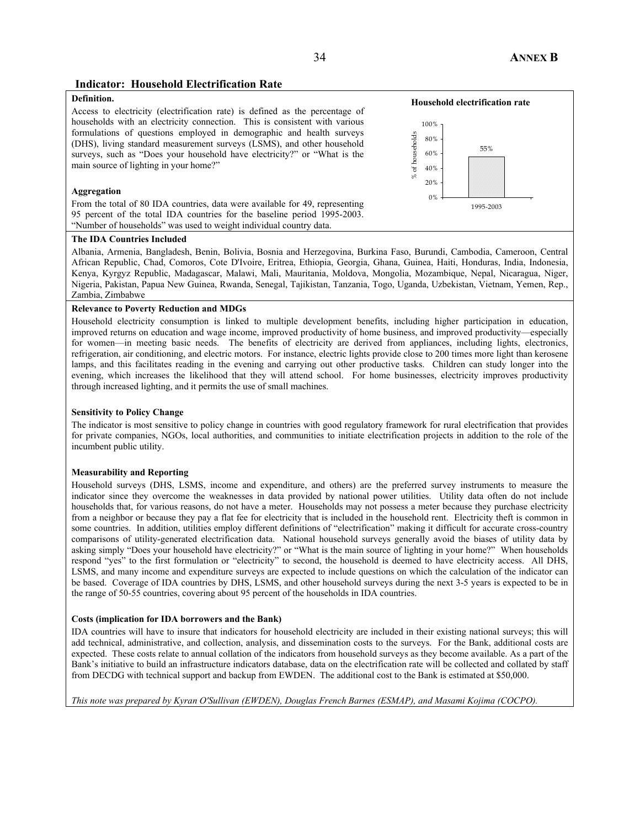### **Indicator: Household Electrification Rate**

#### **Definition.**

Access to electricity (electrification rate) is defined as the percentage of households with an electricity connection. This is consistent with various formulations of questions employed in demographic and health surveys (DHS), living standard measurement surveys (LSMS), and other household surveys, such as "Does your household have electricity?" or "What is the main source of lighting in your home?"

#### **Aggregation**

From the total of 80 IDA countries, data were available for 49, representing 95 percent of the total IDA countries for the baseline period 1995-2003. "Number of households" was used to weight individual country data.

#### **The IDA Countries Included**

Albania, Armenia, Bangladesh, Benin, Bolivia, Bosnia and Herzegovina, Burkina Faso, Burundi, Cambodia, Cameroon, Central African Republic, Chad, Comoros, Cote D'Ivoire, Eritrea, Ethiopia, Georgia, Ghana, Guinea, Haiti, Honduras, India, Indonesia, Kenya, Kyrgyz Republic, Madagascar, Malawi, Mali, Mauritania, Moldova, Mongolia, Mozambique, Nepal, Nicaragua, Niger, Nigeria, Pakistan, Papua New Guinea, Rwanda, Senegal, Tajikistan, Tanzania, Togo, Uganda, Uzbekistan, Vietnam, Yemen, Rep., Zambia, Zimbabwe

#### **Relevance to Poverty Reduction and MDGs**

Household electricity consumption is linked to multiple development benefits, including higher participation in education, improved returns on education and wage income, improved productivity of home business, and improved productivity—especially for women—in meeting basic needs. The benefits of electricity are derived from appliances, including lights, electronics, refrigeration, air conditioning, and electric motors. For instance, electric lights provide close to 200 times more light than kerosene lamps, and this facilitates reading in the evening and carrying out other productive tasks. Children can study longer into the evening, which increases the likelihood that they will attend school. For home businesses, electricity improves productivity through increased lighting, and it permits the use of small machines.

#### **Sensitivity to Policy Change**

The indicator is most sensitive to policy change in countries with good regulatory framework for rural electrification that provides for private companies, NGOs, local authorities, and communities to initiate electrification projects in addition to the role of the incumbent public utility.

#### **Measurability and Reporting**

Household surveys (DHS, LSMS, income and expenditure, and others) are the preferred survey instruments to measure the indicator since they overcome the weaknesses in data provided by national power utilities. Utility data often do not include households that, for various reasons, do not have a meter. Households may not possess a meter because they purchase electricity from a neighbor or because they pay a flat fee for electricity that is included in the household rent. Electricity theft is common in some countries. In addition, utilities employ different definitions of "electrification" making it difficult for accurate cross-country comparisons of utility-generated electrification data. National household surveys generally avoid the biases of utility data by asking simply "Does your household have electricity?" or "What is the main source of lighting in your home?" When households respond "yes" to the first formulation or "electricity" to second, the household is deemed to have electricity access. All DHS, LSMS, and many income and expenditure surveys are expected to include questions on which the calculation of the indicator can be based. Coverage of IDA countries by DHS, LSMS, and other household surveys during the next 3-5 years is expected to be in the range of 50-55 countries, covering about 95 percent of the households in IDA countries.

#### **Costs (implication for IDA borrowers and the Bank)**

IDA countries will have to insure that indicators for household electricity are included in their existing national surveys; this will add technical, administrative, and collection, analysis, and dissemination costs to the surveys. For the Bank, additional costs are expected. These costs relate to annual collation of the indicators from household surveys as they become available. As a part of the Bank's initiative to build an infrastructure indicators database, data on the electrification rate will be collected and collated by staff from DECDG with technical support and backup from EWDEN. The additional cost to the Bank is estimated at \$50,000.

*This note was prepared by Kyran O'Sullivan (EWDEN), Douglas French Barnes (ESMAP), and Masami Kojima (COCPO).*

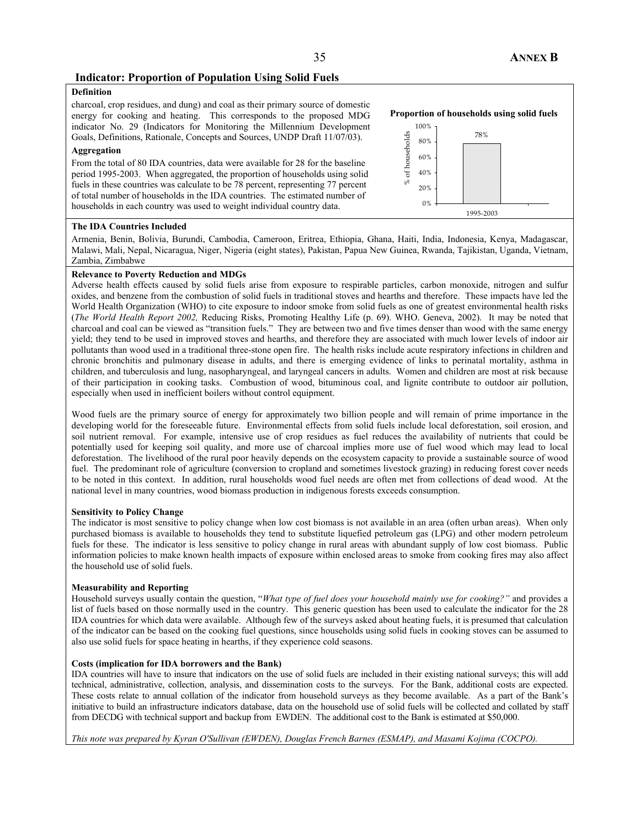## **Indicator: Proportion of Population Using Solid Fuels**

## **Definition**

charcoal, crop residues, and dung) and coal as their primary source of domestic energy for cooking and heating. This corresponds to the proposed MDG indicator No. 29 (Indicators for Monitoring the Millennium Development Goals, Definitions, Rationale, Concepts and Sources, UNDP Draft 11/07/03).

#### **Aggregation**

From the total of 80 IDA countries, data were available for 28 for the baseline period 1995-2003. When aggregated, the proportion of households using solid fuels in these countries was calculate to be 78 percent, representing 77 percent of total number of households in the IDA countries. The estimated number of households in each country was used to weight individual country data.



#### **The IDA Countries Included**

Armenia, Benin, Bolivia, Burundi, Cambodia, Cameroon, Eritrea, Ethiopia, Ghana, Haiti, India, Indonesia, Kenya, Madagascar, Malawi, Mali, Nepal, Nicaragua, Niger, Nigeria (eight states), Pakistan, Papua New Guinea, Rwanda, Tajikistan, Uganda, Vietnam, Zambia, Zimbabwe

#### **Relevance to Poverty Reduction and MDGs**

Adverse health effects caused by solid fuels arise from exposure to respirable particles, carbon monoxide, nitrogen and sulfur oxides, and benzene from the combustion of solid fuels in traditional stoves and hearths and therefore. These impacts have led the World Health Organization (WHO) to cite exposure to indoor smoke from solid fuels as one of greatest environmental health risks (*The World Health Report 2002,* Reducing Risks, Promoting Healthy Life (p. 69). WHO. Geneva, 2002). It may be noted that charcoal and coal can be viewed as "transition fuels." They are between two and five times denser than wood with the same energy yield; they tend to be used in improved stoves and hearths, and therefore they are associated with much lower levels of indoor air pollutants than wood used in a traditional three-stone open fire. The health risks include acute respiratory infections in children and chronic bronchitis and pulmonary disease in adults, and there is emerging evidence of links to perinatal mortality, asthma in children, and tuberculosis and lung, nasopharyngeal, and laryngeal cancers in adults. Women and children are most at risk because of their participation in cooking tasks. Combustion of wood, bituminous coal, and lignite contribute to outdoor air pollution, especially when used in inefficient boilers without control equipment.

Wood fuels are the primary source of energy for approximately two billion people and will remain of prime importance in the developing world for the foreseeable future. Environmental effects from solid fuels include local deforestation, soil erosion, and soil nutrient removal. For example, intensive use of crop residues as fuel reduces the availability of nutrients that could be potentially used for keeping soil quality, and more use of charcoal implies more use of fuel wood which may lead to local deforestation. The livelihood of the rural poor heavily depends on the ecosystem capacity to provide a sustainable source of wood fuel. The predominant role of agriculture (conversion to cropland and sometimes livestock grazing) in reducing forest cover needs to be noted in this context. In addition, rural households wood fuel needs are often met from collections of dead wood. At the national level in many countries, wood biomass production in indigenous forests exceeds consumption.

#### **Sensitivity to Policy Change**

The indicator is most sensitive to policy change when low cost biomass is not available in an area (often urban areas). When only purchased biomass is available to households they tend to substitute liquefied petroleum gas (LPG) and other modern petroleum fuels for these. The indicator is less sensitive to policy change in rural areas with abundant supply of low cost biomass. Public information policies to make known health impacts of exposure within enclosed areas to smoke from cooking fires may also affect the household use of solid fuels.

#### **Measurability and Reporting**

Household surveys usually contain the question, "*What type of fuel does your household mainly use for cooking?"* and provides a list of fuels based on those normally used in the country. This generic question has been used to calculate the indicator for the 28 IDA countries for which data were available. Although few of the surveys asked about heating fuels, it is presumed that calculation of the indicator can be based on the cooking fuel questions, since households using solid fuels in cooking stoves can be assumed to also use solid fuels for space heating in hearths, if they experience cold seasons.

#### **Costs (implication for IDA borrowers and the Bank)**

IDA countries will have to insure that indicators on the use of solid fuels are included in their existing national surveys; this will add technical, administrative, collection, analysis, and dissemination costs to the surveys. For the Bank, additional costs are expected. These costs relate to annual collation of the indicator from household surveys as they become available. As a part of the Bank's initiative to build an infrastructure indicators database, data on the household use of solid fuels will be collected and collated by staff from DECDG with technical support and backup from EWDEN. The additional cost to the Bank is estimated at \$50,000.

*This note was prepared by Kyran O'Sullivan (EWDEN), Douglas French Barnes (ESMAP), and Masami Kojima (COCPO).*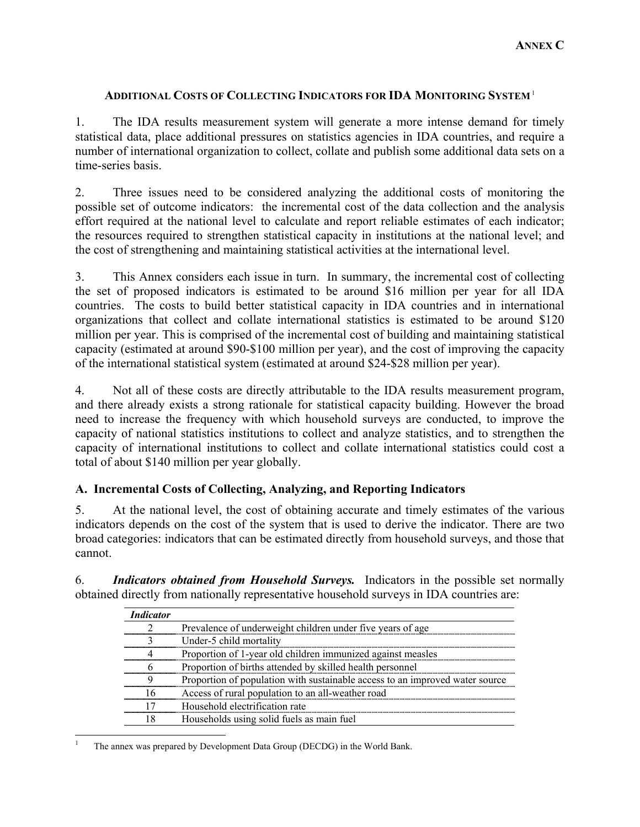## **ADDITIONAL COSTS OF COLLECTING INDICATORS FOR IDA MONITORING SYSTEM**<sup>1</sup>

1. The IDA results measurement system will generate a more intense demand for timely statistical data, place additional pressures on statistics agencies in IDA countries, and require a number of international organization to collect, collate and publish some additional data sets on a time-series basis.

2. Three issues need to be considered analyzing the additional costs of monitoring the possible set of outcome indicators: the incremental cost of the data collection and the analysis effort required at the national level to calculate and report reliable estimates of each indicator; the resources required to strengthen statistical capacity in institutions at the national level; and the cost of strengthening and maintaining statistical activities at the international level.

3. This Annex considers each issue in turn. In summary, the incremental cost of collecting the set of proposed indicators is estimated to be around \$16 million per year for all IDA countries. The costs to build better statistical capacity in IDA countries and in international organizations that collect and collate international statistics is estimated to be around \$120 million per year. This is comprised of the incremental cost of building and maintaining statistical capacity (estimated at around \$90-\$100 million per year), and the cost of improving the capacity of the international statistical system (estimated at around \$24-\$28 million per year).

4. Not all of these costs are directly attributable to the IDA results measurement program, and there already exists a strong rationale for statistical capacity building. However the broad need to increase the frequency with which household surveys are conducted, to improve the capacity of national statistics institutions to collect and analyze statistics, and to strengthen the capacity of international institutions to collect and collate international statistics could cost a total of about \$140 million per year globally.

## **A. Incremental Costs of Collecting, Analyzing, and Reporting Indicators**

5. At the national level, the cost of obtaining accurate and timely estimates of the various indicators depends on the cost of the system that is used to derive the indicator. There are two broad categories: indicators that can be estimated directly from household surveys, and those that cannot.

6. *Indicators obtained from Household Surveys.* Indicators in the possible set normally obtained directly from nationally representative household surveys in IDA countries are:

| <b>Indicator</b> |                                                                              |
|------------------|------------------------------------------------------------------------------|
|                  | Prevalence of underweight children under five years of age                   |
|                  | Under-5 child mortality                                                      |
|                  | Proportion of 1-year old children immunized against measles                  |
|                  | Proportion of births attended by skilled health personnel                    |
|                  | Proportion of population with sustainable access to an improved water source |
|                  | Access of rural population to an all-weather road                            |
|                  | Household electrification rate                                               |
|                  | Households using solid fuels as main fuel                                    |

 $\overline{a}$ 1 The annex was prepared by Development Data Group (DECDG) in the World Bank.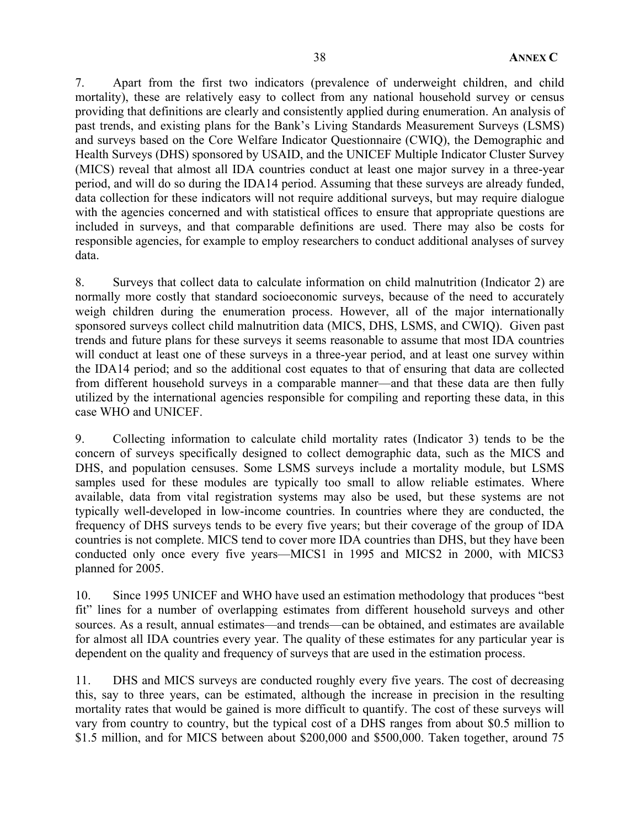7. Apart from the first two indicators (prevalence of underweight children, and child mortality), these are relatively easy to collect from any national household survey or census providing that definitions are clearly and consistently applied during enumeration. An analysis of past trends, and existing plans for the Bank's Living Standards Measurement Surveys (LSMS) and surveys based on the Core Welfare Indicator Questionnaire (CWIQ), the Demographic and Health Surveys (DHS) sponsored by USAID, and the UNICEF Multiple Indicator Cluster Survey (MICS) reveal that almost all IDA countries conduct at least one major survey in a three-year period, and will do so during the IDA14 period. Assuming that these surveys are already funded, data collection for these indicators will not require additional surveys, but may require dialogue with the agencies concerned and with statistical offices to ensure that appropriate questions are included in surveys, and that comparable definitions are used. There may also be costs for responsible agencies, for example to employ researchers to conduct additional analyses of survey data.

8. Surveys that collect data to calculate information on child malnutrition (Indicator 2) are normally more costly that standard socioeconomic surveys, because of the need to accurately weigh children during the enumeration process. However, all of the major internationally sponsored surveys collect child malnutrition data (MICS, DHS, LSMS, and CWIQ). Given past trends and future plans for these surveys it seems reasonable to assume that most IDA countries will conduct at least one of these surveys in a three-year period, and at least one survey within the IDA14 period; and so the additional cost equates to that of ensuring that data are collected from different household surveys in a comparable manner—and that these data are then fully utilized by the international agencies responsible for compiling and reporting these data, in this case WHO and UNICEF.

9. Collecting information to calculate child mortality rates (Indicator 3) tends to be the concern of surveys specifically designed to collect demographic data, such as the MICS and DHS, and population censuses. Some LSMS surveys include a mortality module, but LSMS samples used for these modules are typically too small to allow reliable estimates. Where available, data from vital registration systems may also be used, but these systems are not typically well-developed in low-income countries. In countries where they are conducted, the frequency of DHS surveys tends to be every five years; but their coverage of the group of IDA countries is not complete. MICS tend to cover more IDA countries than DHS, but they have been conducted only once every five years—MICS1 in 1995 and MICS2 in 2000, with MICS3 planned for 2005.

10. Since 1995 UNICEF and WHO have used an estimation methodology that produces "best fit" lines for a number of overlapping estimates from different household surveys and other sources. As a result, annual estimates—and trends—can be obtained, and estimates are available for almost all IDA countries every year. The quality of these estimates for any particular year is dependent on the quality and frequency of surveys that are used in the estimation process.

11. DHS and MICS surveys are conducted roughly every five years. The cost of decreasing this, say to three years, can be estimated, although the increase in precision in the resulting mortality rates that would be gained is more difficult to quantify. The cost of these surveys will vary from country to country, but the typical cost of a DHS ranges from about \$0.5 million to \$1.5 million, and for MICS between about \$200,000 and \$500,000. Taken together, around 75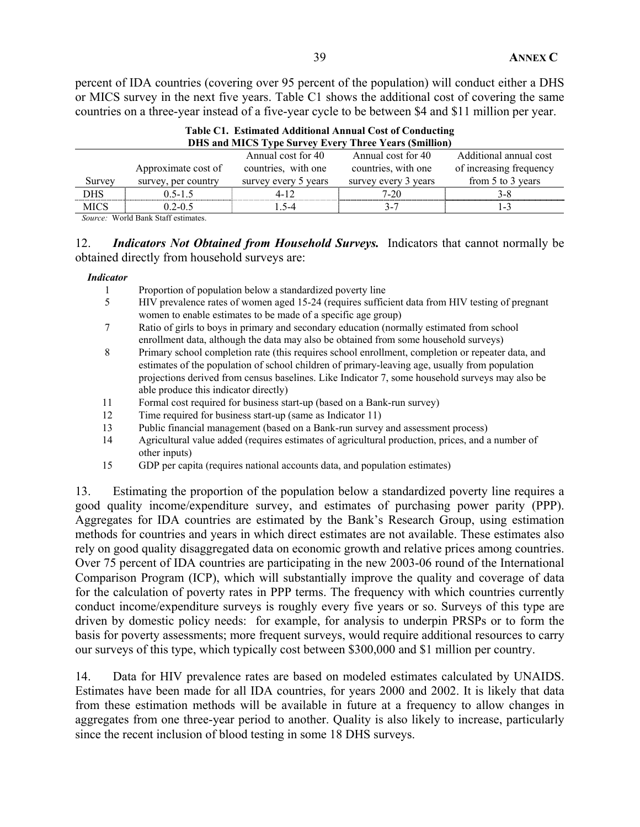percent of IDA countries (covering over 95 percent of the population) will conduct either a DHS or MICS survey in the next five years. Table C1 shows the additional cost of covering the same countries on a three-year instead of a five-year cycle to be between \$4 and \$11 million per year.

|             | <b>DHS and MICS Type Survey Every Three Years (Smillion)</b>                                        |                      |                      |                         |  |  |  |  |
|-------------|-----------------------------------------------------------------------------------------------------|----------------------|----------------------|-------------------------|--|--|--|--|
|             |                                                                                                     | Annual cost for 40   | Annual cost for 40   | Additional annual cost  |  |  |  |  |
|             | Approximate cost of                                                                                 | countries, with one  | countries, with one  | of increasing frequency |  |  |  |  |
| Survey      | survey, per country                                                                                 | survey every 5 years | survey every 3 years | from 5 to 3 years       |  |  |  |  |
| DHS         | $0.5 - 1.5$                                                                                         | 4-12                 | 7-20                 | $3 - 8$                 |  |  |  |  |
| <b>MICS</b> | $0.2 - 0.5$                                                                                         | $-5-4$               | $3 - 7$              | 1.3                     |  |  |  |  |
|             | $\alpha$ $\mathbf{w}$ $\mathbf{1}$ $\mathbf{p}$ $\mathbf{q}$ $\mathbf{r}$ $\mathbf{r}$ $\mathbf{r}$ |                      |                      |                         |  |  |  |  |

**Table C1. Estimated Additional Annual Cost of Conducting** 

*Source:* World Bank Staff estimates.

12. *Indicators Not Obtained from Household Surveys.* Indicators that cannot normally be obtained directly from household surveys are:

### *Indicator*

- 1 Proportion of population below a standardized poverty line
- 5 HIV prevalence rates of women aged 15-24 (requires sufficient data from HIV testing of pregnant women to enable estimates to be made of a specific age group)
- 7 Ratio of girls to boys in primary and secondary education (normally estimated from school enrollment data, although the data may also be obtained from some household surveys)
- 8 Primary school completion rate (this requires school enrollment, completion or repeater data, and estimates of the population of school children of primary-leaving age, usually from population projections derived from census baselines. Like Indicator 7, some household surveys may also be able produce this indicator directly)
- 11 Formal cost required for business start-up (based on a Bank-run survey)
- 12 Time required for business start-up (same as Indicator 11)
- 13 Public financial management (based on a Bank-run survey and assessment process)
- 14 Agricultural value added (requires estimates of agricultural production, prices, and a number of other inputs)
- 15 GDP per capita (requires national accounts data, and population estimates)

13. Estimating the proportion of the population below a standardized poverty line requires a good quality income/expenditure survey, and estimates of purchasing power parity (PPP). Aggregates for IDA countries are estimated by the Bank's Research Group, using estimation methods for countries and years in which direct estimates are not available. These estimates also rely on good quality disaggregated data on economic growth and relative prices among countries. Over 75 percent of IDA countries are participating in the new 2003-06 round of the International Comparison Program (ICP), which will substantially improve the quality and coverage of data for the calculation of poverty rates in PPP terms. The frequency with which countries currently conduct income/expenditure surveys is roughly every five years or so. Surveys of this type are driven by domestic policy needs: for example, for analysis to underpin PRSPs or to form the basis for poverty assessments; more frequent surveys, would require additional resources to carry our surveys of this type, which typically cost between \$300,000 and \$1 million per country.

14. Data for HIV prevalence rates are based on modeled estimates calculated by UNAIDS. Estimates have been made for all IDA countries, for years 2000 and 2002. It is likely that data from these estimation methods will be available in future at a frequency to allow changes in aggregates from one three-year period to another. Quality is also likely to increase, particularly since the recent inclusion of blood testing in some 18 DHS surveys.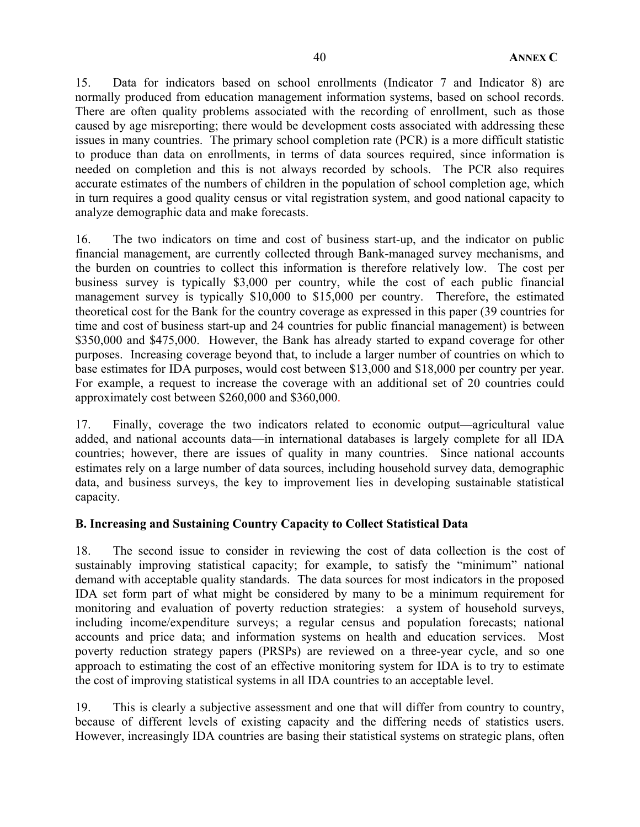15. Data for indicators based on school enrollments (Indicator 7 and Indicator 8) are normally produced from education management information systems, based on school records. There are often quality problems associated with the recording of enrollment, such as those caused by age misreporting; there would be development costs associated with addressing these issues in many countries. The primary school completion rate (PCR) is a more difficult statistic to produce than data on enrollments, in terms of data sources required, since information is needed on completion and this is not always recorded by schools. The PCR also requires accurate estimates of the numbers of children in the population of school completion age, which in turn requires a good quality census or vital registration system, and good national capacity to analyze demographic data and make forecasts.

16. The two indicators on time and cost of business start-up, and the indicator on public financial management, are currently collected through Bank-managed survey mechanisms, and the burden on countries to collect this information is therefore relatively low. The cost per business survey is typically \$3,000 per country, while the cost of each public financial management survey is typically \$10,000 to \$15,000 per country. Therefore, the estimated theoretical cost for the Bank for the country coverage as expressed in this paper (39 countries for time and cost of business start-up and 24 countries for public financial management) is between \$350,000 and \$475,000. However, the Bank has already started to expand coverage for other purposes. Increasing coverage beyond that, to include a larger number of countries on which to base estimates for IDA purposes, would cost between \$13,000 and \$18,000 per country per year. For example, a request to increase the coverage with an additional set of 20 countries could approximately cost between \$260,000 and \$360,000.

17. Finally, coverage the two indicators related to economic output—agricultural value added, and national accounts data—in international databases is largely complete for all IDA countries; however, there are issues of quality in many countries. Since national accounts estimates rely on a large number of data sources, including household survey data, demographic data, and business surveys, the key to improvement lies in developing sustainable statistical capacity.

## **B. Increasing and Sustaining Country Capacity to Collect Statistical Data**

18. The second issue to consider in reviewing the cost of data collection is the cost of sustainably improving statistical capacity; for example, to satisfy the "minimum" national demand with acceptable quality standards. The data sources for most indicators in the proposed IDA set form part of what might be considered by many to be a minimum requirement for monitoring and evaluation of poverty reduction strategies: a system of household surveys, including income/expenditure surveys; a regular census and population forecasts; national accounts and price data; and information systems on health and education services. Most poverty reduction strategy papers (PRSPs) are reviewed on a three-year cycle, and so one approach to estimating the cost of an effective monitoring system for IDA is to try to estimate the cost of improving statistical systems in all IDA countries to an acceptable level.

19. This is clearly a subjective assessment and one that will differ from country to country, because of different levels of existing capacity and the differing needs of statistics users. However, increasingly IDA countries are basing their statistical systems on strategic plans, often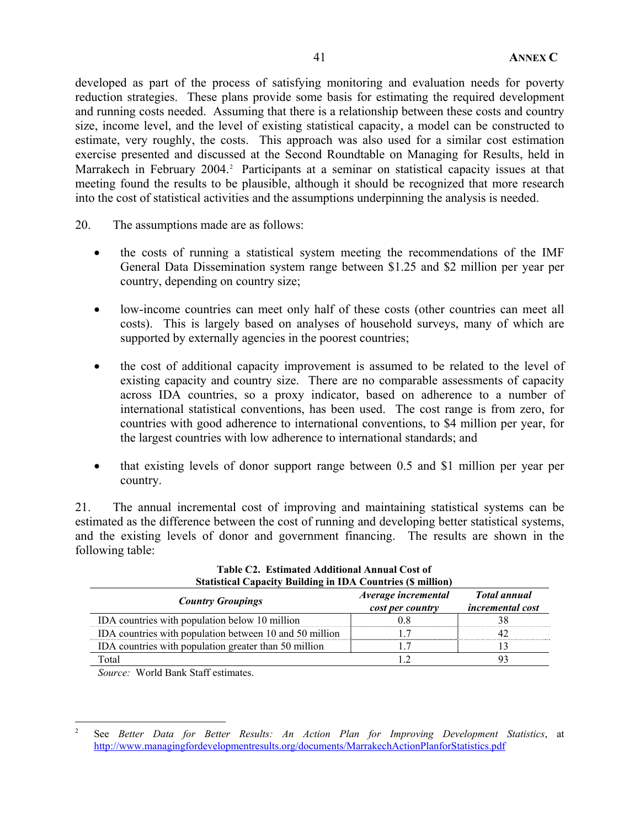developed as part of the process of satisfying monitoring and evaluation needs for poverty reduction strategies. These plans provide some basis for estimating the required development and running costs needed. Assuming that there is a relationship between these costs and country size, income level, and the level of existing statistical capacity, a model can be constructed to estimate, very roughly, the costs. This approach was also used for a similar cost estimation exercise presented and discussed at the Second Roundtable on Managing for Results, held in Marrakech in February 2004.<sup>2</sup> Participants at a seminar on statistical capacity issues at that meeting found the results to be plausible, although it should be recognized that more research into the cost of statistical activities and the assumptions underpinning the analysis is needed.

- 20. The assumptions made are as follows:
	- the costs of running a statistical system meeting the recommendations of the IMF General Data Dissemination system range between \$1.25 and \$2 million per year per country, depending on country size;
	- low-income countries can meet only half of these costs (other countries can meet all costs). This is largely based on analyses of household surveys, many of which are supported by externally agencies in the poorest countries;
	- the cost of additional capacity improvement is assumed to be related to the level of existing capacity and country size. There are no comparable assessments of capacity across IDA countries, so a proxy indicator, based on adherence to a number of international statistical conventions, has been used. The cost range is from zero, for countries with good adherence to international conventions, to \$4 million per year, for the largest countries with low adherence to international standards; and
	- that existing levels of donor support range between 0.5 and \$1 million per year per country.

21. The annual incremental cost of improving and maintaining statistical systems can be estimated as the difference between the cost of running and developing better statistical systems, and the existing levels of donor and government financing. The results are shown in the following table:

| <b>Statistical Capacity Building in IDA Countries (\$ million)</b> |                                         |                                                |  |  |  |  |  |
|--------------------------------------------------------------------|-----------------------------------------|------------------------------------------------|--|--|--|--|--|
| <b>Country Groupings</b>                                           | Average incremental<br>cost per country | <b>Total annual</b><br><i>incremental cost</i> |  |  |  |  |  |
| IDA countries with population below 10 million                     |                                         |                                                |  |  |  |  |  |
| IDA countries with population between 10 and 50 million            |                                         |                                                |  |  |  |  |  |
| IDA countries with population greater than 50 million              |                                         |                                                |  |  |  |  |  |
| Total                                                              |                                         |                                                |  |  |  |  |  |

| Table C2. Estimated Additional Annual Cost of            |
|----------------------------------------------------------|
| itistical Canacity Building in IDA Countries (\$ millioi |

*Source:* World Bank Staff estimates.

 $\frac{1}{2}$  See *Better Data for Better Results: An Action Plan for Improving Development Statistics*, at http://www.managingfordevelopmentresults.org/documents/MarrakechActionPlanforStatistics.pdf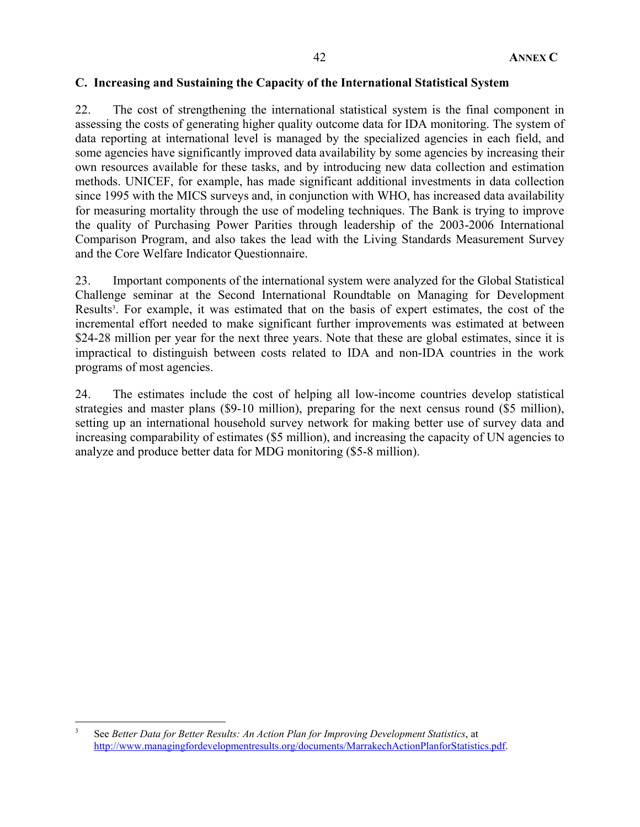## **C. Increasing and Sustaining the Capacity of the International Statistical System**

22. The cost of strengthening the international statistical system is the final component in assessing the costs of generating higher quality outcome data for IDA monitoring. The system of data reporting at international level is managed by the specialized agencies in each field, and some agencies have significantly improved data availability by some agencies by increasing their own resources available for these tasks, and by introducing new data collection and estimation methods. UNICEF, for example, has made significant additional investments in data collection since 1995 with the MICS surveys and, in conjunction with WHO, has increased data availability for measuring mortality through the use of modeling techniques. The Bank is trying to improve the quality of Purchasing Power Parities through leadership of the 2003-2006 International Comparison Program, and also takes the lead with the Living Standards Measurement Survey and the Core Welfare Indicator Questionnaire.

23. Important components of the international system were analyzed for the Global Statistical Challenge seminar at the Second International Roundtable on Managing for Development Results<sup>3</sup>. For example, it was estimated that on the basis of expert estimates, the cost of the incremental effort needed to make significant further improvements was estimated at between \$24-28 million per year for the next three years. Note that these are global estimates, since it is impractical to distinguish between costs related to IDA and non-IDA countries in the work programs of most agencies.

24. The estimates include the cost of helping all low-income countries develop statistical strategies and master plans (\$9-10 million), preparing for the next census round (\$5 million), setting up an international household survey network for making better use of survey data and increasing comparability of estimates (\$5 million), and increasing the capacity of UN agencies to analyze and produce better data for MDG monitoring (\$5-8 million).

1

<sup>3</sup> See *Better Data for Better Results: An Action Plan for Improving Development Statistics*, at http://www.managingfordevelopmentresults.org/documents/MarrakechActionPlanforStatistics.pdf.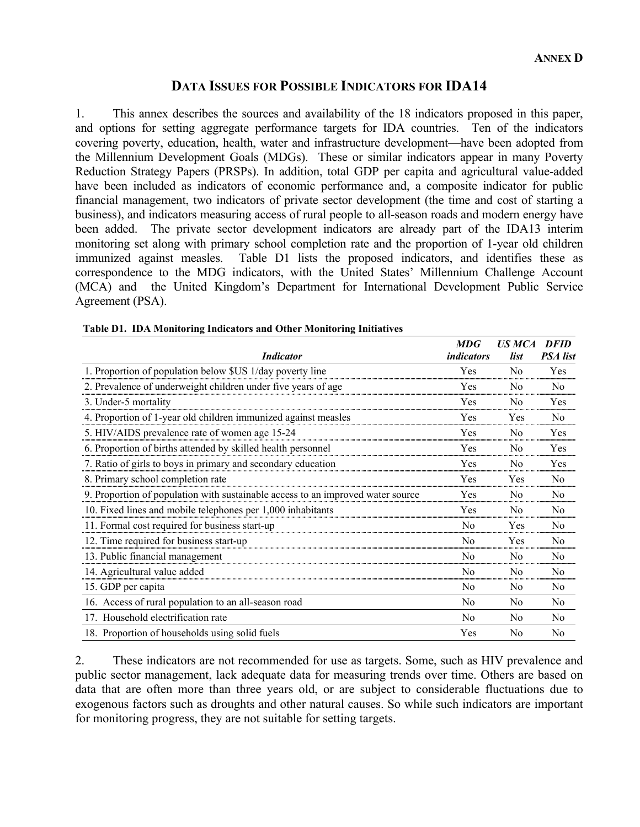# **DATA ISSUES FOR POSSIBLE INDICATORS FOR IDA14**

1. This annex describes the sources and availability of the 18 indicators proposed in this paper, and options for setting aggregate performance targets for IDA countries. Ten of the indicators covering poverty, education, health, water and infrastructure development—have been adopted from the Millennium Development Goals (MDGs). These or similar indicators appear in many Poverty Reduction Strategy Papers (PRSPs). In addition, total GDP per capita and agricultural value-added have been included as indicators of economic performance and, a composite indicator for public financial management, two indicators of private sector development (the time and cost of starting a business), and indicators measuring access of rural people to all-season roads and modern energy have been added. The private sector development indicators are already part of the IDA13 interim monitoring set along with primary school completion rate and the proportion of 1-year old children immunized against measles. Table D1 lists the proposed indicators, and identifies these as correspondence to the MDG indicators, with the United States' Millennium Challenge Account (MCA) and the United Kingdom's Department for International Development Public Service Agreement (PSA).

| <i><b>Indicator</b></i>                                                         | <b>MDG</b><br><i>indicators</i> | <b>US MCA</b><br>list | <b>DFID</b><br><b>PSA</b> list |
|---------------------------------------------------------------------------------|---------------------------------|-----------------------|--------------------------------|
| 1. Proportion of population below \$US 1/day poverty line                       | Yes                             | N <sub>0</sub>        | Yes                            |
| 2. Prevalence of underweight children under five years of age                   | Yes                             | N <sub>0</sub>        | N <sub>0</sub>                 |
| 3. Under-5 mortality                                                            | Yes                             | N <sub>0</sub>        | Yes                            |
| 4. Proportion of 1-year old children immunized against measles                  | Yes                             | Yes                   | N <sub>0</sub>                 |
| 5. HIV/AIDS prevalence rate of women age 15-24                                  | Yes                             | N <sub>0</sub>        | Yes                            |
| 6. Proportion of births attended by skilled health personnel                    | Yes                             | N <sub>0</sub>        | Yes                            |
| 7. Ratio of girls to boys in primary and secondary education                    | Yes                             | No                    | Yes                            |
| 8. Primary school completion rate                                               | Yes                             | Yes                   | N <sub>0</sub>                 |
| 9. Proportion of population with sustainable access to an improved water source | Yes                             | N <sub>0</sub>        | N <sub>0</sub>                 |
| 10. Fixed lines and mobile telephones per 1,000 inhabitants                     | Yes                             | N <sub>0</sub>        | N <sub>0</sub>                 |
| 11. Formal cost required for business start-up                                  | N <sub>0</sub>                  | Yes                   | N <sub>0</sub>                 |
| 12. Time required for business start-up                                         | N <sub>0</sub>                  | Yes                   | N <sub>0</sub>                 |
| 13. Public financial management                                                 | N <sub>0</sub>                  | N <sub>0</sub>        | No                             |
| 14. Agricultural value added                                                    | N <sub>0</sub>                  | N <sub>0</sub>        | No                             |
| 15. GDP per capita                                                              | N <sub>0</sub>                  | N <sub>0</sub>        | N <sub>0</sub>                 |
| 16. Access of rural population to an all-season road                            | N <sub>0</sub>                  | N <sub>0</sub>        | No                             |
| 17. Household electrification rate                                              | N <sub>0</sub>                  | N <sub>0</sub>        | N <sub>0</sub>                 |
| 18. Proportion of households using solid fuels                                  | Yes                             | N <sub>0</sub>        | N <sub>0</sub>                 |

## **Table D1. IDA Monitoring Indicators and Other Monitoring Initiatives**

2. These indicators are not recommended for use as targets. Some, such as HIV prevalence and public sector management, lack adequate data for measuring trends over time. Others are based on data that are often more than three years old, or are subject to considerable fluctuations due to exogenous factors such as droughts and other natural causes. So while such indicators are important for monitoring progress, they are not suitable for setting targets.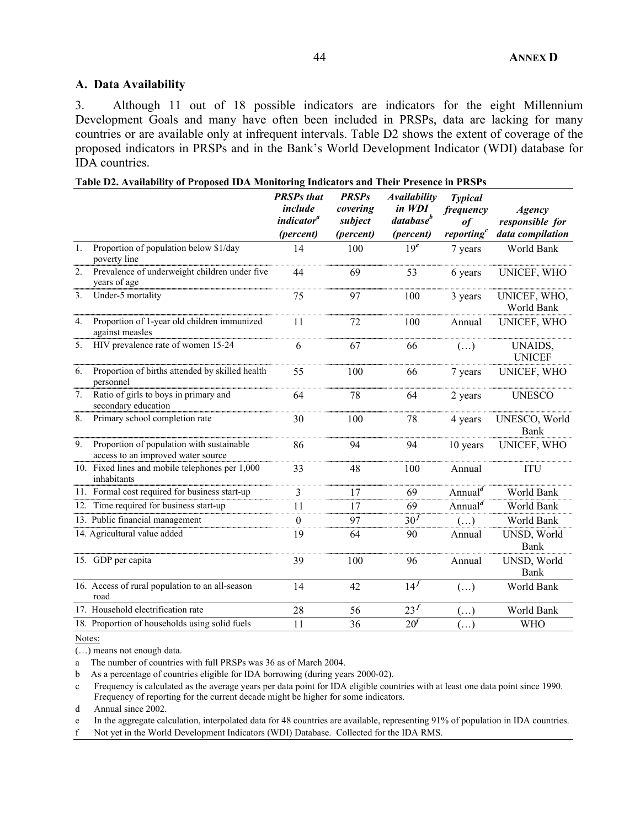## **A. Data Availability**

3. Although 11 out of 18 possible indicators are indicators for the eight Millennium Development Goals and many have often been included in PRSPs, data are lacking for many countries or are available only at infrequent intervals. Table D2 shows the extent of coverage of the proposed indicators in PRSPs and in the Bank's World Development Indicator (WDI) database for IDA countries.

**Table D2. Availability of Proposed IDA Monitoring Indicators and Their Presence in PRSPs** 

|    |                                                                                 | <b>PRSPs</b> that<br>include<br><i>indicator<sup>a</sup></i><br>(percent) | <b>PRSPs</b><br>covering<br>subject<br>(percent) | Availability<br>in WDI<br>database <sup>b</sup><br>(percent) | <b>Typical</b><br>frequency<br>0f<br>reporting <sup>c</sup> | <b>Agency</b><br>responsible for<br>data compilation |
|----|---------------------------------------------------------------------------------|---------------------------------------------------------------------------|--------------------------------------------------|--------------------------------------------------------------|-------------------------------------------------------------|------------------------------------------------------|
| 1. | Proportion of population below \$1/day<br>poverty line                          | 14                                                                        | 100                                              | 19 <sup>e</sup>                                              | 7 years                                                     | World Bank                                           |
| 2. | Prevalence of underweight children under five<br>years of age                   | 44                                                                        | 69                                               | 53                                                           | 6 years                                                     | UNICEF, WHO                                          |
| 3. | Under-5 mortality                                                               | 75                                                                        | 97                                               | 100                                                          | 3 years                                                     | UNICEF, WHO,<br>World Bank                           |
| 4. | Proportion of 1-year old children immunized<br>against measles                  | 11                                                                        | 72                                               | 100                                                          | Annual                                                      | UNICEF, WHO                                          |
| 5. | HIV prevalence rate of women 15-24                                              | 6                                                                         | 67                                               | 66                                                           | $(\ldots)$                                                  | UNAIDS,<br><b>UNICEF</b>                             |
| 6. | Proportion of births attended by skilled health<br>personnel                    | 55                                                                        | 100                                              | 66                                                           | 7 years                                                     | UNICEF, WHO                                          |
| 7. | Ratio of girls to boys in primary and<br>secondary education                    | 64                                                                        | 78                                               | 64                                                           | 2 years                                                     | <b>UNESCO</b>                                        |
| 8. | Primary school completion rate                                                  | 30                                                                        | 100                                              | 78                                                           | 4 years                                                     | UNESCO, World<br><b>Bank</b>                         |
| 9. | Proportion of population with sustainable<br>access to an improved water source | 86                                                                        | 94                                               | 94                                                           | 10 years                                                    | UNICEF, WHO                                          |
|    | 10. Fixed lines and mobile telephones per 1,000<br>inhabitants                  | 33                                                                        | 48                                               | 100                                                          | Annual                                                      | <b>ITU</b>                                           |
|    | 11. Formal cost required for business start-up                                  | 3                                                                         | 17                                               | 69                                                           | Annual <sup><math>d</math></sup>                            | World Bank                                           |
|    | 12. Time required for business start-up                                         | 11                                                                        | 17                                               | 69                                                           | Annual $\overline{d}$                                       | World Bank                                           |
|    | 13. Public financial management                                                 | 0                                                                         | 97                                               | 30 <sup>f</sup>                                              | $(\ldots)$                                                  | World Bank                                           |
|    | 14. Agricultural value added                                                    | 19                                                                        | 64                                               | 90                                                           | Annual                                                      | UNSD, World<br>Bank                                  |
|    | 15. GDP per capita                                                              | 39                                                                        | 100                                              | 96                                                           | Annual                                                      | UNSD, World<br>Bank                                  |
|    | 16. Access of rural population to an all-season<br>road                         | 14                                                                        | 42                                               | 14 <sup>f</sup>                                              | $(\ldots)$                                                  | World Bank                                           |
|    | 17. Household electrification rate                                              | 28                                                                        | 56                                               | 23 <sup>f</sup>                                              | $(\ldots)$                                                  | World Bank                                           |
|    | 18. Proportion of households using solid fuels                                  | 11                                                                        | 36                                               | 20 <sup>f</sup>                                              | $(\ldots)$                                                  | <b>WHO</b>                                           |

Notes:

(…) means not enough data.

a The number of countries with full PRSPs was 36 as of March 2004.

b As a percentage of countries eligible for IDA borrowing (during years 2000-02).

c Frequency is calculated as the average years per data point for IDA eligible countries with at least one data point since 1990. Frequency of reporting for the current decade might be higher for some indicators.

d Annual since 2002.

e In the aggregate calculation, interpolated data for 48 countries are available, representing 91% of population in IDA countries.

f Not yet in the World Development Indicators (WDI) Database. Collected for the IDA RMS.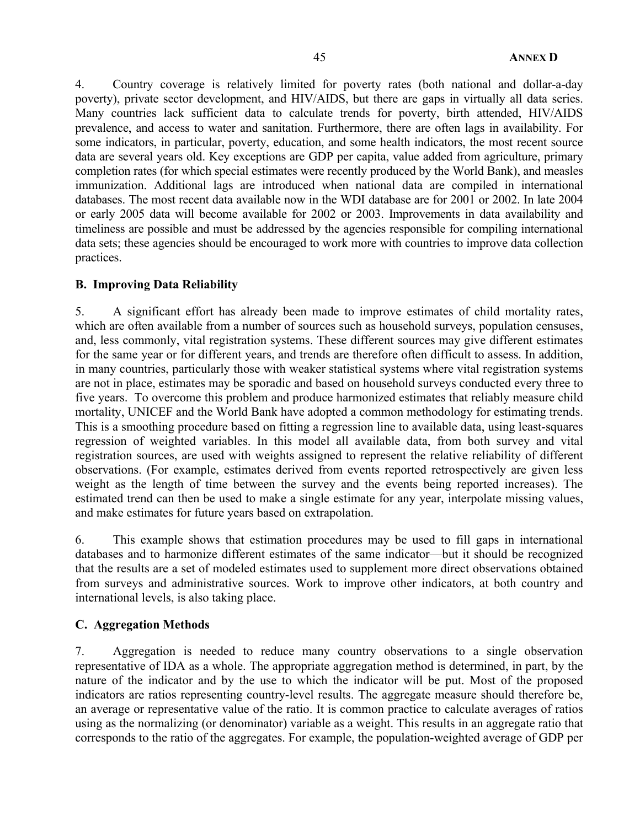4. Country coverage is relatively limited for poverty rates (both national and dollar-a-day poverty), private sector development, and HIV/AIDS, but there are gaps in virtually all data series. Many countries lack sufficient data to calculate trends for poverty, birth attended, HIV/AIDS prevalence, and access to water and sanitation. Furthermore, there are often lags in availability. For some indicators, in particular, poverty, education, and some health indicators, the most recent source data are several years old. Key exceptions are GDP per capita, value added from agriculture, primary completion rates (for which special estimates were recently produced by the World Bank), and measles immunization. Additional lags are introduced when national data are compiled in international databases. The most recent data available now in the WDI database are for 2001 or 2002. In late 2004 or early 2005 data will become available for 2002 or 2003. Improvements in data availability and timeliness are possible and must be addressed by the agencies responsible for compiling international data sets; these agencies should be encouraged to work more with countries to improve data collection practices.

## **B. Improving Data Reliability**

5. A significant effort has already been made to improve estimates of child mortality rates, which are often available from a number of sources such as household surveys, population censuses, and, less commonly, vital registration systems. These different sources may give different estimates for the same year or for different years, and trends are therefore often difficult to assess. In addition, in many countries, particularly those with weaker statistical systems where vital registration systems are not in place, estimates may be sporadic and based on household surveys conducted every three to five years. To overcome this problem and produce harmonized estimates that reliably measure child mortality, UNICEF and the World Bank have adopted a common methodology for estimating trends. This is a smoothing procedure based on fitting a regression line to available data, using least-squares regression of weighted variables. In this model all available data, from both survey and vital registration sources, are used with weights assigned to represent the relative reliability of different observations. (For example, estimates derived from events reported retrospectively are given less weight as the length of time between the survey and the events being reported increases). The estimated trend can then be used to make a single estimate for any year, interpolate missing values, and make estimates for future years based on extrapolation.

6. This example shows that estimation procedures may be used to fill gaps in international databases and to harmonize different estimates of the same indicator—but it should be recognized that the results are a set of modeled estimates used to supplement more direct observations obtained from surveys and administrative sources. Work to improve other indicators, at both country and international levels, is also taking place.

## **C. Aggregation Methods**

7. Aggregation is needed to reduce many country observations to a single observation representative of IDA as a whole. The appropriate aggregation method is determined, in part, by the nature of the indicator and by the use to which the indicator will be put. Most of the proposed indicators are ratios representing country-level results. The aggregate measure should therefore be, an average or representative value of the ratio. It is common practice to calculate averages of ratios using as the normalizing (or denominator) variable as a weight. This results in an aggregate ratio that corresponds to the ratio of the aggregates. For example, the population-weighted average of GDP per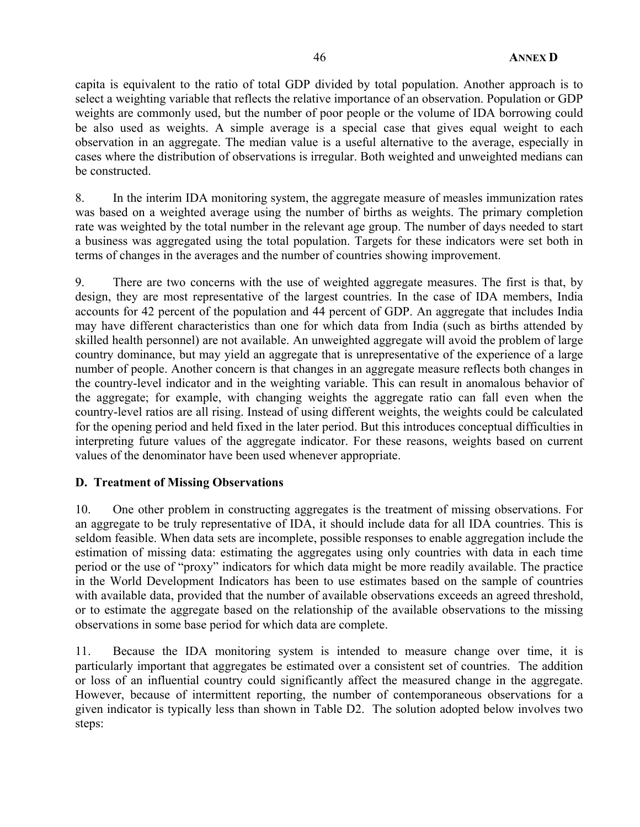capita is equivalent to the ratio of total GDP divided by total population. Another approach is to select a weighting variable that reflects the relative importance of an observation. Population or GDP weights are commonly used, but the number of poor people or the volume of IDA borrowing could be also used as weights. A simple average is a special case that gives equal weight to each observation in an aggregate. The median value is a useful alternative to the average, especially in cases where the distribution of observations is irregular. Both weighted and unweighted medians can be constructed.

8. In the interim IDA monitoring system, the aggregate measure of measles immunization rates was based on a weighted average using the number of births as weights. The primary completion rate was weighted by the total number in the relevant age group. The number of days needed to start a business was aggregated using the total population. Targets for these indicators were set both in terms of changes in the averages and the number of countries showing improvement.

9. There are two concerns with the use of weighted aggregate measures. The first is that, by design, they are most representative of the largest countries. In the case of IDA members, India accounts for 42 percent of the population and 44 percent of GDP. An aggregate that includes India may have different characteristics than one for which data from India (such as births attended by skilled health personnel) are not available. An unweighted aggregate will avoid the problem of large country dominance, but may yield an aggregate that is unrepresentative of the experience of a large number of people. Another concern is that changes in an aggregate measure reflects both changes in the country-level indicator and in the weighting variable. This can result in anomalous behavior of the aggregate; for example, with changing weights the aggregate ratio can fall even when the country-level ratios are all rising. Instead of using different weights, the weights could be calculated for the opening period and held fixed in the later period. But this introduces conceptual difficulties in interpreting future values of the aggregate indicator. For these reasons, weights based on current values of the denominator have been used whenever appropriate.

## **D. Treatment of Missing Observations**

10. One other problem in constructing aggregates is the treatment of missing observations. For an aggregate to be truly representative of IDA, it should include data for all IDA countries. This is seldom feasible. When data sets are incomplete, possible responses to enable aggregation include the estimation of missing data: estimating the aggregates using only countries with data in each time period or the use of "proxy" indicators for which data might be more readily available. The practice in the World Development Indicators has been to use estimates based on the sample of countries with available data, provided that the number of available observations exceeds an agreed threshold, or to estimate the aggregate based on the relationship of the available observations to the missing observations in some base period for which data are complete.

11. Because the IDA monitoring system is intended to measure change over time, it is particularly important that aggregates be estimated over a consistent set of countries. The addition or loss of an influential country could significantly affect the measured change in the aggregate. However, because of intermittent reporting, the number of contemporaneous observations for a given indicator is typically less than shown in Table D2. The solution adopted below involves two steps: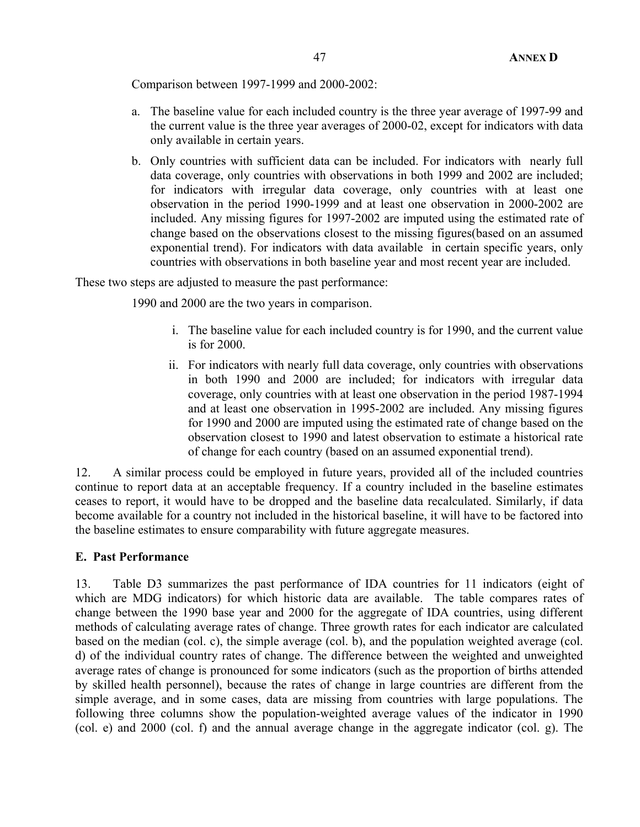Comparison between 1997-1999 and 2000-2002:

- a. The baseline value for each included country is the three year average of 1997-99 and the current value is the three year averages of 2000-02, except for indicators with data only available in certain years.
- b. Only countries with sufficient data can be included. For indicators with nearly full data coverage, only countries with observations in both 1999 and 2002 are included; for indicators with irregular data coverage, only countries with at least one observation in the period 1990-1999 and at least one observation in 2000-2002 are included. Any missing figures for 1997-2002 are imputed using the estimated rate of change based on the observations closest to the missing figures(based on an assumed exponential trend). For indicators with data available in certain specific years, only countries with observations in both baseline year and most recent year are included.

These two steps are adjusted to measure the past performance:

1990 and 2000 are the two years in comparison.

- i. The baseline value for each included country is for 1990, and the current value is for 2000.
- ii. For indicators with nearly full data coverage, only countries with observations in both 1990 and 2000 are included; for indicators with irregular data coverage, only countries with at least one observation in the period 1987-1994 and at least one observation in 1995-2002 are included. Any missing figures for 1990 and 2000 are imputed using the estimated rate of change based on the observation closest to 1990 and latest observation to estimate a historical rate of change for each country (based on an assumed exponential trend).

12. A similar process could be employed in future years, provided all of the included countries continue to report data at an acceptable frequency. If a country included in the baseline estimates ceases to report, it would have to be dropped and the baseline data recalculated. Similarly, if data become available for a country not included in the historical baseline, it will have to be factored into the baseline estimates to ensure comparability with future aggregate measures.

## **E. Past Performance**

13. Table D3 summarizes the past performance of IDA countries for 11 indicators (eight of which are MDG indicators) for which historic data are available. The table compares rates of change between the 1990 base year and 2000 for the aggregate of IDA countries, using different methods of calculating average rates of change. Three growth rates for each indicator are calculated based on the median (col. c), the simple average (col. b), and the population weighted average (col. d) of the individual country rates of change. The difference between the weighted and unweighted average rates of change is pronounced for some indicators (such as the proportion of births attended by skilled health personnel), because the rates of change in large countries are different from the simple average, and in some cases, data are missing from countries with large populations. The following three columns show the population-weighted average values of the indicator in 1990 (col. e) and 2000 (col. f) and the annual average change in the aggregate indicator (col. g). The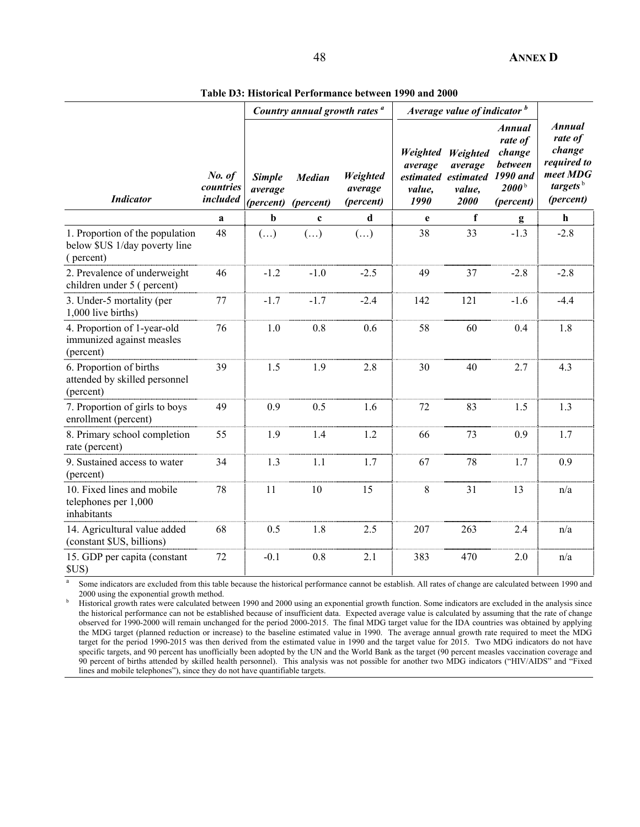**Table D3: Historical Performance between 1990 and 2000**

|                                                                               |                                 | Country annual growth rates <sup>a</sup> |                            |                                  | Average value of indicator b                 |                                                              |                                                                                             |                                                                                                    |
|-------------------------------------------------------------------------------|---------------------------------|------------------------------------------|----------------------------|----------------------------------|----------------------------------------------|--------------------------------------------------------------|---------------------------------------------------------------------------------------------|----------------------------------------------------------------------------------------------------|
| <b>Indicator</b>                                                              | No. of<br>countries<br>included | <b>Simple</b><br>average<br>(percent)    | <b>Median</b><br>(percent) | Weighted<br>average<br>(percent) | <b>Weighted</b><br>average<br>value,<br>1990 | Weighted<br>average<br>estimated estimated<br>value,<br>2000 | <b>Annual</b><br>rate of<br>change<br>between<br>1990 and<br>2000 <sup>b</sup><br>(percent) | <b>Annual</b><br>rate of<br>change<br>required to<br>meet MDG<br>targets <sup>b</sup><br>(percent) |
|                                                                               | a                               | $\mathbf b$                              | $\mathbf c$                | d                                | e                                            | $\mathbf f$                                                  | g                                                                                           | $\mathbf{h}$                                                                                       |
| 1. Proportion of the population<br>below \$US 1/day poverty line<br>(percent) | 48                              | $(\ldots)$                               | $(\ldots)$                 | $(\ldots)$                       | 38                                           | 33                                                           | $-1.3$                                                                                      | $-2.8$                                                                                             |
| 2. Prevalence of underweight<br>children under 5 (percent)                    | 46                              | $-1.2$                                   | $-1.0$                     | $-2.5$                           | 49                                           | 37                                                           | $-2.8$                                                                                      | $-2.8$                                                                                             |
| 3. Under-5 mortality (per<br>1,000 live births)                               | 77                              | $-1.7$                                   | $-1.7$                     | $-2.4$                           | 142                                          | 121                                                          | $-1.6$                                                                                      | $-4.4$                                                                                             |
| 4. Proportion of 1-year-old<br>immunized against measles<br>(percent)         | 76                              | 1.0                                      | 0.8                        | 0.6                              | 58                                           | 60                                                           | 0.4                                                                                         | 1.8                                                                                                |
| 6. Proportion of births<br>attended by skilled personnel<br>(percent)         | 39                              | 1.5                                      | 1.9                        | 2.8                              | 30                                           | 40                                                           | 2.7                                                                                         | 4.3                                                                                                |
| 7. Proportion of girls to boys<br>enrollment (percent)                        | 49                              | 0.9                                      | 0.5                        | 1.6                              | 72                                           | 83                                                           | 1.5                                                                                         | 1.3                                                                                                |
| 8. Primary school completion<br>rate (percent)                                | 55                              | 1.9                                      | 1.4                        | 1.2                              | 66                                           | 73                                                           | 0.9                                                                                         | 1.7                                                                                                |
| 9. Sustained access to water<br>(percent)                                     | 34                              | 1.3                                      | 1.1                        | 1.7                              | 67                                           | 78                                                           | 1.7                                                                                         | 0.9                                                                                                |
| 10. Fixed lines and mobile<br>telephones per 1,000<br>inhabitants             | 78                              | 11                                       | 10                         | 15                               | 8                                            | 31                                                           | 13                                                                                          | n/a                                                                                                |
| 14. Agricultural value added<br>(constant \$US, billions)                     | 68                              | 0.5                                      | 1.8                        | 2.5                              | 207                                          | 263                                                          | 2.4                                                                                         | n/a                                                                                                |
| 15. GDP per capita (constant<br>SUS                                           | 72                              | $-0.1$                                   | 0.8                        | 2.1                              | 383                                          | 470                                                          | 2.0                                                                                         | n/a                                                                                                |

<sup>a</sup> Some indicators are excluded from this table because the historical performance cannot be establish. All rates of change are calculated between 1990 and  $2000$  using the exponential growth method.

 Historical growth rates were calculated between 1990 and 2000 using an exponential growth function. Some indicators are excluded in the analysis since the historical performance can not be established because of insufficient data. Expected average value is calculated by assuming that the rate of change observed for 1990-2000 will remain unchanged for the period 2000-2015. The final MDG target value for the IDA countries was obtained by applying the MDG target (planned reduction or increase) to the baseline estimated value in 1990. The average annual growth rate required to meet the MDG target for the period 1990-2015 was then derived from the estimated value in 1990 and the target value for 2015. Two MDG indicators do not have specific targets, and 90 percent has unofficially been adopted by the UN and the World Bank as the target (90 percent measles vaccination coverage and 90 percent of births attended by skilled health personnel). This analysis was not possible for another two MDG indicators ("HIV/AIDS" and "Fixed lines and mobile telephones"), since they do not have quantifiable targets.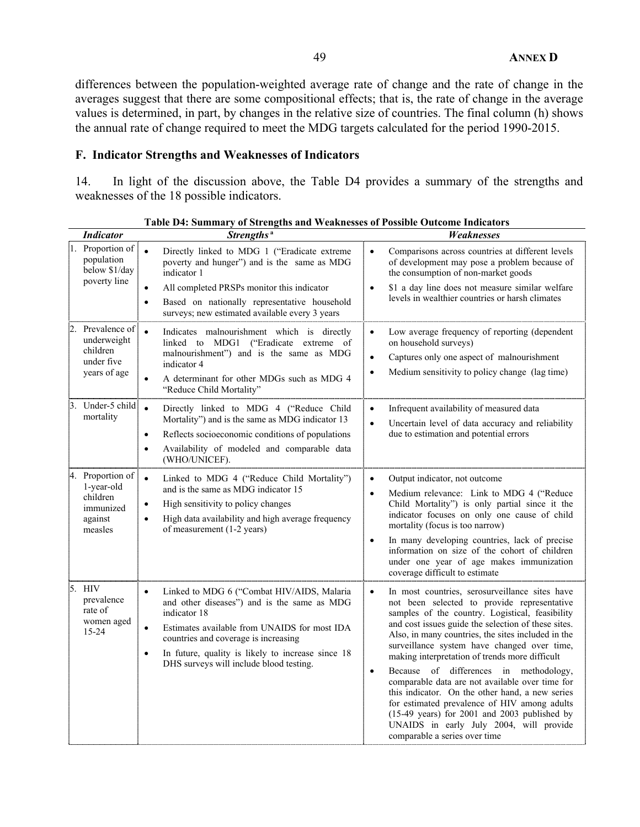differences between the population-weighted average rate of change and the rate of change in the averages suggest that there are some compositional effects; that is, the rate of change in the average values is determined, in part, by changes in the relative size of countries. The final column (h) shows the annual rate of change required to meet the MDG targets calculated for the period 1990-2015.

## **F. Indicator Strengths and Weaknesses of Indicators**

14. In light of the discussion above, the Table D4 provides a summary of the strengths and weaknesses of the 18 possible indicators.

| <b>Indicator</b>                                                              | Strengths <sup>a</sup>                                                                                                                                                                                                                                                                                                                   | Weaknesses                                                                                                                                                                                                                                                                                                                                                                                                                                                                                                                                                                                                                                                                                                                     |  |  |  |
|-------------------------------------------------------------------------------|------------------------------------------------------------------------------------------------------------------------------------------------------------------------------------------------------------------------------------------------------------------------------------------------------------------------------------------|--------------------------------------------------------------------------------------------------------------------------------------------------------------------------------------------------------------------------------------------------------------------------------------------------------------------------------------------------------------------------------------------------------------------------------------------------------------------------------------------------------------------------------------------------------------------------------------------------------------------------------------------------------------------------------------------------------------------------------|--|--|--|
| 1. Proportion of<br>population<br>below \$1/day<br>poverty line               | $\bullet$<br>Directly linked to MDG 1 ("Eradicate extreme<br>poverty and hunger") and is the same as MDG<br>indicator 1<br>All completed PRSPs monitor this indicator<br>$\bullet$                                                                                                                                                       | Comparisons across countries at different levels<br>$\bullet$<br>of development may pose a problem because of<br>the consumption of non-market goods<br>\$1 a day line does not measure similar welfare<br>$\bullet$                                                                                                                                                                                                                                                                                                                                                                                                                                                                                                           |  |  |  |
|                                                                               | Based on nationally representative household<br>$\bullet$<br>surveys; new estimated available every 3 years                                                                                                                                                                                                                              | levels in wealthier countries or harsh climates                                                                                                                                                                                                                                                                                                                                                                                                                                                                                                                                                                                                                                                                                |  |  |  |
| Prevalence of<br>underweight<br>children<br>under five<br>years of age        | Indicates malnourishment which is directly<br>$\bullet$<br>linked to MDG1 ("Eradicate extreme of<br>malnourishment") and is the same as MDG<br>indicator 4<br>A determinant for other MDGs such as MDG 4<br>$\bullet$<br>"Reduce Child Mortality"                                                                                        | Low average frequency of reporting (dependent<br>$\bullet$<br>on household surveys)<br>Captures only one aspect of malnourishment<br>$\bullet$<br>Medium sensitivity to policy change (lag time)<br>$\bullet$                                                                                                                                                                                                                                                                                                                                                                                                                                                                                                                  |  |  |  |
| Under-5 child<br>3.<br>mortality                                              | $\bullet$<br>Directly linked to MDG 4 ("Reduce Child<br>Mortality") and is the same as MDG indicator 13<br>Reflects socioeconomic conditions of populations<br>$\bullet$<br>Availability of modeled and comparable data<br>$\bullet$<br>(WHO/UNICEF).                                                                                    | Infrequent availability of measured data<br>$\bullet$<br>Uncertain level of data accuracy and reliability<br>$\bullet$<br>due to estimation and potential errors                                                                                                                                                                                                                                                                                                                                                                                                                                                                                                                                                               |  |  |  |
| 4. Proportion of<br>1-year-old<br>children<br>immunized<br>against<br>measles | Linked to MDG 4 ("Reduce Child Mortality")<br>$\bullet$<br>and is the same as MDG indicator 15<br>High sensitivity to policy changes<br>$\bullet$<br>High data availability and high average frequency<br>$\bullet$<br>of measurement (1-2 years)                                                                                        | Output indicator, not outcome<br>$\bullet$<br>Medium relevance: Link to MDG 4 ("Reduce<br>$\bullet$<br>Child Mortality") is only partial since it the<br>indicator focuses on only one cause of child<br>mortality (focus is too narrow)<br>In many developing countries, lack of precise<br>$\bullet$<br>information on size of the cohort of children<br>under one year of age makes immunization<br>coverage difficult to estimate                                                                                                                                                                                                                                                                                          |  |  |  |
| 5. HIV<br>prevalence<br>rate of<br>women aged<br>15-24                        | Linked to MDG 6 ("Combat HIV/AIDS, Malaria<br>$\bullet$<br>and other diseases") and is the same as MDG<br>indicator 18<br>Estimates available from UNAIDS for most IDA<br>$\bullet$<br>countries and coverage is increasing<br>In future, quality is likely to increase since 18<br>$\bullet$<br>DHS surveys will include blood testing. | In most countries, serosurveillance sites have<br>$\bullet$<br>not been selected to provide representative<br>samples of the country. Logistical, feasibility<br>and cost issues guide the selection of these sites.<br>Also, in many countries, the sites included in the<br>surveillance system have changed over time,<br>making interpretation of trends more difficult<br>Because of differences in methodology,<br>$\bullet$<br>comparable data are not available over time for<br>this indicator. On the other hand, a new series<br>for estimated prevalence of HIV among adults<br>$(15-49 \text{ years})$ for 2001 and 2003 published by<br>UNAIDS in early July 2004, will provide<br>comparable a series over time |  |  |  |

**Table D4: Summary of Strengths and Weaknesses of Possible Outcome Indicators**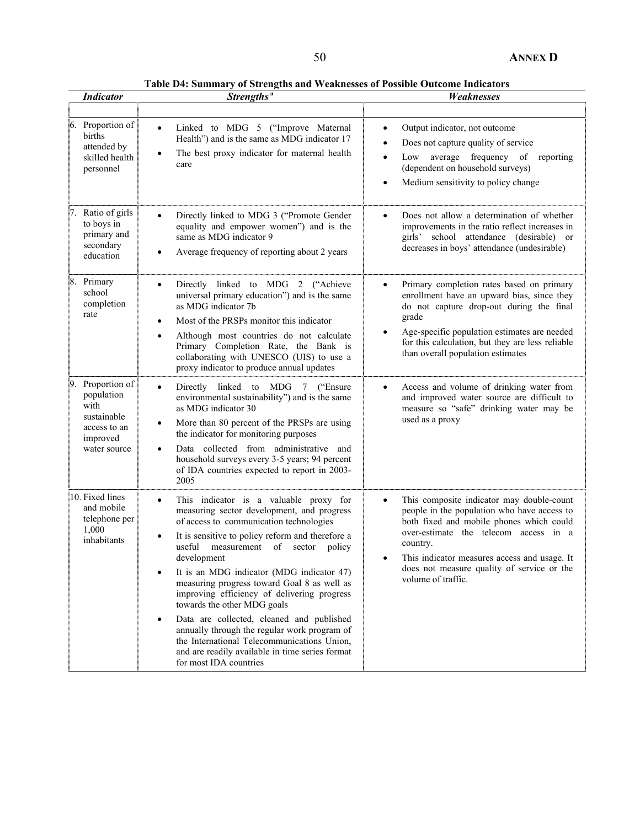**Table D4: Summary of Strengths and Weaknesses of Possible Outcome Indicators**

| <b>Indicator</b>                                                                                     | Strengths <sup>a</sup>                                                                                                                                                                                                                                                                                                                                                                                                                                                                                                                                                                                                                                              | Weaknesses                                                                                                                                                                                                                                                                                                    |
|------------------------------------------------------------------------------------------------------|---------------------------------------------------------------------------------------------------------------------------------------------------------------------------------------------------------------------------------------------------------------------------------------------------------------------------------------------------------------------------------------------------------------------------------------------------------------------------------------------------------------------------------------------------------------------------------------------------------------------------------------------------------------------|---------------------------------------------------------------------------------------------------------------------------------------------------------------------------------------------------------------------------------------------------------------------------------------------------------------|
|                                                                                                      |                                                                                                                                                                                                                                                                                                                                                                                                                                                                                                                                                                                                                                                                     |                                                                                                                                                                                                                                                                                                               |
| 6. Proportion of<br>births<br>attended by<br>skilled health<br>personnel                             | Linked to MDG 5 ("Improve Maternal<br>$\bullet$<br>Health") and is the same as MDG indicator 17<br>The best proxy indicator for maternal health<br>care                                                                                                                                                                                                                                                                                                                                                                                                                                                                                                             | Output indicator, not outcome<br>$\bullet$<br>Does not capture quality of service<br>Low average frequency of reporting<br>(dependent on household surveys)<br>Medium sensitivity to policy change                                                                                                            |
| 7. Ratio of girls<br>to boys in<br>primary and<br>secondary<br>education                             | Directly linked to MDG 3 ("Promote Gender<br>equality and empower women") and is the<br>same as MDG indicator 9<br>Average frequency of reporting about 2 years                                                                                                                                                                                                                                                                                                                                                                                                                                                                                                     | Does not allow a determination of whether<br>improvements in the ratio reflect increases in<br>girls' school attendance (desirable) or<br>decreases in boys' attendance (undesirable)                                                                                                                         |
| 8. Primary<br>school<br>completion<br>rate                                                           | Directly linked to MDG 2 ("Achieve<br>$\bullet$<br>universal primary education") and is the same<br>as MDG indicator 7b<br>Most of the PRSPs monitor this indicator<br>٠<br>Although most countries do not calculate<br>$\bullet$<br>Primary Completion Rate, the Bank is<br>collaborating with UNESCO (UIS) to use a<br>proxy indicator to produce annual updates                                                                                                                                                                                                                                                                                                  | Primary completion rates based on primary<br>$\bullet$<br>enrollment have an upward bias, since they<br>do not capture drop-out during the final<br>grade<br>Age-specific population estimates are needed<br>for this calculation, but they are less reliable<br>than overall population estimates            |
| Proportion of<br>9.<br>population<br>with<br>sustainable<br>access to an<br>improved<br>water source | Directly linked to MDG 7 ("Ensure<br>$\bullet$<br>environmental sustainability") and is the same<br>as MDG indicator 30<br>More than 80 percent of the PRSPs are using<br>٠<br>the indicator for monitoring purposes<br>Data collected from administrative and<br>household surveys every 3-5 years; 94 percent<br>of IDA countries expected to report in 2003-<br>2005                                                                                                                                                                                                                                                                                             | Access and volume of drinking water from<br>and improved water source are difficult to<br>measure so "safe" drinking water may be<br>used as a proxy                                                                                                                                                          |
| 10. Fixed lines<br>and mobile<br>telephone per<br>1,000<br>inhabitants                               | This indicator is a valuable proxy for<br>$\bullet$<br>measuring sector development, and progress<br>of access to communication technologies<br>It is sensitive to policy reform and therefore a<br>useful measurement of sector policy<br>development<br>It is an MDG indicator (MDG indicator 47)<br>٠<br>measuring progress toward Goal 8 as well as<br>improving efficiency of delivering progress<br>towards the other MDG goals<br>Data are collected, cleaned and published<br>٠<br>annually through the regular work program of<br>the International Telecommunications Union,<br>and are readily available in time series format<br>for most IDA countries | This composite indicator may double-count<br>people in the population who have access to<br>both fixed and mobile phones which could<br>over-estimate the telecom access in a<br>country.<br>This indicator measures access and usage. It<br>does not measure quality of service or the<br>volume of traffic. |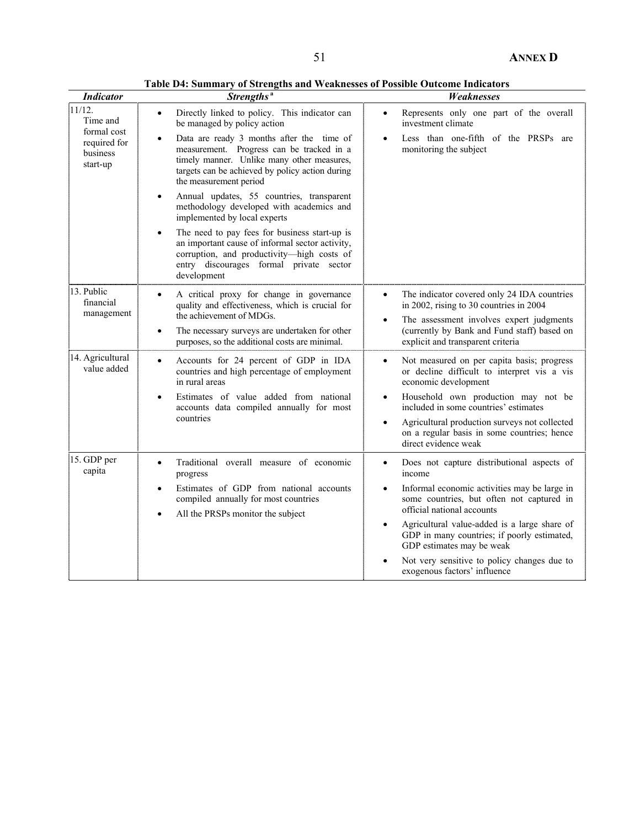**Table D4: Summary of Strengths and Weaknesses of Possible Outcome Indicators**

| <b>Indicator</b>                      | Strengths <sup>a</sup>                                                                                                                                                                                                         | Weaknesses                                                                                                                                                   |  |  |  |  |  |
|---------------------------------------|--------------------------------------------------------------------------------------------------------------------------------------------------------------------------------------------------------------------------------|--------------------------------------------------------------------------------------------------------------------------------------------------------------|--|--|--|--|--|
| $11/12$ .<br>Time and<br>formal cost  | Directly linked to policy. This indicator can<br>$\bullet$<br>be managed by policy action                                                                                                                                      | Represents only one part of the overall<br>$\bullet$<br>investment climate                                                                                   |  |  |  |  |  |
| required for<br>business<br>start-up  | Data are ready 3 months after the time of<br>$\bullet$<br>measurement. Progress can be tracked in a<br>timely manner. Unlike many other measures,<br>targets can be achieved by policy action during<br>the measurement period | Less than one-fifth of the PRSPs are<br>$\bullet$<br>monitoring the subject                                                                                  |  |  |  |  |  |
|                                       | Annual updates, 55 countries, transparent<br>$\bullet$<br>methodology developed with academics and<br>implemented by local experts                                                                                             |                                                                                                                                                              |  |  |  |  |  |
|                                       | The need to pay fees for business start-up is<br>$\bullet$<br>an important cause of informal sector activity,<br>corruption, and productivity-high costs of<br>entry discourages formal private sector<br>development          |                                                                                                                                                              |  |  |  |  |  |
| 13. Public<br>financial<br>management | A critical proxy for change in governance<br>$\bullet$<br>quality and effectiveness, which is crucial for<br>the achievement of MDGs.                                                                                          | The indicator covered only 24 IDA countries<br>$\bullet$<br>in 2002, rising to 30 countries in 2004<br>The assessment involves expert judgments<br>$\bullet$ |  |  |  |  |  |
| $\bullet$                             | The necessary surveys are undertaken for other<br>purposes, so the additional costs are minimal.                                                                                                                               | (currently by Bank and Fund staff) based on<br>explicit and transparent criteria                                                                             |  |  |  |  |  |
| 14. Agricultural<br>value added       | Accounts for 24 percent of GDP in IDA<br>$\bullet$<br>countries and high percentage of employment<br>in rural areas                                                                                                            | Not measured on per capita basis; progress<br>$\bullet$<br>or decline difficult to interpret vis a vis<br>economic development                               |  |  |  |  |  |
|                                       | Estimates of value added from national<br>$\bullet$<br>accounts data compiled annually for most                                                                                                                                | Household own production may not be<br>$\bullet$<br>included in some countries' estimates                                                                    |  |  |  |  |  |
|                                       | countries                                                                                                                                                                                                                      | Agricultural production surveys not collected<br>٠<br>on a regular basis in some countries; hence<br>direct evidence weak                                    |  |  |  |  |  |
| 15. GDP per<br>capita                 | Traditional overall measure of economic<br>$\bullet$<br>progress                                                                                                                                                               | Does not capture distributional aspects of<br>$\bullet$<br>income                                                                                            |  |  |  |  |  |
|                                       | Estimates of GDP from national accounts<br>$\bullet$<br>compiled annually for most countries<br>All the PRSPs monitor the subject<br>$\bullet$                                                                                 | Informal economic activities may be large in<br>$\bullet$<br>some countries, but often not captured in<br>official national accounts                         |  |  |  |  |  |
|                                       |                                                                                                                                                                                                                                | Agricultural value-added is a large share of<br>GDP in many countries; if poorly estimated,<br>GDP estimates may be weak                                     |  |  |  |  |  |
|                                       |                                                                                                                                                                                                                                | Not very sensitive to policy changes due to<br>exogenous factors' influence                                                                                  |  |  |  |  |  |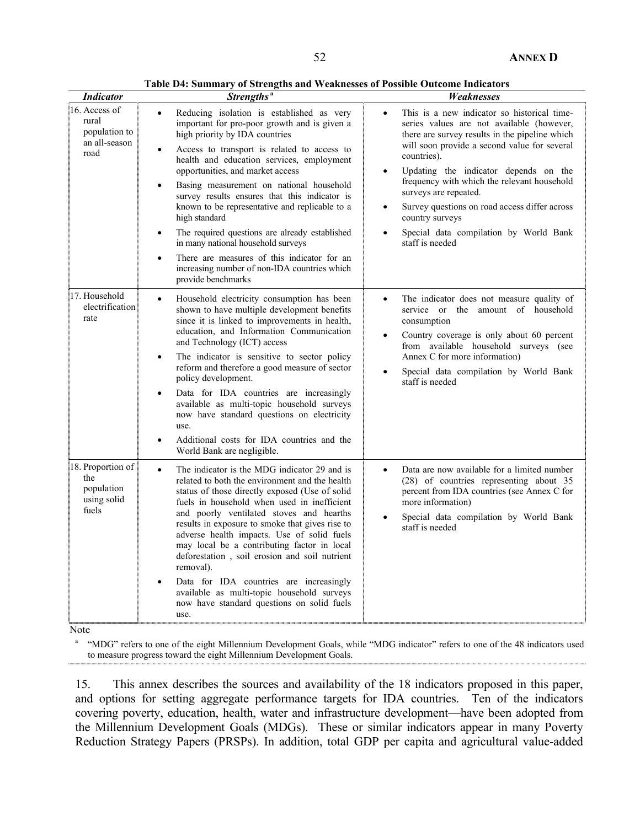**Table D4: Summary of Strengths and Weaknesses of Possible Outcome Indicators**

| <b>Indicator</b>                                                 | Strengths <sup>a</sup>                                                                                                                                                                                                                                                                                                                                                                                                                                                                                                                                                                                                                                                                                    | Weaknesses                                                                                                                                                                                                                                                                                                                                                                                                                                                                                         |
|------------------------------------------------------------------|-----------------------------------------------------------------------------------------------------------------------------------------------------------------------------------------------------------------------------------------------------------------------------------------------------------------------------------------------------------------------------------------------------------------------------------------------------------------------------------------------------------------------------------------------------------------------------------------------------------------------------------------------------------------------------------------------------------|----------------------------------------------------------------------------------------------------------------------------------------------------------------------------------------------------------------------------------------------------------------------------------------------------------------------------------------------------------------------------------------------------------------------------------------------------------------------------------------------------|
| 16. Access of<br>rural<br>population to<br>an all-season<br>road | Reducing isolation is established as very<br>$\bullet$<br>important for pro-poor growth and is given a<br>high priority by IDA countries<br>Access to transport is related to access to<br>$\bullet$<br>health and education services, employment<br>opportunities, and market access<br>Basing measurement on national household<br>$\bullet$<br>survey results ensures that this indicator is<br>known to be representative and replicable to a<br>high standard<br>The required questions are already established<br>$\bullet$<br>in many national household surveys<br>There are measures of this indicator for an<br>$\bullet$<br>increasing number of non-IDA countries which<br>provide benchmarks | This is a new indicator so historical time-<br>$\bullet$<br>series values are not available (however,<br>there are survey results in the pipeline which<br>will soon provide a second value for several<br>countries).<br>Updating the indicator depends on the<br>$\bullet$<br>frequency with which the relevant household<br>surveys are repeated.<br>Survey questions on road access differ across<br>$\bullet$<br>country surveys<br>Special data compilation by World Bank<br>staff is needed |
| 17. Household<br>electrification<br>rate                         | Household electricity consumption has been<br>$\bullet$<br>shown to have multiple development benefits<br>since it is linked to improvements in health,<br>education, and Information Communication<br>and Technology (ICT) access<br>The indicator is sensitive to sector policy<br>$\bullet$<br>reform and therefore a good measure of sector<br>policy development.<br>Data for IDA countries are increasingly<br>$\bullet$<br>available as multi-topic household surveys<br>now have standard questions on electricity<br>use.<br>Additional costs for IDA countries and the<br>$\bullet$<br>World Bank are negligible.                                                                               | The indicator does not measure quality of<br>$\bullet$<br>service or the amount of household<br>consumption<br>Country coverage is only about 60 percent<br>$\bullet$<br>from available household surveys (see<br>Annex C for more information)<br>Special data compilation by World Bank<br>$\bullet$<br>staff is needed                                                                                                                                                                          |
| 18. Proportion of<br>the<br>population<br>using solid<br>fuels   | The indicator is the MDG indicator 29 and is<br>$\bullet$<br>related to both the environment and the health<br>status of those directly exposed (Use of solid<br>fuels in household when used in inefficient<br>and poorly ventilated stoves and hearths<br>results in exposure to smoke that gives rise to<br>adverse health impacts. Use of solid fuels<br>may local be a contributing factor in local<br>deforestation, soil erosion and soil nutrient<br>removal).<br>Data for IDA countries are increasingly<br>$\bullet$<br>available as multi-topic household surveys<br>now have standard questions on solid fuels<br>use.                                                                        | Data are now available for a limited number<br>$\bullet$<br>(28) of countries representing about 35<br>percent from IDA countries (see Annex C for<br>more information)<br>Special data compilation by World Bank<br>$\bullet$<br>staff is needed                                                                                                                                                                                                                                                  |

Note

<sup>a</sup> "MDG" refers to one of the eight Millennium Development Goals, while "MDG indicator" refers to one of the 48 indicators used to measure progress toward the eight Millennium Development Goals.

15. This annex describes the sources and availability of the 18 indicators proposed in this paper, and options for setting aggregate performance targets for IDA countries. Ten of the indicators covering poverty, education, health, water and infrastructure development—have been adopted from the Millennium Development Goals (MDGs). These or similar indicators appear in many Poverty Reduction Strategy Papers (PRSPs). In addition, total GDP per capita and agricultural value-added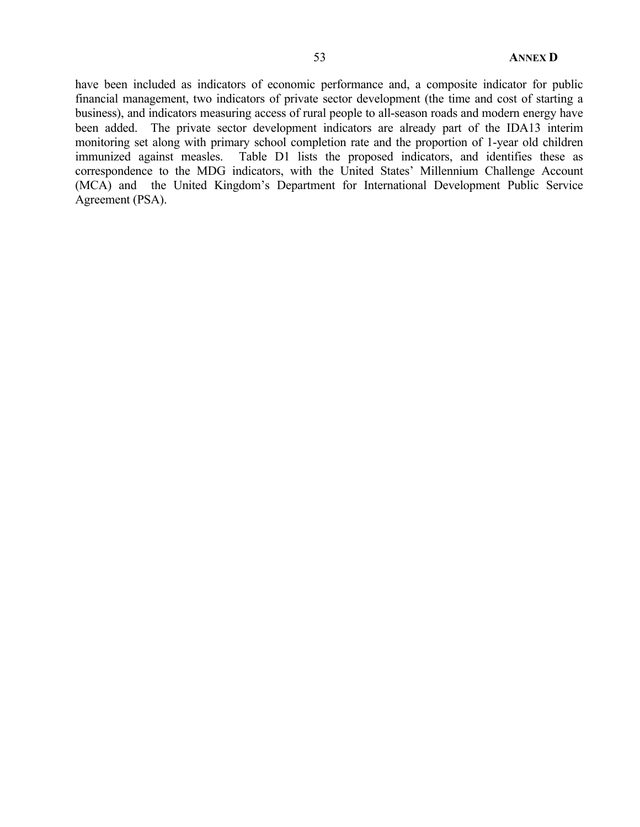have been included as indicators of economic performance and, a composite indicator for public financial management, two indicators of private sector development (the time and cost of starting a business), and indicators measuring access of rural people to all-season roads and modern energy have been added. The private sector development indicators are already part of the IDA13 interim monitoring set along with primary school completion rate and the proportion of 1-year old children immunized against measles. Table D1 lists the proposed indicators, and identifies these as correspondence to the MDG indicators, with the United States' Millennium Challenge Account (MCA) and the United Kingdom's Department for International Development Public Service Agreement (PSA).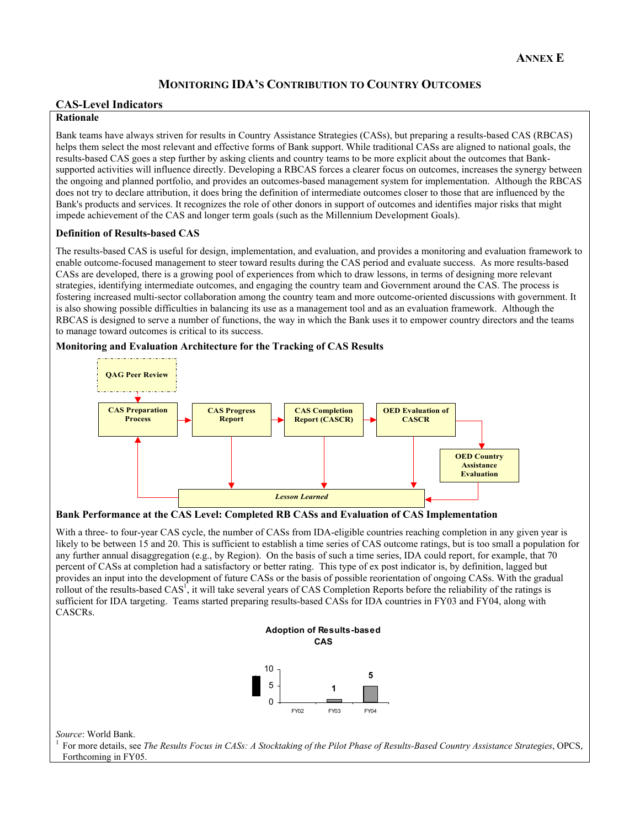## **MONITORING IDA'S CONTRIBUTION TO COUNTRY OUTCOMES**

## **CAS-Level Indicators**

## **Rationale**

Bank teams have always striven for results in Country Assistance Strategies (CASs), but preparing a results-based CAS (RBCAS) helps them select the most relevant and effective forms of Bank support. While traditional CASs are aligned to national goals, the results-based CAS goes a step further by asking clients and country teams to be more explicit about the outcomes that Banksupported activities will influence directly. Developing a RBCAS forces a clearer focus on outcomes, increases the synergy between the ongoing and planned portfolio, and provides an outcomes-based management system for implementation. Although the RBCAS does not try to declare attribution, it does bring the definition of intermediate outcomes closer to those that are influenced by the Bank's products and services. It recognizes the role of other donors in support of outcomes and identifies major risks that might impede achievement of the CAS and longer term goals (such as the Millennium Development Goals).

### **Definition of Results-based CAS**

The results-based CAS is useful for design, implementation, and evaluation, and provides a monitoring and evaluation framework to enable outcome-focused management to steer toward results during the CAS period and evaluate success. As more results-based CASs are developed, there is a growing pool of experiences from which to draw lessons, in terms of designing more relevant strategies, identifying intermediate outcomes, and engaging the country team and Government around the CAS. The process is fostering increased multi-sector collaboration among the country team and more outcome-oriented discussions with government. It is also showing possible difficulties in balancing its use as a management tool and as an evaluation framework. Although the RBCAS is designed to serve a number of functions, the way in which the Bank uses it to empower country directors and the teams to manage toward outcomes is critical to its success.

**Monitoring and Evaluation Architecture for the Tracking of CAS Results**



**Bank Performance at the CAS Level: Completed RB CASs and Evaluation of CAS Implementation** 

With a three- to four-year CAS cycle, the number of CASs from IDA-eligible countries reaching completion in any given year is likely to be between 15 and 20. This is sufficient to establish a time series of CAS outcome ratings, but is too small a population for any further annual disaggregation (e.g., by Region). On the basis of such a time series, IDA could report, for example, that 70 percent of CASs at completion had a satisfactory or better rating. This type of ex post indicator is, by definition, lagged but provides an input into the development of future CASs or the basis of possible reorientation of ongoing CASs. With the gradual rollout of the results-based  $CAS<sup>T</sup>$ , it will take several years of CAS Completion Reports before the reliability of the ratings is sufficient for IDA targeting. Teams started preparing results-based CASs for IDA countries in FY03 and FY04, along with CASCRs.



*Source*: World Bank.<br><sup>1</sup> For more details, see *The Results Focus in CASs: A Stocktaking of the Pilot Phase of Results-Based Country Assistance Strategies, OPCS,* Forthcoming in FY05.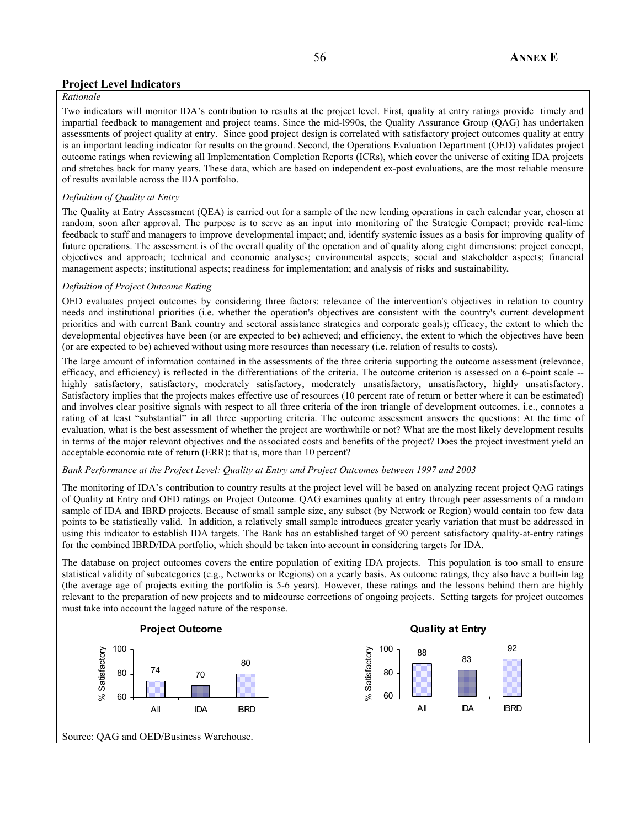## **Project Level Indicators**

## *Rationale*

Two indicators will monitor IDA's contribution to results at the project level. First, quality at entry ratings provide timely and impartial feedback to management and project teams. Since the mid-l990s, the Quality Assurance Group (QAG) has undertaken assessments of project quality at entry. Since good project design is correlated with satisfactory project outcomes quality at entry is an important leading indicator for results on the ground. Second, the Operations Evaluation Department (OED) validates project outcome ratings when reviewing all Implementation Completion Reports (ICRs), which cover the universe of exiting IDA projects and stretches back for many years. These data, which are based on independent ex-post evaluations, are the most reliable measure of results available across the IDA portfolio.

#### *Definition of Quality at Entry*

The Quality at Entry Assessment (QEA) is carried out for a sample of the new lending operations in each calendar year, chosen at random, soon after approval. The purpose is to serve as an input into monitoring of the Strategic Compact; provide real-time feedback to staff and managers to improve developmental impact; and, identify systemic issues as a basis for improving quality of future operations. The assessment is of the overall quality of the operation and of quality along eight dimensions: project concept, objectives and approach; technical and economic analyses; environmental aspects; social and stakeholder aspects; financial management aspects; institutional aspects; readiness for implementation; and analysis of risks and sustainability*.* 

### *Definition of Project Outcome Rating*

OED evaluates project outcomes by considering three factors: relevance of the intervention's objectives in relation to country needs and institutional priorities (i.e. whether the operation's objectives are consistent with the country's current development priorities and with current Bank country and sectoral assistance strategies and corporate goals); efficacy, the extent to which the developmental objectives have been (or are expected to be) achieved; and efficiency, the extent to which the objectives have been (or are expected to be) achieved without using more resources than necessary (i.e. relation of results to costs).

The large amount of information contained in the assessments of the three criteria supporting the outcome assessment (relevance, efficacy, and efficiency) is reflected in the differentiations of the criteria. The outcome criterion is assessed on a 6-point scale - highly satisfactory, satisfactory, moderately satisfactory, moderately unsatisfactory, unsatisfactory, highly unsatisfactory. Satisfactory implies that the projects makes effective use of resources (10 percent rate of return or better where it can be estimated) and involves clear positive signals with respect to all three criteria of the iron triangle of development outcomes, i.e., connotes a rating of at least "substantial" in all three supporting criteria. The outcome assessment answers the questions: At the time of evaluation, what is the best assessment of whether the project are worthwhile or not? What are the most likely development results in terms of the major relevant objectives and the associated costs and benefits of the project? Does the project investment yield an acceptable economic rate of return (ERR): that is, more than 10 percent?

#### *Bank Performance at the Project Level: Quality at Entry and Project Outcomes between 1997 and 2003*

The monitoring of IDA's contribution to country results at the project level will be based on analyzing recent project QAG ratings of Quality at Entry and OED ratings on Project Outcome. QAG examines quality at entry through peer assessments of a random sample of IDA and IBRD projects. Because of small sample size, any subset (by Network or Region) would contain too few data points to be statistically valid. In addition, a relatively small sample introduces greater yearly variation that must be addressed in using this indicator to establish IDA targets. The Bank has an established target of 90 percent satisfactory quality-at-entry ratings for the combined IBRD/IDA portfolio, which should be taken into account in considering targets for IDA.

The database on project outcomes covers the entire population of exiting IDA projects. This population is too small to ensure statistical validity of subcategories (e.g., Networks or Regions) on a yearly basis. As outcome ratings, they also have a built-in lag (the average age of projects exiting the portfolio is 5-6 years). However, these ratings and the lessons behind them are highly relevant to the preparation of new projects and to midcourse corrections of ongoing projects. Setting targets for project outcomes must take into account the lagged nature of the response.

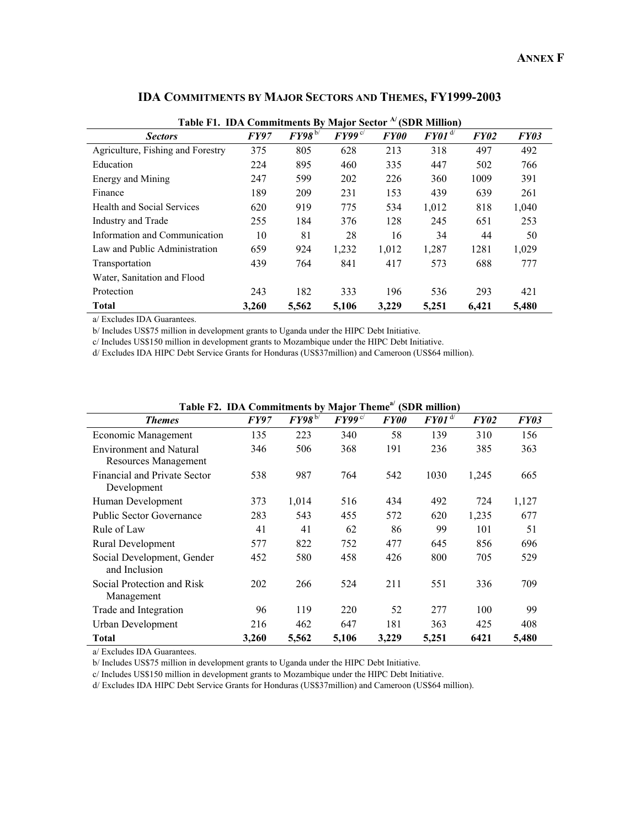|                                   | Table F1. IDA Commitments By Major Sector <sup>A</sup> (SDR Million) |             |                         |             |              |       |       |  |  |  |  |
|-----------------------------------|----------------------------------------------------------------------|-------------|-------------------------|-------------|--------------|-------|-------|--|--|--|--|
| <b>Sectors</b>                    | <b>FY97</b>                                                          | $FY98^{b/}$ | $FY99^{\,\mathrm{c}/x}$ | <b>FY00</b> | $FY01^{d/2}$ | FY02  | FY03  |  |  |  |  |
| Agriculture, Fishing and Forestry | 375                                                                  | 805         | 628                     | 213         | 318          | 497   | 492   |  |  |  |  |
| Education                         | 224                                                                  | 895         | 460                     | 335         | 447          | 502   | 766   |  |  |  |  |
| Energy and Mining                 | 247                                                                  | 599         | 202                     | 226         | 360          | 1009  | 391   |  |  |  |  |
| Finance                           | 189                                                                  | 209         | 231                     | 153         | 439          | 639   | 261   |  |  |  |  |
| Health and Social Services        | 620                                                                  | 919         | 775                     | 534         | 1,012        | 818   | 1,040 |  |  |  |  |
| Industry and Trade                | 255                                                                  | 184         | 376                     | 128         | 245          | 651   | 253   |  |  |  |  |
| Information and Communication     | 10                                                                   | 81          | 28                      | 16          | 34           | 44    | 50    |  |  |  |  |
| Law and Public Administration     | 659                                                                  | 924         | 1,232                   | 1,012       | 1,287        | 1281  | 1,029 |  |  |  |  |
| Transportation                    | 439                                                                  | 764         | 841                     | 417         | 573          | 688   | 777   |  |  |  |  |
| Water, Sanitation and Flood       |                                                                      |             |                         |             |              |       |       |  |  |  |  |
| Protection                        | 243                                                                  | 182         | 333                     | 196         | 536          | 293   | 421   |  |  |  |  |
| Total                             | 3,260                                                                | 5,562       | 5,106                   | 3,229       | 5,251        | 6,421 | 5,480 |  |  |  |  |

## **IDA COMMITMENTS BY MAJOR SECTORS AND THEMES, FY1999-2003**

a/ Excludes IDA Guarantees.

b/ Includes US\$75 million in development grants to Uganda under the HIPC Debt Initiative.

c/ Includes US\$150 million in development grants to Mozambique under the HIPC Debt Initiative.

d/ Excludes IDA HIPC Debt Service Grants for Honduras (US\$37million) and Cameroon (US\$64 million).

| $\sim$ оннителев вузнајот тиене<br>10.011              |             |                 |                        |                    |                        |             |       |  |
|--------------------------------------------------------|-------------|-----------------|------------------------|--------------------|------------------------|-------------|-------|--|
| <b>Themes</b>                                          | <i>FY97</i> | $FY98^{\rm b/}$ | $FY99^{\,\mathrm{c}/}$ | <i><b>FY00</b></i> | $FY01^{\overline{d'}}$ | <i>FY02</i> | FY03  |  |
| Economic Management                                    | 135         | 223             | 340                    | 58                 | 139                    | 310         | 156   |  |
| <b>Environment and Natural</b><br>Resources Management | 346         | 506             | 368                    | 191                | 236                    | 385         | 363   |  |
| <b>Financial and Private Sector</b><br>Development     | 538         | 987             | 764                    | 542                | 1030                   | 1,245       | 665   |  |
| Human Development                                      | 373         | 1,014           | 516                    | 434                | 492                    | 724         | 1,127 |  |
| <b>Public Sector Governance</b>                        | 283         | 543             | 455                    | 572                | 620                    | 1,235       | 677   |  |
| Rule of Law                                            | 41          | 41              | 62                     | 86                 | 99                     | 101         | 51    |  |
| Rural Development                                      | 577         | 822             | 752                    | 477                | 645                    | 856         | 696   |  |
| Social Development, Gender<br>and Inclusion            | 452         | 580             | 458                    | 426                | 800                    | 705         | 529   |  |
| Social Protection and Risk<br>Management               | 202         | 266             | 524                    | 211                | 551                    | 336         | 709   |  |
| Trade and Integration                                  | 96          | 119             | 220                    | 52                 | 277                    | 100         | 99    |  |
| Urban Development                                      | 216         | 462             | 647                    | 181                | 363                    | 425         | 408   |  |
| Total                                                  | 3,260       | 5,562           | 5,106                  | 3,229              | 5,251                  | 6421        | 5,480 |  |

| Table F2. IDA Commitments by Major Theme <sup>a</sup> (SDR million) |  |  |  |  |
|---------------------------------------------------------------------|--|--|--|--|
|---------------------------------------------------------------------|--|--|--|--|

a/ Excludes IDA Guarantees.

b/ Includes US\$75 million in development grants to Uganda under the HIPC Debt Initiative.

c/ Includes US\$150 million in development grants to Mozambique under the HIPC Debt Initiative.

d/ Excludes IDA HIPC Debt Service Grants for Honduras (US\$37million) and Cameroon (US\$64 million).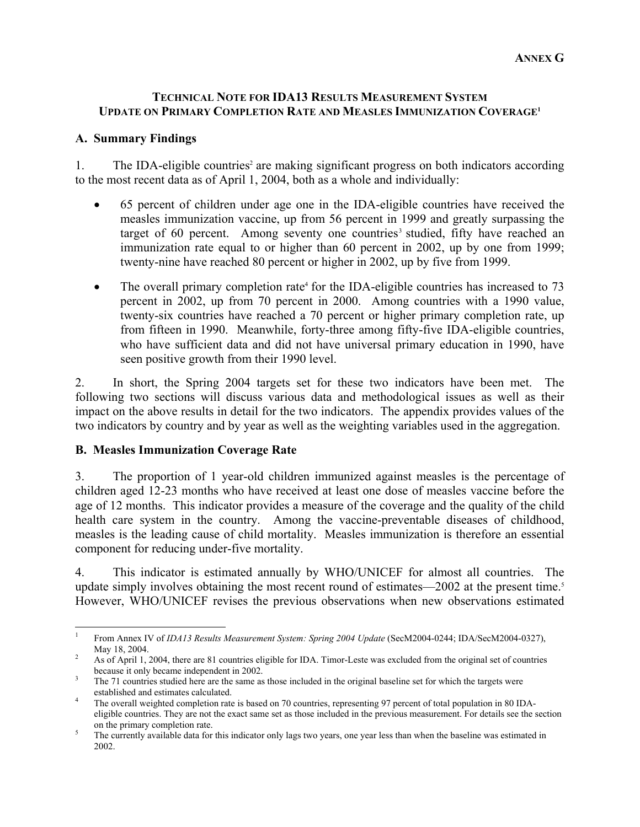## **TECHNICAL NOTE FOR IDA13 RESULTS MEASUREMENT SYSTEM UPDATE ON PRIMARY COMPLETION RATE AND MEASLES IMMUNIZATION COVERAGE1**

# **A. Summary Findings**

1. The IDA-eligible countries<sup>2</sup> are making significant progress on both indicators according to the most recent data as of April 1, 2004, both as a whole and individually:

- 65 percent of children under age one in the IDA-eligible countries have received the measles immunization vaccine, up from 56 percent in 1999 and greatly surpassing the target of 60 percent. Among seventy one countries<sup>3</sup> studied, fifty have reached an immunization rate equal to or higher than 60 percent in 2002, up by one from 1999; twenty-nine have reached 80 percent or higher in 2002, up by five from 1999.
- The overall primary completion rate<sup>4</sup> for the IDA-eligible countries has increased to 73 percent in 2002, up from 70 percent in 2000. Among countries with a 1990 value, twenty-six countries have reached a 70 percent or higher primary completion rate, up from fifteen in 1990. Meanwhile, forty-three among fifty-five IDA-eligible countries, who have sufficient data and did not have universal primary education in 1990, have seen positive growth from their 1990 level.

2. In short, the Spring 2004 targets set for these two indicators have been met. The following two sections will discuss various data and methodological issues as well as their impact on the above results in detail for the two indicators. The appendix provides values of the two indicators by country and by year as well as the weighting variables used in the aggregation.

## **B. Measles Immunization Coverage Rate**

3. The proportion of 1 year-old children immunized against measles is the percentage of children aged 12-23 months who have received at least one dose of measles vaccine before the age of 12 months. This indicator provides a measure of the coverage and the quality of the child health care system in the country. Among the vaccine-preventable diseases of childhood, measles is the leading cause of child mortality. Measles immunization is therefore an essential component for reducing under-five mortality.

4. This indicator is estimated annually by WHO/UNICEF for almost all countries. The update simply involves obtaining the most recent round of estimates—2002 at the present time.<sup>5</sup> However, WHO/UNICEF revises the previous observations when new observations estimated

 $\frac{1}{1}$ From Annex IV of *IDA13 Results Measurement System: Spring 2004 Update* (SecM2004-0244; IDA/SecM2004-0327), May 18, 2004.

As of April 1, 2004, there are 81 countries eligible for IDA. Timor-Leste was excluded from the original set of countries because it only became independent in 2002.

The 71 countries studied here are the same as those included in the original baseline set for which the targets were established and estimates calculated. 4

The overall weighted completion rate is based on 70 countries, representing 97 percent of total population in 80 IDAeligible countries. They are not the exact same set as those included in the previous measurement. For details see the section on the primary completion rate.

The currently available data for this indicator only lags two years, one year less than when the baseline was estimated in 2002.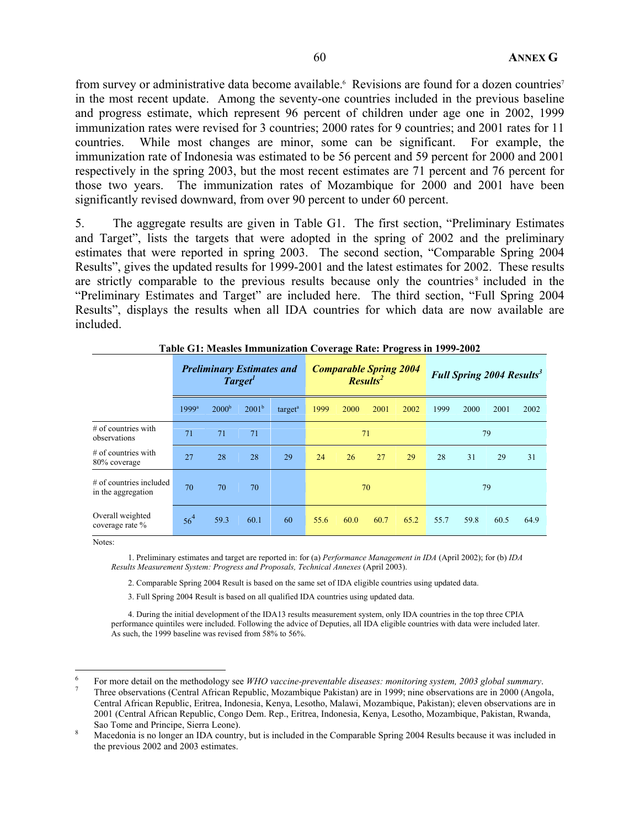from survey or administrative data become available.<sup>6</sup> Revisions are found for a dozen countries<sup>7</sup> in the most recent update. Among the seventy-one countries included in the previous baseline and progress estimate, which represent 96 percent of children under age one in 2002, 1999 immunization rates were revised for 3 countries; 2000 rates for 9 countries; and 2001 rates for 11 countries. While most changes are minor, some can be significant. For example, the immunization rate of Indonesia was estimated to be 56 percent and 59 percent for 2000 and 2001 respectively in the spring 2003, but the most recent estimates are 71 percent and 76 percent for those two years. The immunization rates of Mozambique for 2000 and 2001 have been significantly revised downward, from over 90 percent to under 60 percent.

5. The aggregate results are given in Table G1. The first section, "Preliminary Estimates and Target", lists the targets that were adopted in the spring of 2002 and the preliminary estimates that were reported in spring 2003. The second section, "Comparable Spring 2004 Results", gives the updated results for 1999-2001 and the latest estimates for 2002. These results are strictly comparable to the previous results because only the countries<sup>8</sup> included in the "Preliminary Estimates and Target" are included here. The third section, "Full Spring 2004 Results", displays the results when all IDA countries for which data are now available are included.

|                                                 |                 | <b>Preliminary Estimates and</b> | Target <sup>1</sup> |                     |      |      | <b>Comparable Spring 2004</b><br><b>Results</b> |      |      |      | <b>Full Spring 2004 Results<sup>3</sup></b> |      |
|-------------------------------------------------|-----------------|----------------------------------|---------------------|---------------------|------|------|-------------------------------------------------|------|------|------|---------------------------------------------|------|
|                                                 | $1999^a$        | 2000 <sup>b</sup>                | $2001^b$            | target <sup>a</sup> | 1999 | 2000 | 2001                                            | 2002 | 1999 | 2000 | 2001                                        | 2002 |
| $#$ of countries with<br>observations           | 71              | 71                               | 71                  |                     | 71   |      |                                                 | 79   |      |      |                                             |      |
| $#$ of countries with<br>80% coverage           | 27              | 28                               | 28                  | 29                  | 24   | 26   | 27                                              | 29   | 28   | 31   | 29                                          | 31   |
| $#$ of countries included<br>in the aggregation | 70              | 70                               | 70                  |                     |      | 70   |                                                 |      | 79   |      |                                             |      |
| Overall weighted<br>coverage rate %             | 56 <sup>4</sup> | 59.3                             | 60.1                | 60                  | 55.6 | 60.0 | 60.7                                            | 65.2 | 55.7 | 59.8 | 60.5                                        | 64.9 |

|  |  | Table G1: Measles Immunization Coverage Rate: Progress in 1999-2002 |  |  |
|--|--|---------------------------------------------------------------------|--|--|
|--|--|---------------------------------------------------------------------|--|--|

Notes:

 $\overline{a}$ 

1. Preliminary estimates and target are reported in: for (a) *Performance Management in IDA* (April 2002); for (b) *IDA Results Measurement System: Progress and Proposals, Technical Annexes* (April 2003).

2. Comparable Spring 2004 Result is based on the same set of IDA eligible countries using updated data.

3. Full Spring 2004 Result is based on all qualified IDA countries using updated data.

4. During the initial development of the IDA13 results measurement system, only IDA countries in the top three CPIA performance quintiles were included. Following the advice of Deputies, all IDA eligible countries with data were included later. As such, the 1999 baseline was revised from 58% to 56%.

<sup>6</sup> For more detail on the methodology see *WHO vaccine-preventable diseases: monitoring system, 2003 global summary*. 7

Three observations (Central African Republic, Mozambique Pakistan) are in 1999; nine observations are in 2000 (Angola, Central African Republic, Eritrea, Indonesia, Kenya, Lesotho, Malawi, Mozambique, Pakistan); eleven observations are in 2001 (Central African Republic, Congo Dem. Rep., Eritrea, Indonesia, Kenya, Lesotho, Mozambique, Pakistan, Rwanda, Sao Tome and Principe, Sierra Leone).

Macedonia is no longer an IDA country, but is included in the Comparable Spring 2004 Results because it was included in the previous 2002 and 2003 estimates.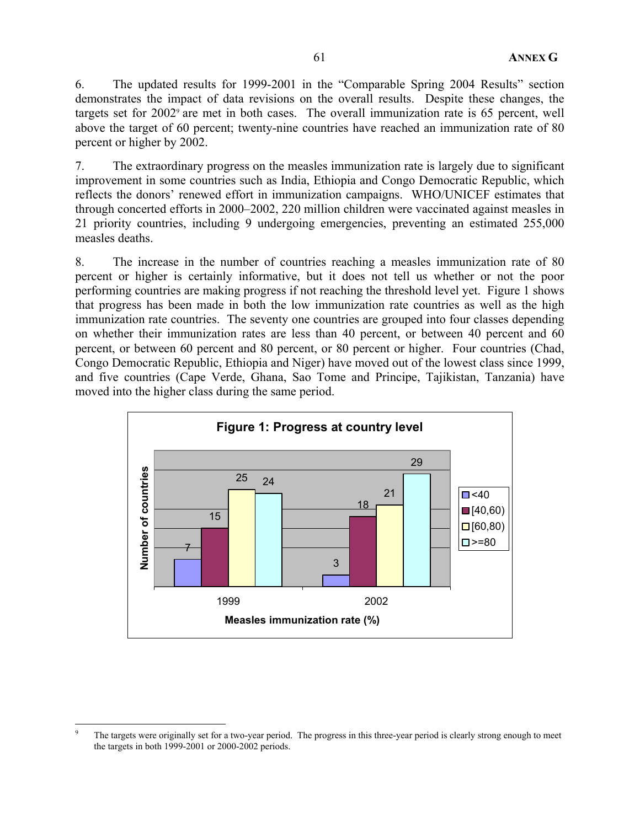6. The updated results for 1999-2001 in the "Comparable Spring 2004 Results" section demonstrates the impact of data revisions on the overall results. Despite these changes, the targets set for 2002<sup>9</sup> are met in both cases. The overall immunization rate is 65 percent, well above the target of 60 percent; twenty-nine countries have reached an immunization rate of 80 percent or higher by 2002.

7. The extraordinary progress on the measles immunization rate is largely due to significant improvement in some countries such as India, Ethiopia and Congo Democratic Republic, which reflects the donors' renewed effort in immunization campaigns. WHO/UNICEF estimates that through concerted efforts in 2000–2002, 220 million children were vaccinated against measles in 21 priority countries, including 9 undergoing emergencies, preventing an estimated 255,000 measles deaths.

8. The increase in the number of countries reaching a measles immunization rate of 80 percent or higher is certainly informative, but it does not tell us whether or not the poor performing countries are making progress if not reaching the threshold level yet. Figure 1 shows that progress has been made in both the low immunization rate countries as well as the high immunization rate countries. The seventy one countries are grouped into four classes depending on whether their immunization rates are less than 40 percent, or between 40 percent and 60 percent, or between 60 percent and 80 percent, or 80 percent or higher. Four countries (Chad, Congo Democratic Republic, Ethiopia and Niger) have moved out of the lowest class since 1999, and five countries (Cape Verde, Ghana, Sao Tome and Principe, Tajikistan, Tanzania) have moved into the higher class during the same period.



 $\overline{a}$ 9 The targets were originally set for a two-year period. The progress in this three-year period is clearly strong enough to meet the targets in both 1999-2001 or 2000-2002 periods.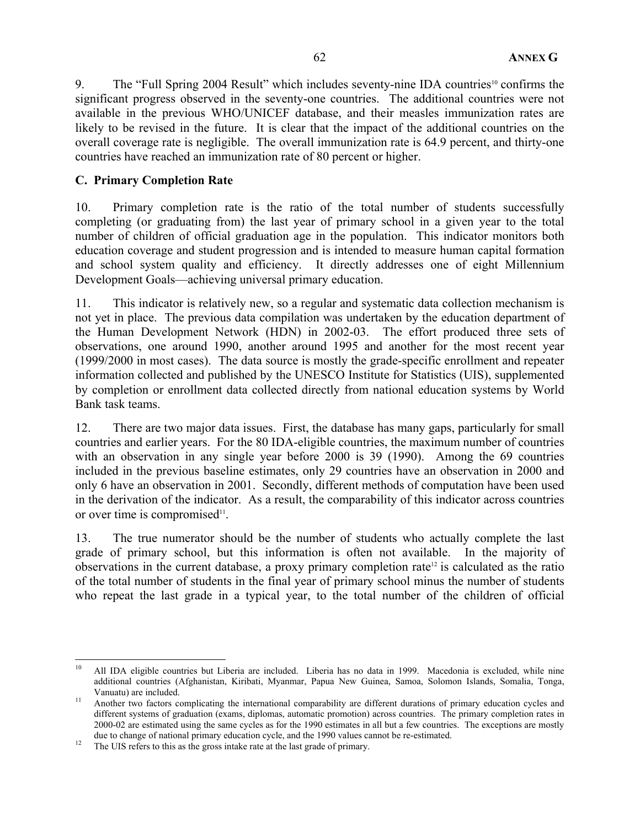9. The "Full Spring 2004 Result" which includes seventy-nine IDA countries<sup>10</sup> confirms the significant progress observed in the seventy-one countries. The additional countries were not available in the previous WHO/UNICEF database, and their measles immunization rates are likely to be revised in the future. It is clear that the impact of the additional countries on the overall coverage rate is negligible. The overall immunization rate is 64.9 percent, and thirty-one countries have reached an immunization rate of 80 percent or higher.

## **C. Primary Completion Rate**

10. Primary completion rate is the ratio of the total number of students successfully completing (or graduating from) the last year of primary school in a given year to the total number of children of official graduation age in the population. This indicator monitors both education coverage and student progression and is intended to measure human capital formation and school system quality and efficiency. It directly addresses one of eight Millennium Development Goals—achieving universal primary education.

11. This indicator is relatively new, so a regular and systematic data collection mechanism is not yet in place. The previous data compilation was undertaken by the education department of the Human Development Network (HDN) in 2002-03. The effort produced three sets of observations, one around 1990, another around 1995 and another for the most recent year (1999/2000 in most cases). The data source is mostly the grade-specific enrollment and repeater information collected and published by the UNESCO Institute for Statistics (UIS), supplemented by completion or enrollment data collected directly from national education systems by World Bank task teams.

12. There are two major data issues. First, the database has many gaps, particularly for small countries and earlier years. For the 80 IDA-eligible countries, the maximum number of countries with an observation in any single year before 2000 is 39 (1990). Among the 69 countries included in the previous baseline estimates, only 29 countries have an observation in 2000 and only 6 have an observation in 2001. Secondly, different methods of computation have been used in the derivation of the indicator. As a result, the comparability of this indicator across countries or over time is compromised $11$ .

13. The true numerator should be the number of students who actually complete the last grade of primary school, but this information is often not available. In the majority of observations in the current database, a proxy primary completion rate<sup>12</sup> is calculated as the ratio of the total number of students in the final year of primary school minus the number of students who repeat the last grade in a typical year, to the total number of the children of official

 $\overline{a}$ 10 All IDA eligible countries but Liberia are included. Liberia has no data in 1999. Macedonia is excluded, while nine additional countries (Afghanistan, Kiribati, Myanmar, Papua New Guinea, Samoa, Solomon Islands, Somalia, Tonga, Vanuatu) are included.<br>Another two factors complicating the international comparability are different durations of primary education cycles and

different systems of graduation (exams, diplomas, automatic promotion) across countries. The primary completion rates in 2000-02 are estimated using the same cycles as for the 1990 estimates in all but a few countries. The exceptions are mostly due to change of national primary education cycle, and the 1990 values cannot be re-estimated.<br><sup>12</sup> The UIS refers to this as the gross intake rate at the last grade of primary.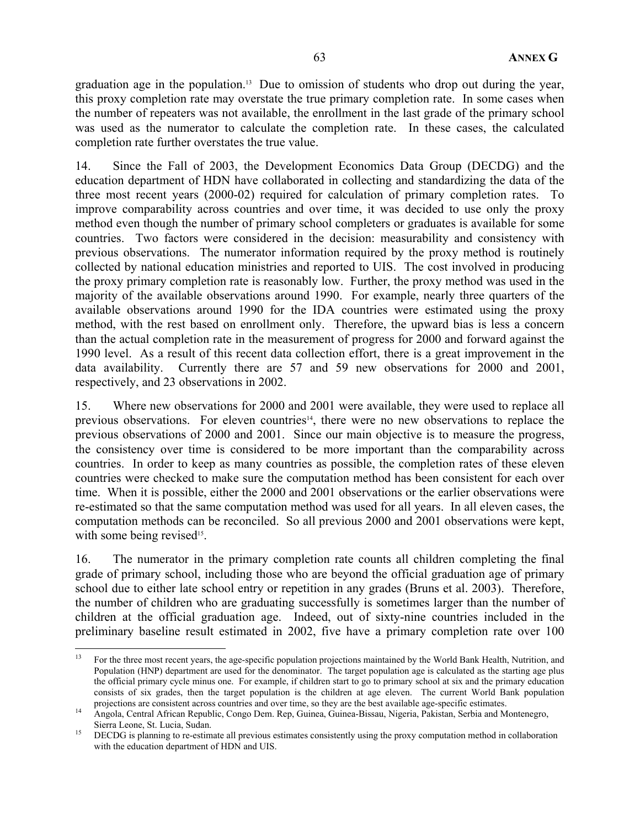graduation age in the population.<sup>13</sup> Due to omission of students who drop out during the year, this proxy completion rate may overstate the true primary completion rate. In some cases when the number of repeaters was not available, the enrollment in the last grade of the primary school was used as the numerator to calculate the completion rate. In these cases, the calculated completion rate further overstates the true value.

14. Since the Fall of 2003, the Development Economics Data Group (DECDG) and the education department of HDN have collaborated in collecting and standardizing the data of the three most recent years (2000-02) required for calculation of primary completion rates. To improve comparability across countries and over time, it was decided to use only the proxy method even though the number of primary school completers or graduates is available for some countries. Two factors were considered in the decision: measurability and consistency with previous observations. The numerator information required by the proxy method is routinely collected by national education ministries and reported to UIS. The cost involved in producing the proxy primary completion rate is reasonably low. Further, the proxy method was used in the majority of the available observations around 1990. For example, nearly three quarters of the available observations around 1990 for the IDA countries were estimated using the proxy method, with the rest based on enrollment only. Therefore, the upward bias is less a concern than the actual completion rate in the measurement of progress for 2000 and forward against the 1990 level. As a result of this recent data collection effort, there is a great improvement in the data availability. Currently there are 57 and 59 new observations for 2000 and 2001, respectively, and 23 observations in 2002.

15. Where new observations for 2000 and 2001 were available, they were used to replace all previous observations. For eleven countries<sup>14</sup>, there were no new observations to replace the previous observations of 2000 and 2001. Since our main objective is to measure the progress, the consistency over time is considered to be more important than the comparability across countries. In order to keep as many countries as possible, the completion rates of these eleven countries were checked to make sure the computation method has been consistent for each over time. When it is possible, either the 2000 and 2001 observations or the earlier observations were re-estimated so that the same computation method was used for all years. In all eleven cases, the computation methods can be reconciled. So all previous 2000 and 2001 observations were kept, with some being revised<sup>15</sup>.

16. The numerator in the primary completion rate counts all children completing the final grade of primary school, including those who are beyond the official graduation age of primary school due to either late school entry or repetition in any grades (Bruns et al. 2003). Therefore, the number of children who are graduating successfully is sometimes larger than the number of children at the official graduation age. Indeed, out of sixty-nine countries included in the preliminary baseline result estimated in 2002, five have a primary completion rate over 100

1

<sup>13</sup> For the three most recent years, the age-specific population projections maintained by the World Bank Health, Nutrition, and Population (HNP) department are used for the denominator. The target population age is calculated as the starting age plus the official primary cycle minus one. For example, if children start to go to primary school at six and the primary education consists of six grades, then the target population is the children at age eleven. The current World Bank population projections are consistent across countries and over time, so they are the best available age-specific est

<sup>&</sup>lt;sup>14</sup> Angola, Central African Republic, Congo Dem. Rep. Guinea, Guinea-Bissau, Nigeria, Pakistan, Serbia and Montenegro, Sierra Leone, St. Lucia, Sudan.<br>
<sup>15</sup> DECDG is planning to re-estimate all previous estimates consistently using the proxy computation method in collaboration

with the education department of HDN and UIS.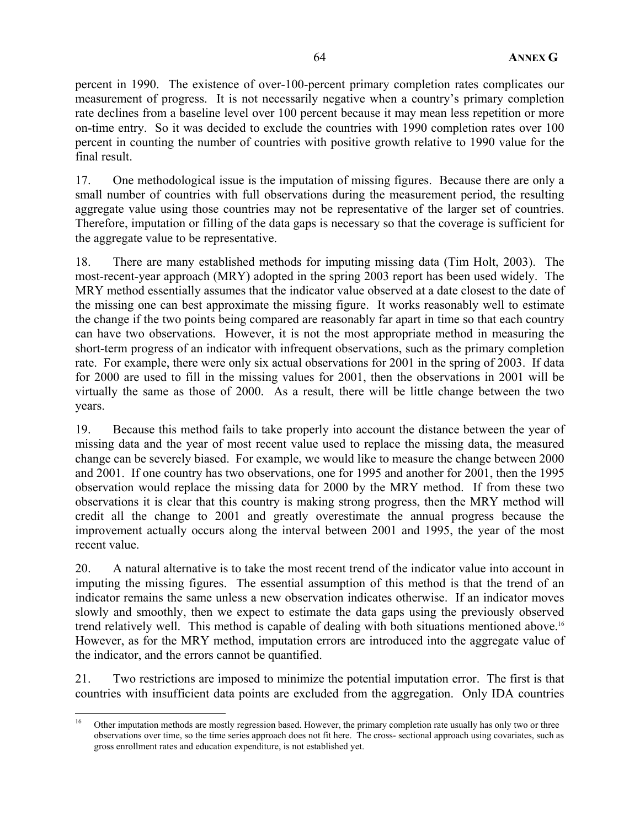percent in 1990. The existence of over-100-percent primary completion rates complicates our measurement of progress. It is not necessarily negative when a country's primary completion rate declines from a baseline level over 100 percent because it may mean less repetition or more on-time entry. So it was decided to exclude the countries with 1990 completion rates over 100 percent in counting the number of countries with positive growth relative to 1990 value for the final result.

17. One methodological issue is the imputation of missing figures. Because there are only a small number of countries with full observations during the measurement period, the resulting aggregate value using those countries may not be representative of the larger set of countries. Therefore, imputation or filling of the data gaps is necessary so that the coverage is sufficient for the aggregate value to be representative.

18. There are many established methods for imputing missing data (Tim Holt, 2003). The most-recent-year approach (MRY) adopted in the spring 2003 report has been used widely. The MRY method essentially assumes that the indicator value observed at a date closest to the date of the missing one can best approximate the missing figure. It works reasonably well to estimate the change if the two points being compared are reasonably far apart in time so that each country can have two observations. However, it is not the most appropriate method in measuring the short-term progress of an indicator with infrequent observations, such as the primary completion rate. For example, there were only six actual observations for 2001 in the spring of 2003. If data for 2000 are used to fill in the missing values for 2001, then the observations in 2001 will be virtually the same as those of 2000. As a result, there will be little change between the two years.

19. Because this method fails to take properly into account the distance between the year of missing data and the year of most recent value used to replace the missing data, the measured change can be severely biased. For example, we would like to measure the change between 2000 and 2001. If one country has two observations, one for 1995 and another for 2001, then the 1995 observation would replace the missing data for 2000 by the MRY method. If from these two observations it is clear that this country is making strong progress, then the MRY method will credit all the change to 2001 and greatly overestimate the annual progress because the improvement actually occurs along the interval between 2001 and 1995, the year of the most recent value.

20. A natural alternative is to take the most recent trend of the indicator value into account in imputing the missing figures. The essential assumption of this method is that the trend of an indicator remains the same unless a new observation indicates otherwise. If an indicator moves slowly and smoothly, then we expect to estimate the data gaps using the previously observed trend relatively well. This method is capable of dealing with both situations mentioned above.16 However, as for the MRY method, imputation errors are introduced into the aggregate value of the indicator, and the errors cannot be quantified.

21. Two restrictions are imposed to minimize the potential imputation error. The first is that countries with insufficient data points are excluded from the aggregation. Only IDA countries

<sup>16</sup> 16 Other imputation methods are mostly regression based. However, the primary completion rate usually has only two or three observations over time, so the time series approach does not fit here. The cross- sectional approach using covariates, such as gross enrollment rates and education expenditure, is not established yet.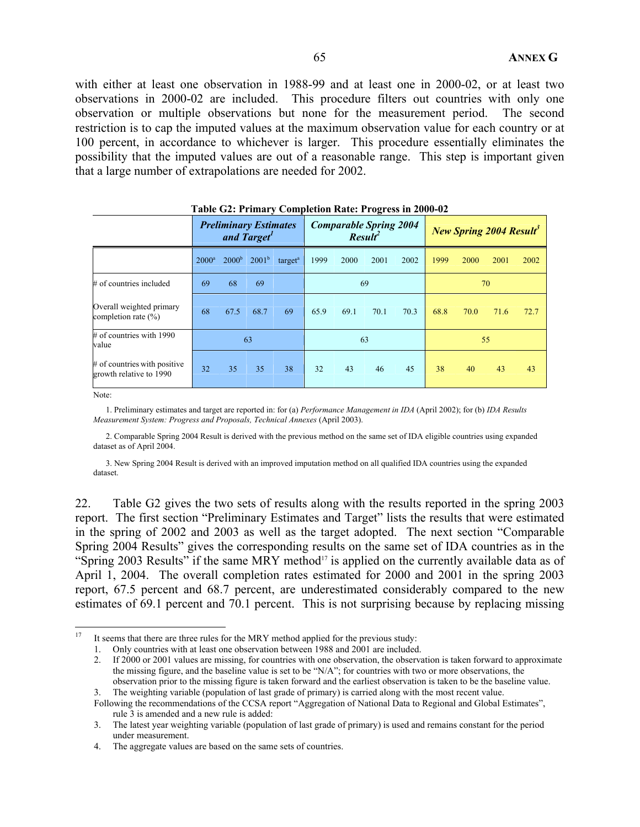with either at least one observation in 1988-99 and at least one in 2000-02, or at least two observations in 2000-02 are included. This procedure filters out countries with only one observation or multiple observations but none for the measurement period. The second restriction is to cap the imputed values at the maximum observation value for each country or at 100 percent, in accordance to whichever is larger. This procedure essentially eliminates the possibility that the imputed values are out of a reasonable range. This step is important given that a large number of extrapolations are needed for 2002.

|                                                         | Table One Things $\ell$ completion rate. The cas in 2000 02 |                              |            |                     |      |      |                                          |      |      |                                            |      |      |
|---------------------------------------------------------|-------------------------------------------------------------|------------------------------|------------|---------------------|------|------|------------------------------------------|------|------|--------------------------------------------|------|------|
|                                                         |                                                             | <b>Preliminary Estimates</b> | and Target |                     |      |      | <b>Comparable Spring 2004</b><br>Result' |      |      | <b>New Spring 2004 Result</b> <sup>3</sup> |      |      |
|                                                         | $2000^a$                                                    | 2000 <sup>b</sup>            | $2001^b$   | target <sup>a</sup> | 1999 | 2000 | 2001                                     | 2002 | 1999 | 2000                                       | 2001 | 2002 |
| $#$ of countries included                               | 69                                                          | 68                           | 69         |                     | 69   |      |                                          | 70   |      |                                            |      |      |
| Overall weighted primary<br>completion rate $(\% )$     | 68                                                          | 67.5                         | 68.7       | 69                  | 65.9 | 69.1 | 70.1                                     | 70.3 | 68.8 | 70.0                                       | 71.6 | 72.7 |
| $\#$ of countries with 1990<br>value                    |                                                             |                              | 63         |                     |      |      | 63                                       |      |      |                                            | 55   |      |
| # of countries with positive<br>growth relative to 1990 | 32                                                          | 35                           | 35         | 38                  | 32   | 43   | 46                                       | 45   | 38   | 40                                         | 43   | 43   |

| Table G2: Primary Completion Rate: Progress in 2000-02 |  |  |  |  |
|--------------------------------------------------------|--|--|--|--|
|--------------------------------------------------------|--|--|--|--|

Note:

 1. Preliminary estimates and target are reported in: for (a) *Performance Management in IDA* (April 2002); for (b) *IDA Results Measurement System: Progress and Proposals, Technical Annexes* (April 2003).

 2. Comparable Spring 2004 Result is derived with the previous method on the same set of IDA eligible countries using expanded dataset as of April 2004.

 3. New Spring 2004 Result is derived with an improved imputation method on all qualified IDA countries using the expanded dataset.

22. Table G2 gives the two sets of results along with the results reported in the spring 2003 report. The first section "Preliminary Estimates and Target" lists the results that were estimated in the spring of 2002 and 2003 as well as the target adopted. The next section "Comparable Spring 2004 Results" gives the corresponding results on the same set of IDA countries as in the "Spring 2003 Results" if the same MRY method<sup>17</sup> is applied on the currently available data as of April 1, 2004. The overall completion rates estimated for 2000 and 2001 in the spring 2003 report, 67.5 percent and 68.7 percent, are underestimated considerably compared to the new estimates of 69.1 percent and 70.1 percent. This is not surprising because by replacing missing

<sup>17</sup> It seems that there are three rules for the MRY method applied for the previous study:

<sup>1.</sup> Only countries with at least one observation between 1988 and 2001 are included.

<sup>2.</sup> If 2000 or 2001 values are missing, for countries with one observation, the observation is taken forward to approximate the missing figure, and the baseline value is set to be "N/A"; for countries with two or more observations, the observation prior to the missing figure is taken forward and the earliest observation is taken to be the baseline value.

<sup>3.</sup> The weighting variable (population of last grade of primary) is carried along with the most recent value.

Following the recommendations of the CCSA report "Aggregation of National Data to Regional and Global Estimates", rule 3 is amended and a new rule is added:

<sup>3.</sup> The latest year weighting variable (population of last grade of primary) is used and remains constant for the period under measurement.

<sup>4.</sup> The aggregate values are based on the same sets of countries.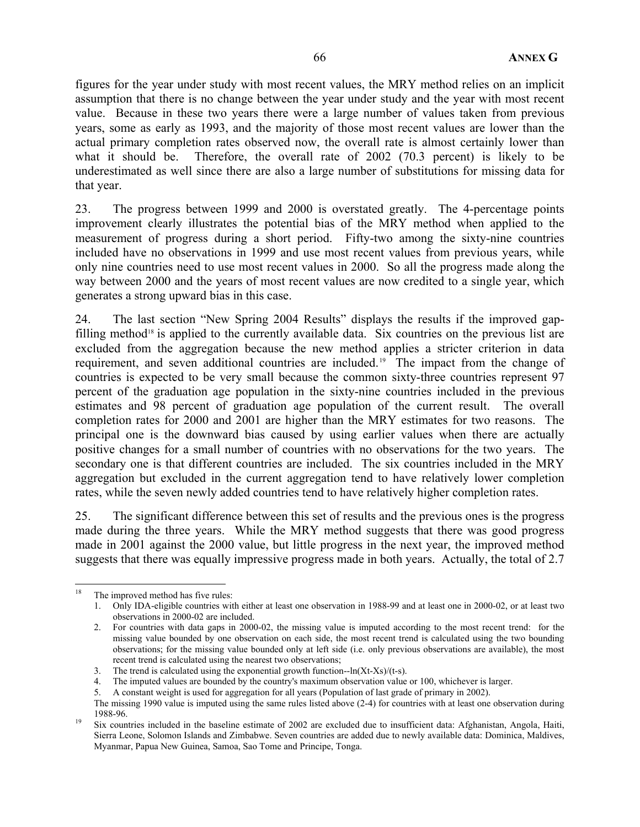figures for the year under study with most recent values, the MRY method relies on an implicit assumption that there is no change between the year under study and the year with most recent value. Because in these two years there were a large number of values taken from previous years, some as early as 1993, and the majority of those most recent values are lower than the actual primary completion rates observed now, the overall rate is almost certainly lower than what it should be. Therefore, the overall rate of 2002 (70.3 percent) is likely to be underestimated as well since there are also a large number of substitutions for missing data for that year.

23. The progress between 1999 and 2000 is overstated greatly. The 4-percentage points improvement clearly illustrates the potential bias of the MRY method when applied to the measurement of progress during a short period. Fifty-two among the sixty-nine countries included have no observations in 1999 and use most recent values from previous years, while only nine countries need to use most recent values in 2000. So all the progress made along the way between 2000 and the years of most recent values are now credited to a single year, which generates a strong upward bias in this case.

24. The last section "New Spring 2004 Results" displays the results if the improved gapfilling method<sup>18</sup> is applied to the currently available data. Six countries on the previous list are excluded from the aggregation because the new method applies a stricter criterion in data requirement, and seven additional countries are included. 19 The impact from the change of countries is expected to be very small because the common sixty-three countries represent 97 percent of the graduation age population in the sixty-nine countries included in the previous estimates and 98 percent of graduation age population of the current result. The overall completion rates for 2000 and 2001 are higher than the MRY estimates for two reasons. The principal one is the downward bias caused by using earlier values when there are actually positive changes for a small number of countries with no observations for the two years. The secondary one is that different countries are included. The six countries included in the MRY aggregation but excluded in the current aggregation tend to have relatively lower completion rates, while the seven newly added countries tend to have relatively higher completion rates.

25. The significant difference between this set of results and the previous ones is the progress made during the three years. While the MRY method suggests that there was good progress made in 2001 against the 2000 value, but little progress in the next year, the improved method suggests that there was equally impressive progress made in both years. Actually, the total of 2.7

 $\overline{a}$ <sup>18</sup> The improved method has five rules:

<sup>1.</sup> Only IDA-eligible countries with either at least one observation in 1988-99 and at least one in 2000-02, or at least two observations in 2000-02 are included.

<sup>2.</sup> For countries with data gaps in 2000-02, the missing value is imputed according to the most recent trend: for the missing value bounded by one observation on each side, the most recent trend is calculated using the two bounding observations; for the missing value bounded only at left side (i.e. only previous observations are available), the most recent trend is calculated using the nearest two observations;

<sup>3.</sup> The trend is calculated using the exponential growth function--ln(Xt-Xs)/(t-s).

<sup>4.</sup> The imputed values are bounded by the country's maximum observation value or 100, whichever is larger.

<sup>5.</sup> A constant weight is used for aggregation for all years (Population of last grade of primary in 2002).

The missing 1990 value is imputed using the same rules listed above (2-4) for countries with at least one observation during 1988-96. 19 Six countries included in the baseline estimate of 2002 are excluded due to insufficient data: Afghanistan, Angola, Haiti,

Sierra Leone, Solomon Islands and Zimbabwe. Seven countries are added due to newly available data: Dominica, Maldives, Myanmar, Papua New Guinea, Samoa, Sao Tome and Principe, Tonga.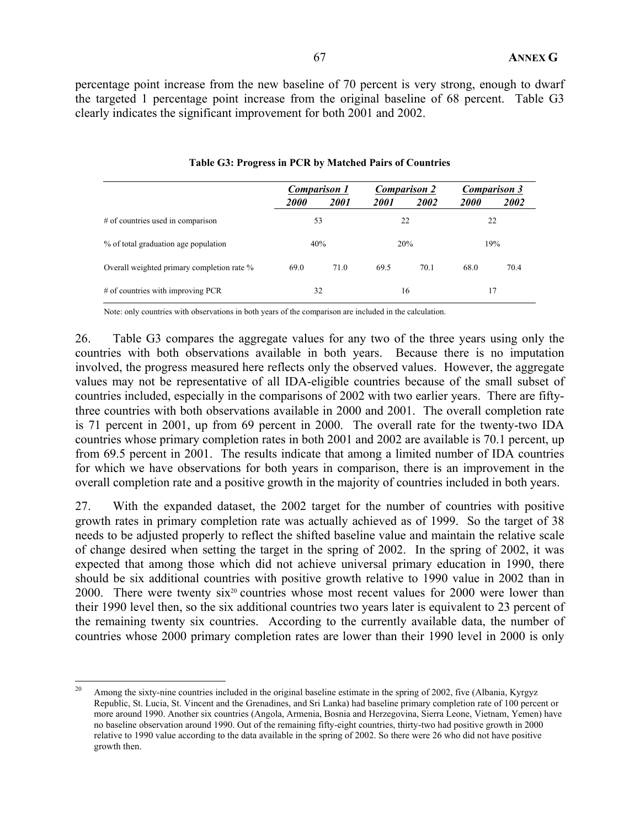percentage point increase from the new baseline of 70 percent is very strong, enough to dwarf the targeted 1 percentage point increase from the original baseline of 68 percent. Table G3 clearly indicates the significant improvement for both 2001 and 2002.

|                                            | <b>Comparison 1</b> |             | <b>Comparison 2</b> |      | <b>Comparison 3</b> |      |
|--------------------------------------------|---------------------|-------------|---------------------|------|---------------------|------|
|                                            | <i>2000</i>         | <i>2001</i> | <i>2001</i>         | 2002 | <i>2000</i>         | 2002 |
| # of countries used in comparison          | 53                  |             |                     | 22   |                     | 22   |
| % of total graduation age population       | 40%                 |             | 20%                 |      | 19%                 |      |
| Overall weighted primary completion rate % | 69.0                | 71.0        | 69.5                | 70.1 | 68.0                | 70.4 |
| # of countries with improving PCR          | 32                  |             |                     | 16   |                     | 17   |

### **Table G3: Progress in PCR by Matched Pairs of Countries**

Note: only countries with observations in both years of the comparison are included in the calculation.

26. Table G3 compares the aggregate values for any two of the three years using only the countries with both observations available in both years. Because there is no imputation involved, the progress measured here reflects only the observed values. However, the aggregate values may not be representative of all IDA-eligible countries because of the small subset of countries included, especially in the comparisons of 2002 with two earlier years. There are fiftythree countries with both observations available in 2000 and 2001. The overall completion rate is 71 percent in 2001, up from 69 percent in 2000. The overall rate for the twenty-two IDA countries whose primary completion rates in both 2001 and 2002 are available is 70.1 percent, up from 69.5 percent in 2001. The results indicate that among a limited number of IDA countries for which we have observations for both years in comparison, there is an improvement in the overall completion rate and a positive growth in the majority of countries included in both years.

27. With the expanded dataset, the 2002 target for the number of countries with positive growth rates in primary completion rate was actually achieved as of 1999. So the target of 38 needs to be adjusted properly to reflect the shifted baseline value and maintain the relative scale of change desired when setting the target in the spring of 2002. In the spring of 2002, it was expected that among those which did not achieve universal primary education in 1990, there should be six additional countries with positive growth relative to 1990 value in 2002 than in 2000. There were twenty six<sup>20</sup> countries whose most recent values for 2000 were lower than their 1990 level then, so the six additional countries two years later is equivalent to 23 percent of the remaining twenty six countries. According to the currently available data, the number of countries whose 2000 primary completion rates are lower than their 1990 level in 2000 is only

<sup>20</sup> 20 Among the sixty-nine countries included in the original baseline estimate in the spring of 2002, five (Albania, Kyrgyz Republic, St. Lucia, St. Vincent and the Grenadines, and Sri Lanka) had baseline primary completion rate of 100 percent or more around 1990. Another six countries (Angola, Armenia, Bosnia and Herzegovina, Sierra Leone, Vietnam, Yemen) have no baseline observation around 1990. Out of the remaining fifty-eight countries, thirty-two had positive growth in 2000 relative to 1990 value according to the data available in the spring of 2002. So there were 26 who did not have positive growth then.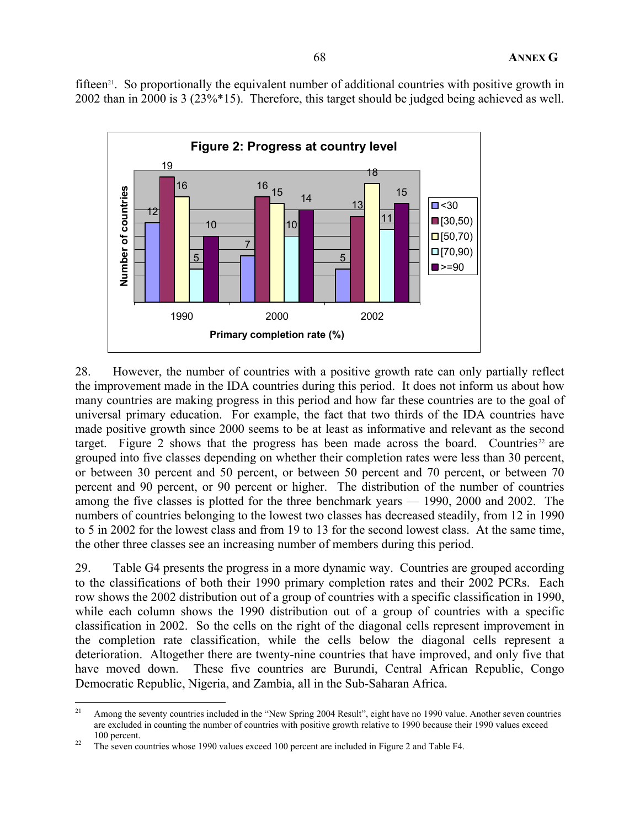fifteen<sup>21</sup>. So proportionally the equivalent number of additional countries with positive growth in 2002 than in 2000 is 3 (23%\*15). Therefore, this target should be judged being achieved as well.



28. However, the number of countries with a positive growth rate can only partially reflect the improvement made in the IDA countries during this period. It does not inform us about how many countries are making progress in this period and how far these countries are to the goal of universal primary education. For example, the fact that two thirds of the IDA countries have made positive growth since 2000 seems to be at least as informative and relevant as the second target. Figure 2 shows that the progress has been made across the board. Countries<sup>22</sup> are grouped into five classes depending on whether their completion rates were less than 30 percent, or between 30 percent and 50 percent, or between 50 percent and 70 percent, or between 70 percent and 90 percent, or 90 percent or higher. The distribution of the number of countries among the five classes is plotted for the three benchmark years — 1990, 2000 and 2002. The numbers of countries belonging to the lowest two classes has decreased steadily, from 12 in 1990 to 5 in 2002 for the lowest class and from 19 to 13 for the second lowest class. At the same time, the other three classes see an increasing number of members during this period.

29. Table G4 presents the progress in a more dynamic way. Countries are grouped according to the classifications of both their 1990 primary completion rates and their 2002 PCRs. Each row shows the 2002 distribution out of a group of countries with a specific classification in 1990, while each column shows the 1990 distribution out of a group of countries with a specific classification in 2002. So the cells on the right of the diagonal cells represent improvement in the completion rate classification, while the cells below the diagonal cells represent a deterioration. Altogether there are twenty-nine countries that have improved, and only five that have moved down. These five countries are Burundi, Central African Republic, Congo Democratic Republic, Nigeria, and Zambia, all in the Sub-Saharan Africa.

 $21$ 21 Among the seventy countries included in the "New Spring 2004 Result", eight have no 1990 value. Another seven countries are excluded in counting the number of countries with positive growth relative to 1990 because their 1990 values exceed 100 percent. 22 The seven countries whose 1990 values exceed 100 percent are included in Figure 2 and Table F4.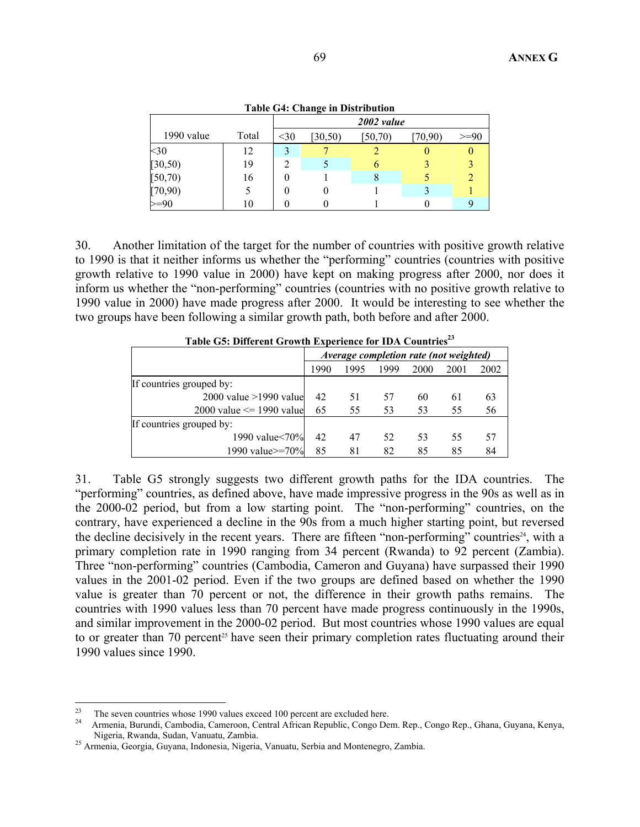|                   |       |      | Table G4: Change in Distribution |            |        |      |
|-------------------|-------|------|----------------------------------|------------|--------|------|
|                   |       |      |                                  | 2002 value |        |      |
| 1990 value        | Total | $30$ | [30, 50)                         | (50, 70)   | 70.90) | >=90 |
| $30$              | 12    | 3    |                                  |            |        |      |
| [30, 50)          | 19    |      |                                  | h          |        |      |
| [50, 70)          | 16    |      |                                  | δ          |        |      |
| $[70,90)$<br>>=90 |       |      |                                  |            |        |      |
|                   | 10    |      |                                  |            |        |      |

**Table G4: Change in Distribution** 

30. Another limitation of the target for the number of countries with positive growth relative to 1990 is that it neither informs us whether the "performing" countries (countries with positive growth relative to 1990 value in 2000) have kept on making progress after 2000, nor does it inform us whether the "non-performing" countries (countries with no positive growth relative to 1990 value in 2000) have made progress after 2000. It would be interesting to see whether the two groups have been following a similar growth path, both before and after 2000.

| Table G3; Different Growth Experience for IDA Countries |                                        |      |      |      |      |      |
|---------------------------------------------------------|----------------------------------------|------|------|------|------|------|
|                                                         | Average completion rate (not weighted) |      |      |      |      |      |
|                                                         | 1990                                   | 1995 | 1999 | 2000 | 2001 | 2002 |
| If countries grouped by:                                |                                        |      |      |      |      |      |
| $2000$ value $>1990$ value                              | 42                                     | 51   | 57   | 60   | 61   | 63   |
| 2000 value $\le$ 1990 value                             | 65                                     | 55   | 53   | 53   | 55   | 56   |
| If countries grouped by:                                |                                        |      |      |      |      |      |
| 1990 value < 70%                                        | 42                                     | 47   | 52.  | 53   | 55   | 57   |
| 1990 value>=70%                                         | 85                                     | 81   | 82   | 85   | 85   | 84   |

Table G5: Different Growth Experience for IDA Countries<sup>23</sup>

31. Table G5 strongly suggests two different growth paths for the IDA countries. The "performing" countries, as defined above, have made impressive progress in the 90s as well as in the 2000-02 period, but from a low starting point. The "non-performing" countries, on the contrary, have experienced a decline in the 90s from a much higher starting point, but reversed the decline decisively in the recent years. There are fifteen "non-performing" countries<sup>24</sup>, with a primary completion rate in 1990 ranging from 34 percent (Rwanda) to 92 percent (Zambia). Three "non-performing" countries (Cambodia, Cameron and Guyana) have surpassed their 1990 values in the 2001-02 period. Even if the two groups are defined based on whether the 1990 value is greater than 70 percent or not, the difference in their growth paths remains. The countries with 1990 values less than 70 percent have made progress continuously in the 1990s, and similar improvement in the 2000-02 period. But most countries whose 1990 values are equal to or greater than 70 percent<sup>25</sup> have seen their primary completion rates fluctuating around their 1990 values since 1990.

<sup>23</sup> 

<sup>23</sup> The seven countries whose 1990 values exceed 100 percent are excluded here. 24 Armenia, Burundi, Cambodia, Cameroon, Central African Republic, Congo Dem. Rep., Congo Rep., Ghana, Guyana, Kenya, Nigeria, Rwanda, Sudan, Vanuatu, Zambia. 25 Armenia, Georgia, Guyana, Indonesia, Nigeria, Vanuatu, Serbia and Montenegro, Zambia.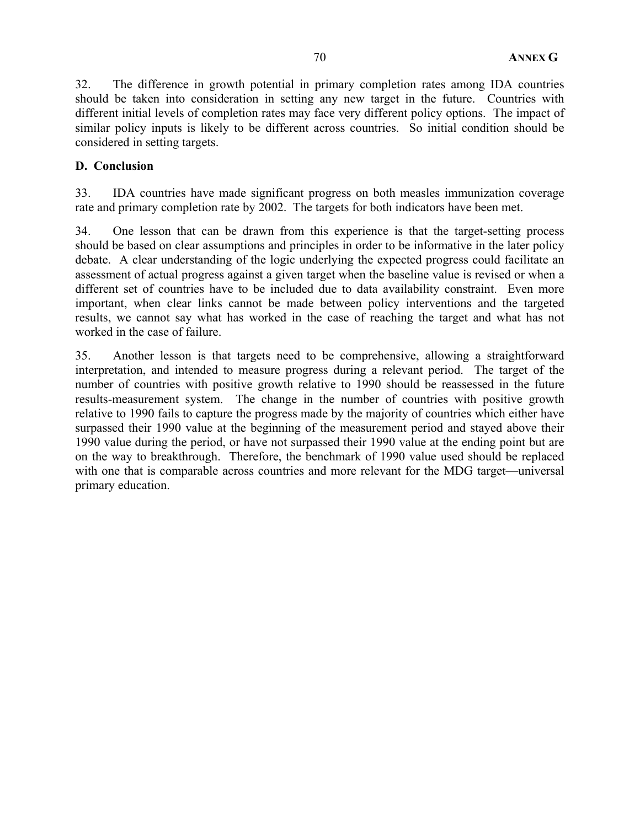32. The difference in growth potential in primary completion rates among IDA countries should be taken into consideration in setting any new target in the future. Countries with different initial levels of completion rates may face very different policy options. The impact of similar policy inputs is likely to be different across countries. So initial condition should be considered in setting targets.

## **D. Conclusion**

33. IDA countries have made significant progress on both measles immunization coverage rate and primary completion rate by 2002. The targets for both indicators have been met.

34. One lesson that can be drawn from this experience is that the target-setting process should be based on clear assumptions and principles in order to be informative in the later policy debate. A clear understanding of the logic underlying the expected progress could facilitate an assessment of actual progress against a given target when the baseline value is revised or when a different set of countries have to be included due to data availability constraint. Even more important, when clear links cannot be made between policy interventions and the targeted results, we cannot say what has worked in the case of reaching the target and what has not worked in the case of failure.

35. Another lesson is that targets need to be comprehensive, allowing a straightforward interpretation, and intended to measure progress during a relevant period. The target of the number of countries with positive growth relative to 1990 should be reassessed in the future results-measurement system. The change in the number of countries with positive growth relative to 1990 fails to capture the progress made by the majority of countries which either have surpassed their 1990 value at the beginning of the measurement period and stayed above their 1990 value during the period, or have not surpassed their 1990 value at the ending point but are on the way to breakthrough. Therefore, the benchmark of 1990 value used should be replaced with one that is comparable across countries and more relevant for the MDG target—universal primary education.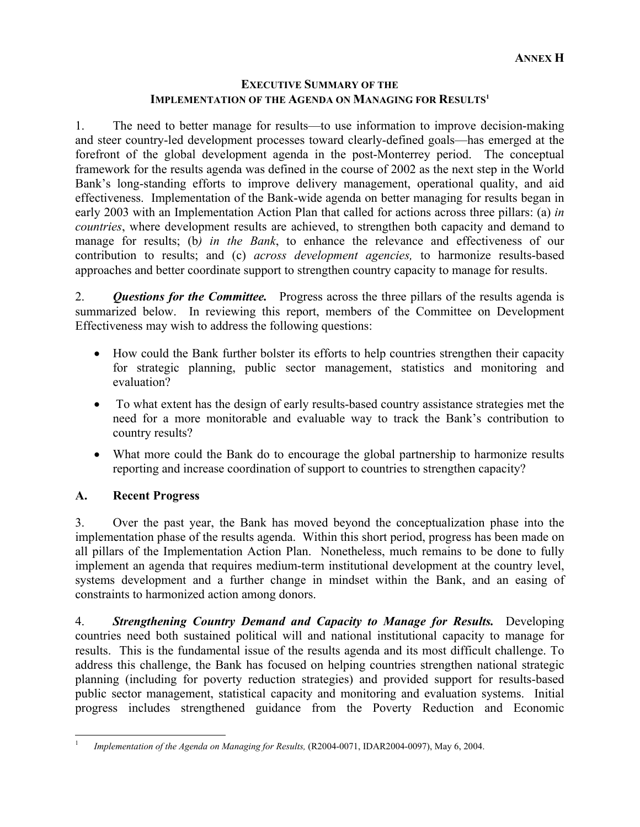## **EXECUTIVE SUMMARY OF THE IMPLEMENTATION OF THE AGENDA ON MANAGING FOR RESULTS<sup>1</sup>**

1. The need to better manage for results—to use information to improve decision-making and steer country-led development processes toward clearly-defined goals—has emerged at the forefront of the global development agenda in the post-Monterrey period. The conceptual framework for the results agenda was defined in the course of 2002 as the next step in the World Bank's long-standing efforts to improve delivery management, operational quality, and aid effectiveness. Implementation of the Bank-wide agenda on better managing for results began in early 2003 with an Implementation Action Plan that called for actions across three pillars: (a) *in countries*, where development results are achieved, to strengthen both capacity and demand to manage for results; (b*) in the Bank*, to enhance the relevance and effectiveness of our contribution to results; and (c) *across development agencies,* to harmonize results-based approaches and better coordinate support to strengthen country capacity to manage for results.

2. *Questions for the Committee.* Progress across the three pillars of the results agenda is summarized below. In reviewing this report, members of the Committee on Development Effectiveness may wish to address the following questions:

- How could the Bank further bolster its efforts to help countries strengthen their capacity for strategic planning, public sector management, statistics and monitoring and evaluation?
- To what extent has the design of early results-based country assistance strategies met the need for a more monitorable and evaluable way to track the Bank's contribution to country results?
- What more could the Bank do to encourage the global partnership to harmonize results reporting and increase coordination of support to countries to strengthen capacity?

# **A. Recent Progress**

3. Over the past year, the Bank has moved beyond the conceptualization phase into the implementation phase of the results agenda. Within this short period, progress has been made on all pillars of the Implementation Action Plan. Nonetheless, much remains to be done to fully implement an agenda that requires medium-term institutional development at the country level, systems development and a further change in mindset within the Bank, and an easing of constraints to harmonized action among donors.

4. *Strengthening Country Demand and Capacity to Manage for Results.* Developing countries need both sustained political will and national institutional capacity to manage for results. This is the fundamental issue of the results agenda and its most difficult challenge. To address this challenge, the Bank has focused on helping countries strengthen national strategic planning (including for poverty reduction strategies) and provided support for results-based public sector management, statistical capacity and monitoring and evaluation systems. Initial progress includes strengthened guidance from the Poverty Reduction and Economic

 $\overline{a}$ 1 *Implementation of the Agenda on Managing for Results,* (R2004-0071, IDAR2004-0097), May 6, 2004.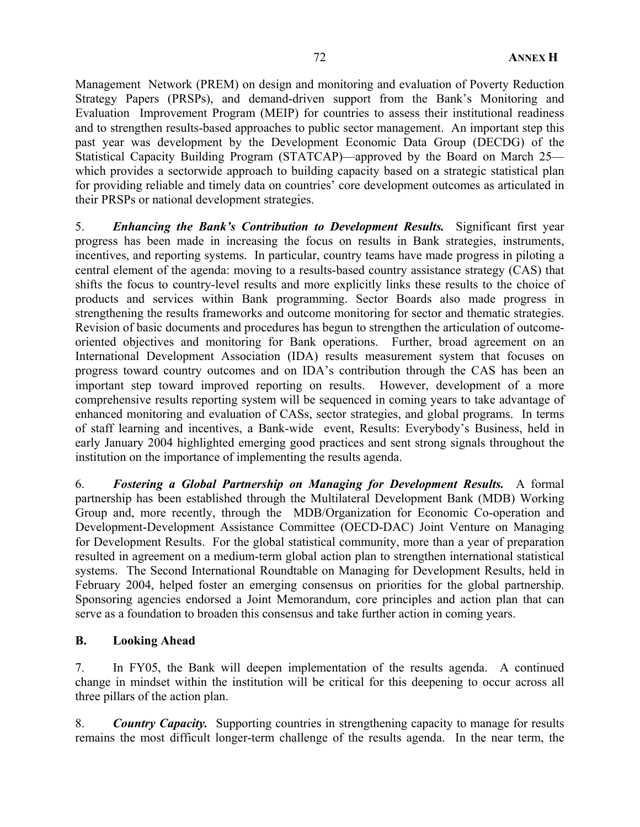Management Network (PREM) on design and monitoring and evaluation of Poverty Reduction Strategy Papers (PRSPs), and demand-driven support from the Bank's Monitoring and Evaluation Improvement Program (MEIP) for countries to assess their institutional readiness and to strengthen results-based approaches to public sector management. An important step this past year was development by the Development Economic Data Group (DECDG) of the Statistical Capacity Building Program (STATCAP)—approved by the Board on March 25 which provides a sectorwide approach to building capacity based on a strategic statistical plan for providing reliable and timely data on countries' core development outcomes as articulated in their PRSPs or national development strategies.

5. *Enhancing the Bank's Contribution to Development Results.* Significant first year progress has been made in increasing the focus on results in Bank strategies, instruments, incentives, and reporting systems. In particular, country teams have made progress in piloting a central element of the agenda: moving to a results-based country assistance strategy (CAS) that shifts the focus to country-level results and more explicitly links these results to the choice of products and services within Bank programming. Sector Boards also made progress in strengthening the results frameworks and outcome monitoring for sector and thematic strategies. Revision of basic documents and procedures has begun to strengthen the articulation of outcomeoriented objectives and monitoring for Bank operations. Further, broad agreement on an International Development Association (IDA) results measurement system that focuses on progress toward country outcomes and on IDA's contribution through the CAS has been an important step toward improved reporting on results. However, development of a more comprehensive results reporting system will be sequenced in coming years to take advantage of enhanced monitoring and evaluation of CASs, sector strategies, and global programs. In terms of staff learning and incentives, a Bank-wide event, Results: Everybody's Business, held in early January 2004 highlighted emerging good practices and sent strong signals throughout the institution on the importance of implementing the results agenda.

6. *Fostering a Global Partnership on Managing for Development Results.* A formal partnership has been established through the Multilateral Development Bank (MDB) Working Group and, more recently, through the MDB/Organization for Economic Co-operation and Development-Development Assistance Committee (OECD-DAC) Joint Venture on Managing for Development Results. For the global statistical community, more than a year of preparation resulted in agreement on a medium-term global action plan to strengthen international statistical systems. The Second International Roundtable on Managing for Development Results, held in February 2004, helped foster an emerging consensus on priorities for the global partnership. Sponsoring agencies endorsed a Joint Memorandum, core principles and action plan that can serve as a foundation to broaden this consensus and take further action in coming years.

## **B. Looking Ahead**

7. In FY05, the Bank will deepen implementation of the results agenda. A continued change in mindset within the institution will be critical for this deepening to occur across all three pillars of the action plan.

8. **Country Capacity.** Supporting countries in strengthening capacity to manage for results remains the most difficult longer-term challenge of the results agenda. In the near term, the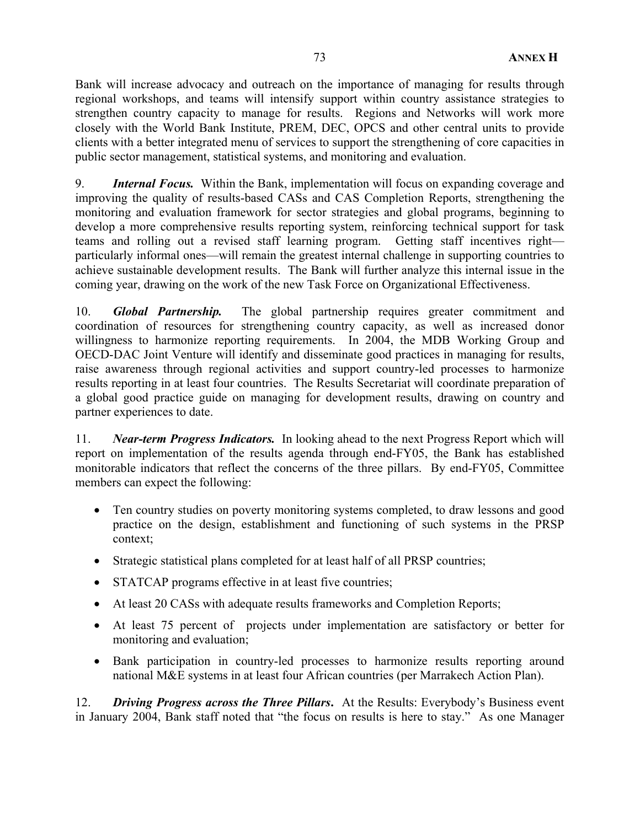Bank will increase advocacy and outreach on the importance of managing for results through regional workshops, and teams will intensify support within country assistance strategies to strengthen country capacity to manage for results. Regions and Networks will work more closely with the World Bank Institute, PREM, DEC, OPCS and other central units to provide clients with a better integrated menu of services to support the strengthening of core capacities in public sector management, statistical systems, and monitoring and evaluation.

9. *Internal Focus.* Within the Bank, implementation will focus on expanding coverage and improving the quality of results-based CASs and CAS Completion Reports, strengthening the monitoring and evaluation framework for sector strategies and global programs, beginning to develop a more comprehensive results reporting system, reinforcing technical support for task teams and rolling out a revised staff learning program. Getting staff incentives right particularly informal ones—will remain the greatest internal challenge in supporting countries to achieve sustainable development results. The Bank will further analyze this internal issue in the coming year, drawing on the work of the new Task Force on Organizational Effectiveness.

10. *Global Partnership.* The global partnership requires greater commitment and coordination of resources for strengthening country capacity, as well as increased donor willingness to harmonize reporting requirements. In 2004, the MDB Working Group and OECD-DAC Joint Venture will identify and disseminate good practices in managing for results, raise awareness through regional activities and support country-led processes to harmonize results reporting in at least four countries. The Results Secretariat will coordinate preparation of a global good practice guide on managing for development results, drawing on country and partner experiences to date.

11. *Near-term Progress Indicators.* In looking ahead to the next Progress Report which will report on implementation of the results agenda through end-FY05, the Bank has established monitorable indicators that reflect the concerns of the three pillars. By end-FY05, Committee members can expect the following:

- Ten country studies on poverty monitoring systems completed, to draw lessons and good practice on the design, establishment and functioning of such systems in the PRSP context;
- Strategic statistical plans completed for at least half of all PRSP countries;
- STATCAP programs effective in at least five countries;
- At least 20 CASs with adequate results frameworks and Completion Reports;
- At least 75 percent of projects under implementation are satisfactory or better for monitoring and evaluation;
- Bank participation in country-led processes to harmonize results reporting around national M&E systems in at least four African countries (per Marrakech Action Plan).

12. *Driving Progress across the Three Pillars***.** At the Results: Everybody's Business event in January 2004, Bank staff noted that "the focus on results is here to stay." As one Manager